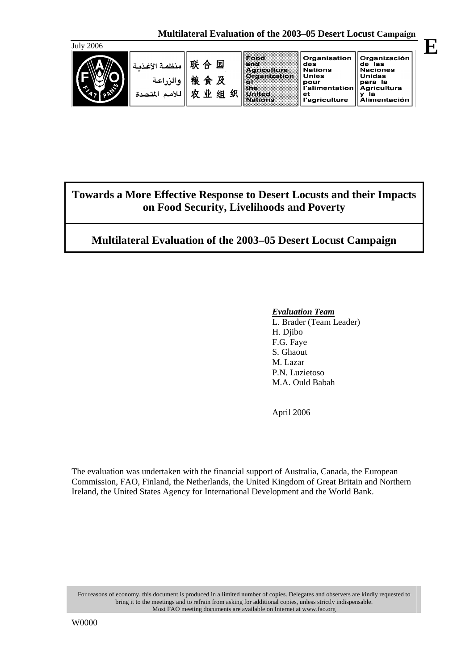

| 联 合 国   منظمة الأغذيـة<br>  والزراعة    棟 食 及<br>للأمم المتحدة | 业 | 细 | Food<br>senne s<br><b>Agriculture</b><br><b>Organization</b><br>3931<br>lthe<br><b>Hinited</b><br>Nations | Organisation<br>des<br><b>Nations</b><br><b>Unies</b><br>pour<br>l'alimentation<br>еt<br>l'agriculture | <b>Organización</b><br>de las<br><b>Naciones</b><br>Unidas<br>para la<br><b>Agricultura</b><br>la<br>Alimentación |
|----------------------------------------------------------------|---|---|-----------------------------------------------------------------------------------------------------------|--------------------------------------------------------------------------------------------------------|-------------------------------------------------------------------------------------------------------------------|
|                                                                |   |   |                                                                                                           |                                                                                                        |                                                                                                                   |

# **Towards a More Effective Response to Desert Locusts and their Impacts on Food Security, Livelihoods and Poverty**

# **Multilateral Evaluation of the 2003–05 Desert Locust Campaign**

### *Evaluation Team*

 L. Brader (Team Leader) H. Djibo F.G. Faye S. Ghaout M. Lazar P.N. Luzietoso M.A. Ould Babah

April 2006

The evaluation was undertaken with the financial support of Australia, Canada, the European Commission, FAO, Finland, the Netherlands, the United Kingdom of Great Britain and Northern Ireland, the United States Agency for International Development and the World Bank.

For reasons of economy, this document is produced in a limited number of copies. Delegates and observers are kindly requested to bring it to the meetings and to refrain from asking for additional copies, unless strictly indispensable. Most FAO meeting documents are available on Internet at www.fao.org

**E**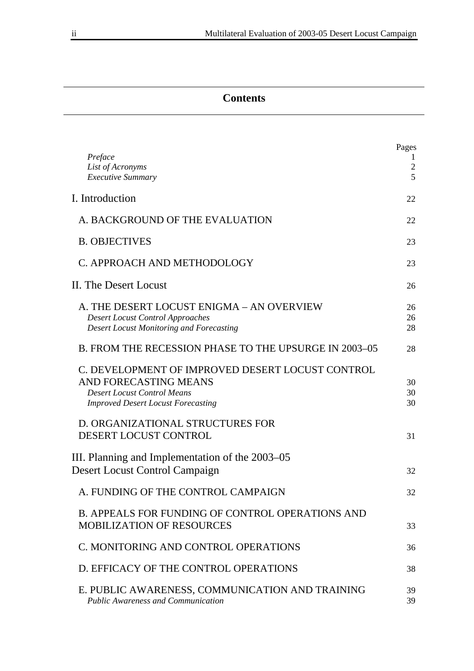# **Contents**

| Preface<br>List of Acronyms<br><b>Executive Summary</b>                                                                                                      | Pages<br>$\mathfrak{2}$<br>5 |
|--------------------------------------------------------------------------------------------------------------------------------------------------------------|------------------------------|
| I. Introduction                                                                                                                                              | 22                           |
| A. BACKGROUND OF THE EVALUATION                                                                                                                              | 22                           |
| <b>B. OBJECTIVES</b>                                                                                                                                         | 23                           |
| C. APPROACH AND METHODOLOGY                                                                                                                                  | 23                           |
| II. The Desert Locust                                                                                                                                        | 26                           |
| A. THE DESERT LOCUST ENIGMA – AN OVERVIEW<br><b>Desert Locust Control Approaches</b><br><b>Desert Locust Monitoring and Forecasting</b>                      | 26<br>26<br>28               |
| B. FROM THE RECESSION PHASE TO THE UPSURGE IN 2003-05                                                                                                        | 28                           |
| C. DEVELOPMENT OF IMPROVED DESERT LOCUST CONTROL<br>AND FORECASTING MEANS<br><b>Desert Locust Control Means</b><br><b>Improved Desert Locust Forecasting</b> | 30<br>30<br>30               |
| D. ORGANIZATIONAL STRUCTURES FOR<br>DESERT LOCUST CONTROL                                                                                                    | 31                           |
| III. Planning and Implementation of the 2003–05<br>Desert Locust Control Campaign                                                                            | 32                           |
| A. FUNDING OF THE CONTROL CAMPAIGN                                                                                                                           | 32                           |
| <b>B. APPEALS FOR FUNDING OF CONTROL OPERATIONS AND</b><br><b>MOBILIZATION OF RESOURCES</b>                                                                  | 33                           |
| C. MONITORING AND CONTROL OPERATIONS                                                                                                                         | 36                           |
| D. EFFICACY OF THE CONTROL OPERATIONS                                                                                                                        | 38                           |
| E. PUBLIC AWARENESS, COMMUNICATION AND TRAINING<br><b>Public Awareness and Communication</b>                                                                 | 39<br>39                     |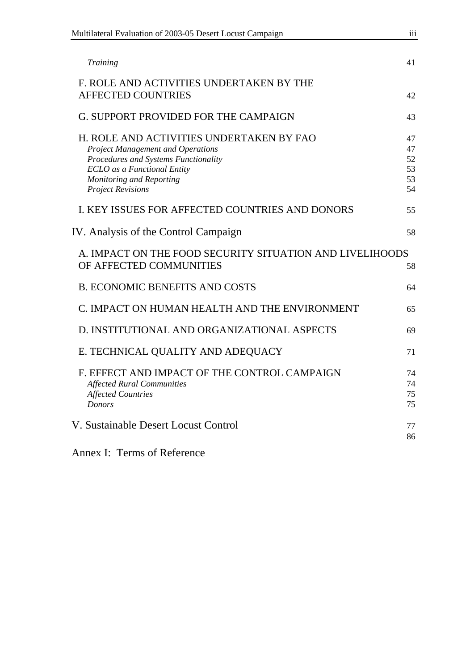| Multilateral Evaluation of 2003-05 Desert Locust Campaign                                                                                                                                                                         |                                  |
|-----------------------------------------------------------------------------------------------------------------------------------------------------------------------------------------------------------------------------------|----------------------------------|
| Training                                                                                                                                                                                                                          | 41                               |
| F. ROLE AND ACTIVITIES UNDERTAKEN BY THE<br><b>AFFECTED COUNTRIES</b>                                                                                                                                                             | 42                               |
| <b>G. SUPPORT PROVIDED FOR THE CAMPAIGN</b>                                                                                                                                                                                       | 43                               |
| H. ROLE AND ACTIVITIES UNDERTAKEN BY FAO<br><b>Project Management and Operations</b><br>Procedures and Systems Functionality<br><b>ECLO</b> as a Functional Entity<br><b>Monitoring and Reporting</b><br><b>Project Revisions</b> | 47<br>47<br>52<br>53<br>53<br>54 |
| I. KEY ISSUES FOR AFFECTED COUNTRIES AND DONORS                                                                                                                                                                                   | 55                               |
| IV. Analysis of the Control Campaign                                                                                                                                                                                              | 58                               |
| A. IMPACT ON THE FOOD SECURITY SITUATION AND LIVELIHOODS<br>OF AFFECTED COMMUNITIES                                                                                                                                               | 58                               |
| <b>B. ECONOMIC BENEFITS AND COSTS</b>                                                                                                                                                                                             | 64                               |
| C. IMPACT ON HUMAN HEALTH AND THE ENVIRONMENT                                                                                                                                                                                     | 65                               |
| D. INSTITUTIONAL AND ORGANIZATIONAL ASPECTS                                                                                                                                                                                       | 69                               |
| E. TECHNICAL QUALITY AND ADEQUACY                                                                                                                                                                                                 | 71                               |
| F. EFFECT AND IMPACT OF THE CONTROL CAMPAIGN<br><b>Affected Rural Communities</b><br><b>Affected Countries</b><br><b>Donors</b>                                                                                                   | 74<br>74<br>75<br>75             |
| V. Sustainable Desert Locust Control<br>Annoy L. Torma of Deference                                                                                                                                                               | 77<br>86                         |

Annex I: Terms of Reference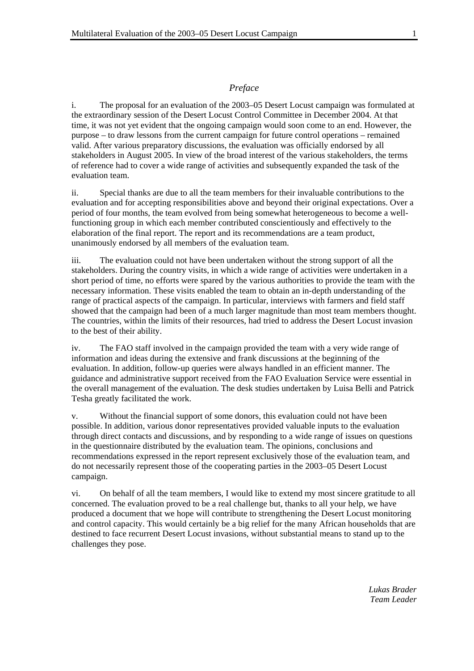#### *Preface*

i. The proposal for an evaluation of the 2003–05 Desert Locust campaign was formulated at the extraordinary session of the Desert Locust Control Committee in December 2004. At that time, it was not yet evident that the ongoing campaign would soon come to an end. However, the purpose – to draw lessons from the current campaign for future control operations – remained valid. After various preparatory discussions, the evaluation was officially endorsed by all stakeholders in August 2005. In view of the broad interest of the various stakeholders, the terms of reference had to cover a wide range of activities and subsequently expanded the task of the evaluation team.

ii. Special thanks are due to all the team members for their invaluable contributions to the evaluation and for accepting responsibilities above and beyond their original expectations. Over a period of four months, the team evolved from being somewhat heterogeneous to become a wellfunctioning group in which each member contributed conscientiously and effectively to the elaboration of the final report. The report and its recommendations are a team product, unanimously endorsed by all members of the evaluation team.

iii. The evaluation could not have been undertaken without the strong support of all the stakeholders. During the country visits, in which a wide range of activities were undertaken in a short period of time, no efforts were spared by the various authorities to provide the team with the necessary information. These visits enabled the team to obtain an in-depth understanding of the range of practical aspects of the campaign. In particular, interviews with farmers and field staff showed that the campaign had been of a much larger magnitude than most team members thought. The countries, within the limits of their resources, had tried to address the Desert Locust invasion to the best of their ability.

iv. The FAO staff involved in the campaign provided the team with a very wide range of information and ideas during the extensive and frank discussions at the beginning of the evaluation. In addition, follow-up queries were always handled in an efficient manner. The guidance and administrative support received from the FAO Evaluation Service were essential in the overall management of the evaluation. The desk studies undertaken by Luisa Belli and Patrick Tesha greatly facilitated the work.

v. Without the financial support of some donors, this evaluation could not have been possible. In addition, various donor representatives provided valuable inputs to the evaluation through direct contacts and discussions, and by responding to a wide range of issues on questions in the questionnaire distributed by the evaluation team. The opinions, conclusions and recommendations expressed in the report represent exclusively those of the evaluation team, and do not necessarily represent those of the cooperating parties in the 2003–05 Desert Locust campaign.

vi. On behalf of all the team members, I would like to extend my most sincere gratitude to all concerned. The evaluation proved to be a real challenge but, thanks to all your help, we have produced a document that we hope will contribute to strengthening the Desert Locust monitoring and control capacity. This would certainly be a big relief for the many African households that are destined to face recurrent Desert Locust invasions, without substantial means to stand up to the challenges they pose.

> *Lukas Brader Team Leader*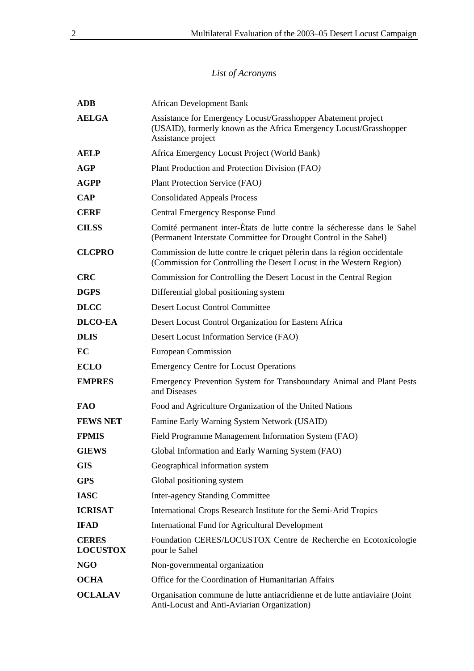# *List of Acronyms*

| <b>ADB</b>                      | <b>African Development Bank</b>                                                                                                                           |  |  |
|---------------------------------|-----------------------------------------------------------------------------------------------------------------------------------------------------------|--|--|
| <b>AELGA</b>                    | Assistance for Emergency Locust/Grasshopper Abatement project<br>(USAID), formerly known as the Africa Emergency Locust/Grasshopper<br>Assistance project |  |  |
| <b>AELP</b>                     | Africa Emergency Locust Project (World Bank)                                                                                                              |  |  |
| AGP                             | Plant Production and Protection Division (FAO)                                                                                                            |  |  |
| <b>AGPP</b>                     | Plant Protection Service (FAO)                                                                                                                            |  |  |
| <b>CAP</b>                      | <b>Consolidated Appeals Process</b>                                                                                                                       |  |  |
| <b>CERF</b>                     | Central Emergency Response Fund                                                                                                                           |  |  |
| <b>CILSS</b>                    | Comité permanent inter-États de lutte contre la sécheresse dans le Sahel<br>(Permanent Interstate Committee for Drought Control in the Sahel)             |  |  |
| <b>CLCPRO</b>                   | Commission de lutte contre le criquet pèlerin dans la région occidentale<br>(Commission for Controlling the Desert Locust in the Western Region)          |  |  |
| <b>CRC</b>                      | Commission for Controlling the Desert Locust in the Central Region                                                                                        |  |  |
| <b>DGPS</b>                     | Differential global positioning system                                                                                                                    |  |  |
| <b>DLCC</b>                     | <b>Desert Locust Control Committee</b>                                                                                                                    |  |  |
| <b>DLCO-EA</b>                  | Desert Locust Control Organization for Eastern Africa                                                                                                     |  |  |
| <b>DLIS</b>                     | Desert Locust Information Service (FAO)                                                                                                                   |  |  |
| EC                              | European Commission                                                                                                                                       |  |  |
| <b>ECLO</b>                     | <b>Emergency Centre for Locust Operations</b>                                                                                                             |  |  |
| <b>EMPRES</b>                   | Emergency Prevention System for Transboundary Animal and Plant Pests<br>and Diseases                                                                      |  |  |
| <b>FAO</b>                      | Food and Agriculture Organization of the United Nations                                                                                                   |  |  |
| <b>FEWS NET</b>                 | Famine Early Warning System Network (USAID)                                                                                                               |  |  |
| <b>FPMIS</b>                    | Field Programme Management Information System (FAO)                                                                                                       |  |  |
| <b>GIEWS</b>                    | Global Information and Early Warning System (FAO)                                                                                                         |  |  |
| <b>GIS</b>                      | Geographical information system                                                                                                                           |  |  |
| <b>GPS</b>                      | Global positioning system                                                                                                                                 |  |  |
| <b>IASC</b>                     | <b>Inter-agency Standing Committee</b>                                                                                                                    |  |  |
| <b>ICRISAT</b>                  | International Crops Research Institute for the Semi-Arid Tropics                                                                                          |  |  |
| <b>IFAD</b>                     | International Fund for Agricultural Development                                                                                                           |  |  |
| <b>CERES</b><br><b>LOCUSTOX</b> | Foundation CERES/LOCUSTOX Centre de Recherche en Ecotoxicologie<br>pour le Sahel                                                                          |  |  |
| <b>NGO</b>                      | Non-governmental organization                                                                                                                             |  |  |
| <b>OCHA</b>                     | Office for the Coordination of Humanitarian Affairs                                                                                                       |  |  |
| <b>OCLALAV</b>                  | Organisation commune de lutte antiacridienne et de lutte antiaviaire (Joint<br>Anti-Locust and Anti-Aviarian Organization)                                |  |  |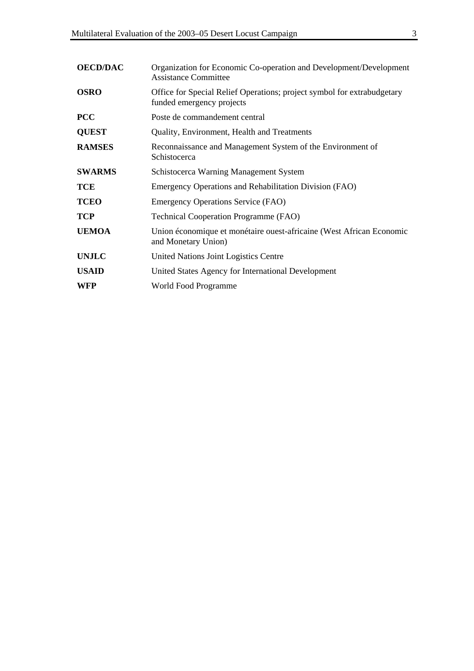| <b>OECD/DAC</b> | Organization for Economic Co-operation and Development/Development<br><b>Assistance Committee</b>    |
|-----------------|------------------------------------------------------------------------------------------------------|
| <b>OSRO</b>     | Office for Special Relief Operations; project symbol for extrabudgetary<br>funded emergency projects |
| <b>PCC</b>      | Poste de commandement central                                                                        |
| <b>QUEST</b>    | Quality, Environment, Health and Treatments                                                          |
| <b>RAMSES</b>   | Reconnaissance and Management System of the Environment of<br>Schistocerca                           |
| <b>SWARMS</b>   | Schistocerca Warning Management System                                                               |
| <b>TCE</b>      | Emergency Operations and Rehabilitation Division (FAO)                                               |
| <b>TCEO</b>     | Emergency Operations Service (FAO)                                                                   |
| <b>TCP</b>      | <b>Technical Cooperation Programme (FAO)</b>                                                         |
| <b>UEMOA</b>    | Union économique et monétaire ouest-africaine (West African Economic<br>and Monetary Union)          |
| <b>UNJLC</b>    | United Nations Joint Logistics Centre                                                                |
| <b>USAID</b>    | United States Agency for International Development                                                   |
| WFP             | World Food Programme                                                                                 |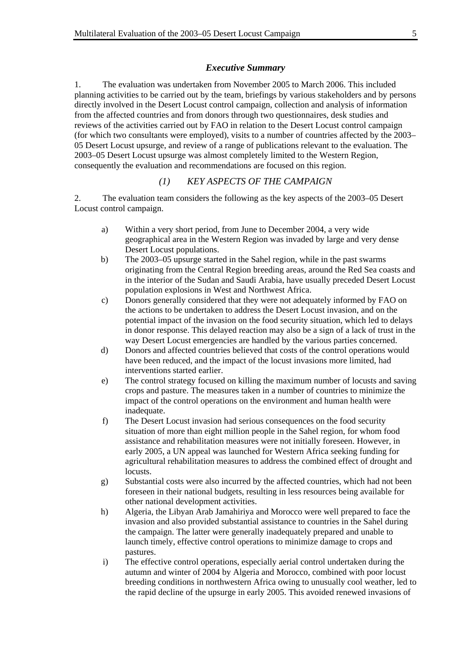#### *Executive Summary*

1. The evaluation was undertaken from November 2005 to March 2006. This included planning activities to be carried out by the team, briefings by various stakeholders and by persons directly involved in the Desert Locust control campaign, collection and analysis of information from the affected countries and from donors through two questionnaires, desk studies and reviews of the activities carried out by FAO in relation to the Desert Locust control campaign (for which two consultants were employed), visits to a number of countries affected by the 2003– 05 Desert Locust upsurge, and review of a range of publications relevant to the evaluation. The 2003–05 Desert Locust upsurge was almost completely limited to the Western Region, consequently the evaluation and recommendations are focused on this region.

### *(1) KEY ASPECTS OF THE CAMPAIGN*

2. The evaluation team considers the following as the key aspects of the 2003–05 Desert Locust control campaign.

- a) Within a very short period, from June to December 2004, a very wide geographical area in the Western Region was invaded by large and very dense Desert Locust populations.
- b) The 2003–05 upsurge started in the Sahel region, while in the past swarms originating from the Central Region breeding areas, around the Red Sea coasts and in the interior of the Sudan and Saudi Arabia, have usually preceded Desert Locust population explosions in West and Northwest Africa.
- c) Donors generally considered that they were not adequately informed by FAO on the actions to be undertaken to address the Desert Locust invasion, and on the potential impact of the invasion on the food security situation, which led to delays in donor response. This delayed reaction may also be a sign of a lack of trust in the way Desert Locust emergencies are handled by the various parties concerned.
- d) Donors and affected countries believed that costs of the control operations would have been reduced, and the impact of the locust invasions more limited, had interventions started earlier.
- e) The control strategy focused on killing the maximum number of locusts and saving crops and pasture. The measures taken in a number of countries to minimize the impact of the control operations on the environment and human health were inadequate.
- f) The Desert Locust invasion had serious consequences on the food security situation of more than eight million people in the Sahel region, for whom food assistance and rehabilitation measures were not initially foreseen. However, in early 2005, a UN appeal was launched for Western Africa seeking funding for agricultural rehabilitation measures to address the combined effect of drought and locusts.
- g) Substantial costs were also incurred by the affected countries, which had not been foreseen in their national budgets, resulting in less resources being available for other national development activities.
- h) Algeria, the Libyan Arab Jamahiriya and Morocco were well prepared to face the invasion and also provided substantial assistance to countries in the Sahel during the campaign. The latter were generally inadequately prepared and unable to launch timely, effective control operations to minimize damage to crops and pastures.
- i) The effective control operations, especially aerial control undertaken during the autumn and winter of 2004 by Algeria and Morocco, combined with poor locust breeding conditions in northwestern Africa owing to unusually cool weather, led to the rapid decline of the upsurge in early 2005. This avoided renewed invasions of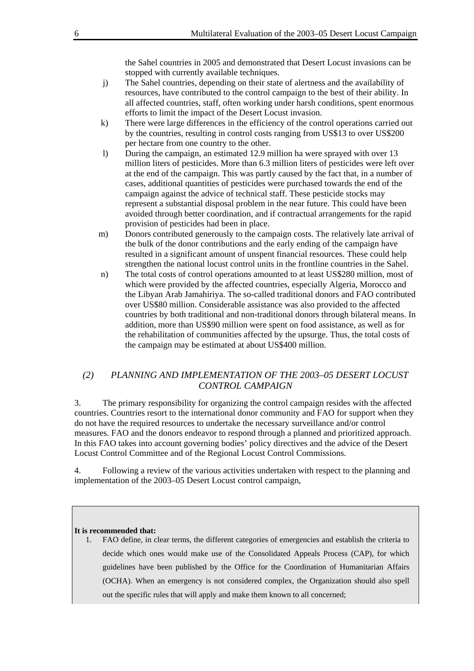the Sahel countries in 2005 and demonstrated that Desert Locust invasions can be stopped with currently available techniques.

- j) The Sahel countries, depending on their state of alertness and the availability of resources, have contributed to the control campaign to the best of their ability. In all affected countries, staff, often working under harsh conditions, spent enormous efforts to limit the impact of the Desert Locust invasion.
- k) There were large differences in the efficiency of the control operations carried out by the countries, resulting in control costs ranging from US\$13 to over US\$200 per hectare from one country to the other.
- l) During the campaign, an estimated 12.9 million ha were sprayed with over 13 million liters of pesticides. More than 6.3 million liters of pesticides were left over at the end of the campaign. This was partly caused by the fact that, in a number of cases, additional quantities of pesticides were purchased towards the end of the campaign against the advice of technical staff. These pesticide stocks may represent a substantial disposal problem in the near future. This could have been avoided through better coordination, and if contractual arrangements for the rapid provision of pesticides had been in place.
- m) Donors contributed generously to the campaign costs. The relatively late arrival of the bulk of the donor contributions and the early ending of the campaign have resulted in a significant amount of unspent financial resources. These could help strengthen the national locust control units in the frontline countries in the Sahel.
- n) The total costs of control operations amounted to at least US\$280 million, most of which were provided by the affected countries, especially Algeria, Morocco and the Libyan Arab Jamahiriya. The so-called traditional donors and FAO contributed over US\$80 million. Considerable assistance was also provided to the affected countries by both traditional and non-traditional donors through bilateral means. In addition, more than US\$90 million were spent on food assistance, as well as for the rehabilitation of communities affected by the upsurge. Thus, the total costs of the campaign may be estimated at about US\$400 million.

### *(2) PLANNING AND IMPLEMENTATION OF THE 2003–05 DESERT LOCUST CONTROL CAMPAIGN*

3. The primary responsibility for organizing the control campaign resides with the affected countries. Countries resort to the international donor community and FAO for support when they do not have the required resources to undertake the necessary surveillance and/or control measures. FAO and the donors endeavor to respond through a planned and prioritized approach. In this FAO takes into account governing bodies' policy directives and the advice of the Desert Locust Control Committee and of the Regional Locust Control Commissions.

4. Following a review of the various activities undertaken with respect to the planning and implementation of the 2003–05 Desert Locust control campaign,

#### **It is recommended that:**

1. FAO define, in clear terms, the different categories of emergencies and establish the criteria to decide which ones would make use of the Consolidated Appeals Process (CAP), for which guidelines have been published by the Office for the Coordination of Humanitarian Affairs (OCHA). When an emergency is not considered complex, the Organization should also spell out the specific rules that will apply and make them known to all concerned;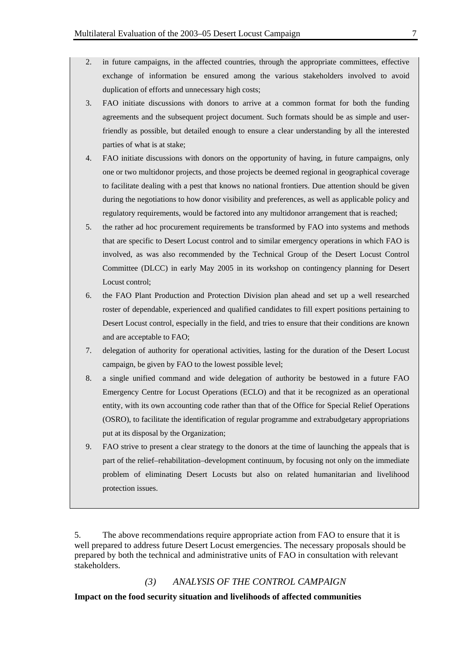- 2. in future campaigns, in the affected countries, through the appropriate committees, effective exchange of information be ensured among the various stakeholders involved to avoid duplication of efforts and unnecessary high costs;
- 3. FAO initiate discussions with donors to arrive at a common format for both the funding agreements and the subsequent project document. Such formats should be as simple and userfriendly as possible, but detailed enough to ensure a clear understanding by all the interested parties of what is at stake;
- 4. FAO initiate discussions with donors on the opportunity of having, in future campaigns, only one or two multidonor projects, and those projects be deemed regional in geographical coverage to facilitate dealing with a pest that knows no national frontiers. Due attention should be given during the negotiations to how donor visibility and preferences, as well as applicable policy and regulatory requirements, would be factored into any multidonor arrangement that is reached;
- 5. the rather ad hoc procurement requirements be transformed by FAO into systems and methods that are specific to Desert Locust control and to similar emergency operations in which FAO is involved, as was also recommended by the Technical Group of the Desert Locust Control Committee (DLCC) in early May 2005 in its workshop on contingency planning for Desert Locust control;
- 6. the FAO Plant Production and Protection Division plan ahead and set up a well researched roster of dependable, experienced and qualified candidates to fill expert positions pertaining to Desert Locust control, especially in the field, and tries to ensure that their conditions are known and are acceptable to FAO;
- 7. delegation of authority for operational activities, lasting for the duration of the Desert Locust campaign, be given by FAO to the lowest possible level;
- 8. a single unified command and wide delegation of authority be bestowed in a future FAO Emergency Centre for Locust Operations (ECLO) and that it be recognized as an operational entity, with its own accounting code rather than that of the Office for Special Relief Operations (OSRO), to facilitate the identification of regular programme and extrabudgetary appropriations put at its disposal by the Organization;
- 9. FAO strive to present a clear strategy to the donors at the time of launching the appeals that is part of the relief–rehabilitation–development continuum, by focusing not only on the immediate problem of eliminating Desert Locusts but also on related humanitarian and livelihood protection issues.

5. The above recommendations require appropriate action from FAO to ensure that it is well prepared to address future Desert Locust emergencies. The necessary proposals should be prepared by both the technical and administrative units of FAO in consultation with relevant stakeholders.

*(3) ANALYSIS OF THE CONTROL CAMPAIGN* 

**Impact on the food security situation and livelihoods of affected communities**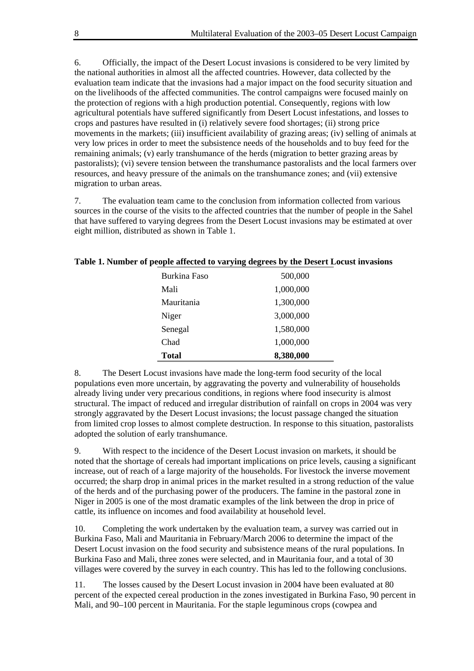6. Officially, the impact of the Desert Locust invasions is considered to be very limited by the national authorities in almost all the affected countries. However, data collected by the evaluation team indicate that the invasions had a major impact on the food security situation and on the livelihoods of the affected communities. The control campaigns were focused mainly on the protection of regions with a high production potential. Consequently, regions with low agricultural potentials have suffered significantly from Desert Locust infestations, and losses to crops and pastures have resulted in (i) relatively severe food shortages; (ii) strong price movements in the markets; (iii) insufficient availability of grazing areas; (iv) selling of animals at very low prices in order to meet the subsistence needs of the households and to buy feed for the remaining animals; (v) early transhumance of the herds (migration to better grazing areas by pastoralists); (vi) severe tension between the transhumance pastoralists and the local farmers over resources, and heavy pressure of the animals on the transhumance zones; and (vii) extensive migration to urban areas.

7. The evaluation team came to the conclusion from information collected from various sources in the course of the visits to the affected countries that the number of people in the Sahel that have suffered to varying degrees from the Desert Locust invasions may be estimated at over eight million, distributed as shown in Table 1.

| Burkina Faso | 500,000   |
|--------------|-----------|
| Mali         | 1,000,000 |
| Mauritania   | 1,300,000 |
| Niger        | 3,000,000 |
| Senegal      | 1,580,000 |
| Chad         | 1,000,000 |
| Total        | 8,380,000 |

#### **Table 1. Number of people affected to varying degrees by the Desert Locust invasions**

8. The Desert Locust invasions have made the long-term food security of the local populations even more uncertain, by aggravating the poverty and vulnerability of households already living under very precarious conditions, in regions where food insecurity is almost structural. The impact of reduced and irregular distribution of rainfall on crops in 2004 was very strongly aggravated by the Desert Locust invasions; the locust passage changed the situation from limited crop losses to almost complete destruction. In response to this situation, pastoralists adopted the solution of early transhumance.

9. With respect to the incidence of the Desert Locust invasion on markets, it should be noted that the shortage of cereals had important implications on price levels, causing a significant increase, out of reach of a large majority of the households. For livestock the inverse movement occurred; the sharp drop in animal prices in the market resulted in a strong reduction of the value of the herds and of the purchasing power of the producers. The famine in the pastoral zone in Niger in 2005 is one of the most dramatic examples of the link between the drop in price of cattle, its influence on incomes and food availability at household level.

10. Completing the work undertaken by the evaluation team, a survey was carried out in Burkina Faso, Mali and Mauritania in February/March 2006 to determine the impact of the Desert Locust invasion on the food security and subsistence means of the rural populations. In Burkina Faso and Mali, three zones were selected, and in Mauritania four, and a total of 30 villages were covered by the survey in each country. This has led to the following conclusions.

11. The losses caused by the Desert Locust invasion in 2004 have been evaluated at 80 percent of the expected cereal production in the zones investigated in Burkina Faso, 90 percent in Mali, and 90–100 percent in Mauritania. For the staple leguminous crops (cowpea and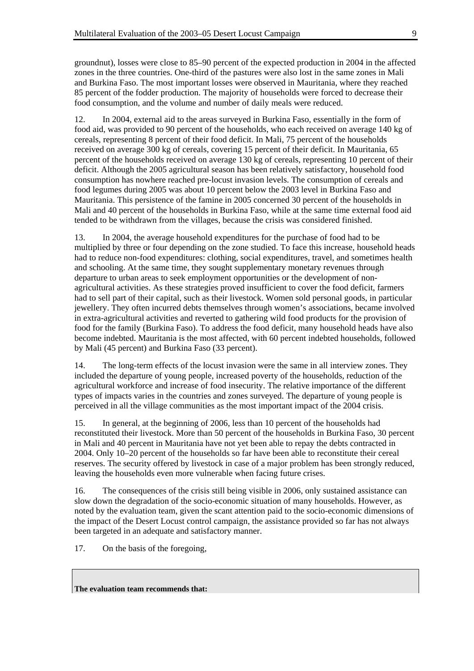groundnut), losses were close to 85–90 percent of the expected production in 2004 in the affected zones in the three countries. One-third of the pastures were also lost in the same zones in Mali and Burkina Faso. The most important losses were observed in Mauritania, where they reached 85 percent of the fodder production. The majority of households were forced to decrease their food consumption, and the volume and number of daily meals were reduced.

12. In 2004, external aid to the areas surveyed in Burkina Faso, essentially in the form of food aid, was provided to 90 percent of the households, who each received on average 140 kg of cereals, representing 8 percent of their food deficit. In Mali, 75 percent of the households received on average 300 kg of cereals, covering 15 percent of their deficit. In Mauritania, 65 percent of the households received on average 130 kg of cereals, representing 10 percent of their deficit. Although the 2005 agricultural season has been relatively satisfactory, household food consumption has nowhere reached pre-locust invasion levels. The consumption of cereals and food legumes during 2005 was about 10 percent below the 2003 level in Burkina Faso and Mauritania. This persistence of the famine in 2005 concerned 30 percent of the households in Mali and 40 percent of the households in Burkina Faso, while at the same time external food aid tended to be withdrawn from the villages, because the crisis was considered finished.

13. In 2004, the average household expenditures for the purchase of food had to be multiplied by three or four depending on the zone studied. To face this increase, household heads had to reduce non-food expenditures: clothing, social expenditures, travel, and sometimes health and schooling. At the same time, they sought supplementary monetary revenues through departure to urban areas to seek employment opportunities or the development of nonagricultural activities. As these strategies proved insufficient to cover the food deficit, farmers had to sell part of their capital, such as their livestock. Women sold personal goods, in particular jewellery. They often incurred debts themselves through women's associations, became involved in extra-agricultural activities and reverted to gathering wild food products for the provision of food for the family (Burkina Faso). To address the food deficit, many household heads have also become indebted. Mauritania is the most affected, with 60 percent indebted households, followed by Mali (45 percent) and Burkina Faso (33 percent).

14. The long-term effects of the locust invasion were the same in all interview zones. They included the departure of young people, increased poverty of the households, reduction of the agricultural workforce and increase of food insecurity. The relative importance of the different types of impacts varies in the countries and zones surveyed. The departure of young people is perceived in all the village communities as the most important impact of the 2004 crisis.

15. In general, at the beginning of 2006, less than 10 percent of the households had reconstituted their livestock. More than 50 percent of the households in Burkina Faso, 30 percent in Mali and 40 percent in Mauritania have not yet been able to repay the debts contracted in 2004. Only 10–20 percent of the households so far have been able to reconstitute their cereal reserves. The security offered by livestock in case of a major problem has been strongly reduced, leaving the households even more vulnerable when facing future crises.

16. The consequences of the crisis still being visible in 2006, only sustained assistance can slow down the degradation of the socio-economic situation of many households. However, as noted by the evaluation team, given the scant attention paid to the socio-economic dimensions of the impact of the Desert Locust control campaign, the assistance provided so far has not always been targeted in an adequate and satisfactory manner.

17. On the basis of the foregoing,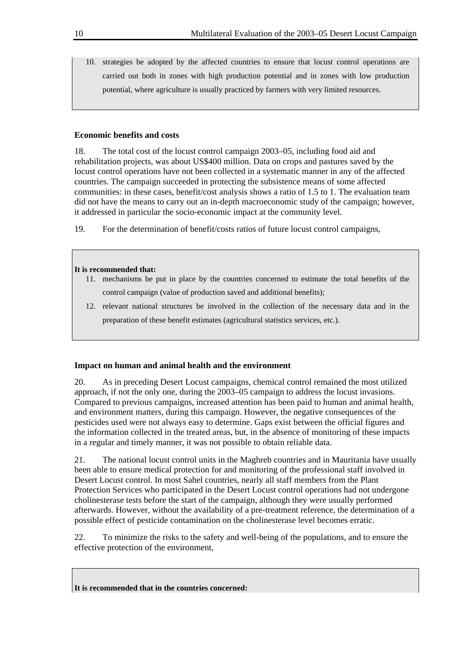10. strategies be adopted by the affected countries to ensure that locust control operations are carried out both in zones with high production potential and in zones with low production potential, where agriculture is usually practiced by farmers with very limited resources.

### **Economic benefits and costs**

18. The total cost of the locust control campaign 2003–05, including food aid and rehabilitation projects, was about US\$400 million. Data on crops and pastures saved by the locust control operations have not been collected in a systematic manner in any of the affected countries. The campaign succeeded in protecting the subsistence means of some affected communities: in these cases, benefit/cost analysis shows a ratio of 1.5 to 1. The evaluation team did not have the means to carry out an in-depth macroeconomic study of the campaign; however, it addressed in particular the socio-economic impact at the community level.

19. For the determination of benefit/costs ratios of future locust control campaigns,

#### **It is recommended that:**

- 11. mechanisms be put in place by the countries concerned to estimate the total benefits of the control campaign (value of production saved and additional benefits);
- 12. relevant national structures be involved in the collection of the necessary data and in the preparation of these benefit estimates (agricultural statistics services, etc.).

#### **Impact on human and animal health and the environment**

20. As in preceding Desert Locust campaigns, chemical control remained the most utilized approach, if not the only one, during the 2003–05 campaign to address the locust invasions. Compared to previous campaigns, increased attention has been paid to human and animal health, and environment matters, during this campaign. However, the negative consequences of the pesticides used were not always easy to determine. Gaps exist between the official figures and the information collected in the treated areas, but, in the absence of monitoring of these impacts in a regular and timely manner, it was not possible to obtain reliable data.

21. The national locust control units in the Maghreb countries and in Mauritania have usually been able to ensure medical protection for and monitoring of the professional staff involved in Desert Locust control. In most Sahel countries, nearly all staff members from the Plant Protection Services who participated in the Desert Locust control operations had not undergone cholinesterase tests before the start of the campaign, although they were usually performed afterwards. However, without the availability of a pre-treatment reference, the determination of a possible effect of pesticide contamination on the cholinesterase level becomes erratic.

22. To minimize the risks to the safety and well-being of the populations, and to ensure the effective protection of the environment,

**It is recommended that in the countries concerned:**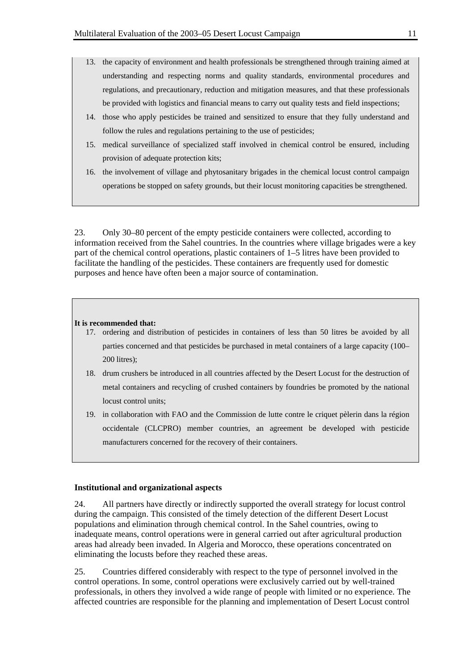- 13. the capacity of environment and health professionals be strengthened through training aimed at understanding and respecting norms and quality standards, environmental procedures and regulations, and precautionary, reduction and mitigation measures, and that these professionals be provided with logistics and financial means to carry out quality tests and field inspections;
- 14. those who apply pesticides be trained and sensitized to ensure that they fully understand and follow the rules and regulations pertaining to the use of pesticides;
- 15. medical surveillance of specialized staff involved in chemical control be ensured, including provision of adequate protection kits;
- 16. the involvement of village and phytosanitary brigades in the chemical locust control campaign operations be stopped on safety grounds, but their locust monitoring capacities be strengthened.

23. Only 30–80 percent of the empty pesticide containers were collected, according to information received from the Sahel countries. In the countries where village brigades were a key part of the chemical control operations, plastic containers of 1–5 litres have been provided to facilitate the handling of the pesticides. These containers are frequently used for domestic purposes and hence have often been a major source of contamination.

#### **It is recommended that:**

- 17. ordering and distribution of pesticides in containers of less than 50 litres be avoided by all parties concerned and that pesticides be purchased in metal containers of a large capacity (100– 200 litres);
- 18. drum crushers be introduced in all countries affected by the Desert Locust for the destruction of metal containers and recycling of crushed containers by foundries be promoted by the national locust control units;
- 19. in collaboration with FAO and the Commission de lutte contre le criquet pèlerin dans la région occidentale (CLCPRO) member countries, an agreement be developed with pesticide manufacturers concerned for the recovery of their containers.

#### **Institutional and organizational aspects**

24. All partners have directly or indirectly supported the overall strategy for locust control during the campaign. This consisted of the timely detection of the different Desert Locust populations and elimination through chemical control. In the Sahel countries, owing to inadequate means, control operations were in general carried out after agricultural production areas had already been invaded. In Algeria and Morocco, these operations concentrated on eliminating the locusts before they reached these areas.

25. Countries differed considerably with respect to the type of personnel involved in the control operations. In some, control operations were exclusively carried out by well-trained professionals, in others they involved a wide range of people with limited or no experience. The affected countries are responsible for the planning and implementation of Desert Locust control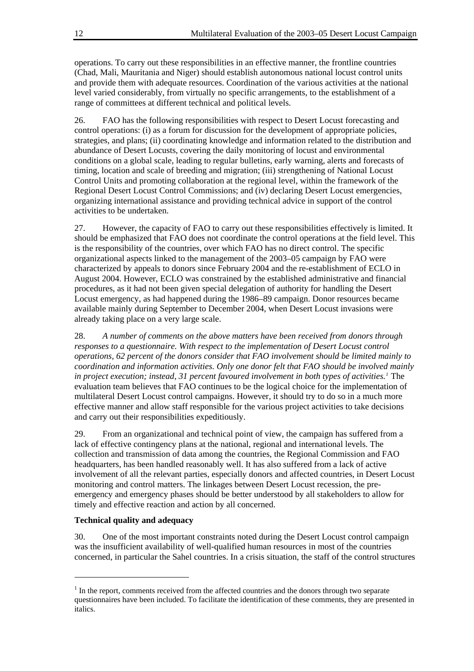operations. To carry out these responsibilities in an effective manner, the frontline countries (Chad, Mali, Mauritania and Niger) should establish autonomous national locust control units and provide them with adequate resources. Coordination of the various activities at the national level varied considerably, from virtually no specific arrangements, to the establishment of a range of committees at different technical and political levels.

26. FAO has the following responsibilities with respect to Desert Locust forecasting and control operations: (i) as a forum for discussion for the development of appropriate policies, strategies, and plans; (ii) coordinating knowledge and information related to the distribution and abundance of Desert Locusts, covering the daily monitoring of locust and environmental conditions on a global scale, leading to regular bulletins, early warning, alerts and forecasts of timing, location and scale of breeding and migration; (iii) strengthening of National Locust Control Units and promoting collaboration at the regional level, within the framework of the Regional Desert Locust Control Commissions; and (iv) declaring Desert Locust emergencies, organizing international assistance and providing technical advice in support of the control activities to be undertaken.

27. However, the capacity of FAO to carry out these responsibilities effectively is limited. It should be emphasized that FAO does not coordinate the control operations at the field level. This is the responsibility of the countries, over which FAO has no direct control. The specific organizational aspects linked to the management of the 2003–05 campaign by FAO were characterized by appeals to donors since February 2004 and the re-establishment of ECLO in August 2004. However, ECLO was constrained by the established administrative and financial procedures, as it had not been given special delegation of authority for handling the Desert Locust emergency, as had happened during the 1986–89 campaign. Donor resources became available mainly during September to December 2004, when Desert Locust invasions were already taking place on a very large scale.

28. *A number of comments on the above matters have been received from donors through responses to a questionnaire. With respect to the implementation of Desert Locust control operations, 62 percent of the donors consider that FAO involvement should be limited mainly to coordination and information activities. Only one donor felt that FAO should be involved mainly in project execution; instead, 31 percent favoured involvement in both types of activities.[1](#page-15-0)* The evaluation team believes that FAO continues to be the logical choice for the implementation of multilateral Desert Locust control campaigns. However, it should try to do so in a much more effective manner and allow staff responsible for the various project activities to take decisions and carry out their responsibilities expeditiously.

29. From an organizational and technical point of view, the campaign has suffered from a lack of effective contingency plans at the national, regional and international levels. The collection and transmission of data among the countries, the Regional Commission and FAO headquarters, has been handled reasonably well. It has also suffered from a lack of active involvement of all the relevant parties, especially donors and affected countries, in Desert Locust monitoring and control matters. The linkages between Desert Locust recession, the preemergency and emergency phases should be better understood by all stakeholders to allow for timely and effective reaction and action by all concerned.

#### **Technical quality and adequacy**

 $\overline{a}$ 

30. One of the most important constraints noted during the Desert Locust control campaign was the insufficient availability of well-qualified human resources in most of the countries concerned, in particular the Sahel countries. In a crisis situation, the staff of the control structures

<span id="page-15-0"></span> $<sup>1</sup>$  In the report, comments received from the affected countries and the donors through two separate</sup> questionnaires have been included. To facilitate the identification of these comments, they are presented in italics.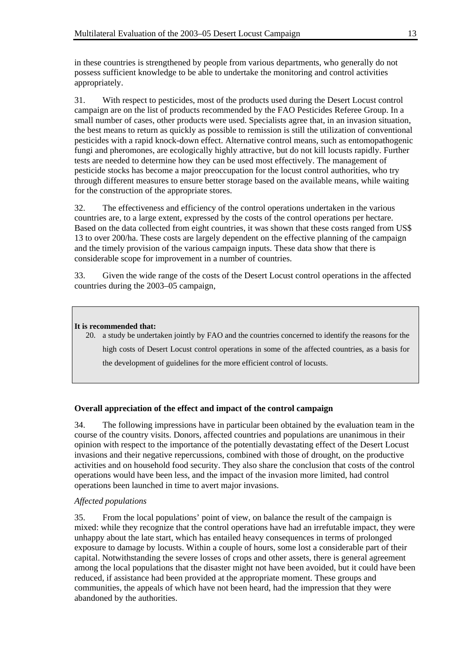in these countries is strengthened by people from various departments, who generally do not possess sufficient knowledge to be able to undertake the monitoring and control activities appropriately.

31. With respect to pesticides, most of the products used during the Desert Locust control campaign are on the list of products recommended by the FAO Pesticides Referee Group. In a small number of cases, other products were used. Specialists agree that, in an invasion situation, the best means to return as quickly as possible to remission is still the utilization of conventional pesticides with a rapid knock-down effect. Alternative control means, such as entomopathogenic fungi and pheromones, are ecologically highly attractive, but do not kill locusts rapidly. Further tests are needed to determine how they can be used most effectively. The management of pesticide stocks has become a major preoccupation for the locust control authorities, who try through different measures to ensure better storage based on the available means, while waiting for the construction of the appropriate stores.

32. The effectiveness and efficiency of the control operations undertaken in the various countries are, to a large extent, expressed by the costs of the control operations per hectare. Based on the data collected from eight countries, it was shown that these costs ranged from US\$ 13 to over 200/ha. These costs are largely dependent on the effective planning of the campaign and the timely provision of the various campaign inputs. These data show that there is considerable scope for improvement in a number of countries.

33. Given the wide range of the costs of the Desert Locust control operations in the affected countries during the 2003–05 campaign,

#### **It is recommended that:**

20. a study be undertaken jointly by FAO and the countries concerned to identify the reasons for the high costs of Desert Locust control operations in some of the affected countries, as a basis for the development of guidelines for the more efficient control of locusts.

### **Overall appreciation of the effect and impact of the control campaign**

34. The following impressions have in particular been obtained by the evaluation team in the course of the country visits. Donors, affected countries and populations are unanimous in their opinion with respect to the importance of the potentially devastating effect of the Desert Locust invasions and their negative repercussions, combined with those of drought, on the productive activities and on household food security. They also share the conclusion that costs of the control operations would have been less, and the impact of the invasion more limited, had control operations been launched in time to avert major invasions.

### *Affected populations*

35. From the local populations' point of view, on balance the result of the campaign is mixed: while they recognize that the control operations have had an irrefutable impact, they were unhappy about the late start, which has entailed heavy consequences in terms of prolonged exposure to damage by locusts. Within a couple of hours, some lost a considerable part of their capital. Notwithstanding the severe losses of crops and other assets, there is general agreement among the local populations that the disaster might not have been avoided, but it could have been reduced, if assistance had been provided at the appropriate moment. These groups and communities, the appeals of which have not been heard, had the impression that they were abandoned by the authorities.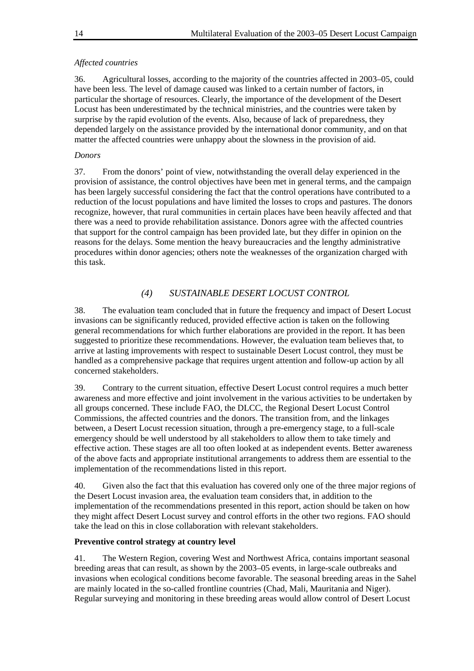### *Affected countries*

36. Agricultural losses, according to the majority of the countries affected in 2003–05, could have been less. The level of damage caused was linked to a certain number of factors, in particular the shortage of resources. Clearly, the importance of the development of the Desert Locust has been underestimated by the technical ministries, and the countries were taken by surprise by the rapid evolution of the events. Also, because of lack of preparedness, they depended largely on the assistance provided by the international donor community, and on that matter the affected countries were unhappy about the slowness in the provision of aid.

### *Donors*

37. From the donors' point of view, notwithstanding the overall delay experienced in the provision of assistance, the control objectives have been met in general terms, and the campaign has been largely successful considering the fact that the control operations have contributed to a reduction of the locust populations and have limited the losses to crops and pastures. The donors recognize, however, that rural communities in certain places have been heavily affected and that there was a need to provide rehabilitation assistance. Donors agree with the affected countries that support for the control campaign has been provided late, but they differ in opinion on the reasons for the delays. Some mention the heavy bureaucracies and the lengthy administrative procedures within donor agencies; others note the weaknesses of the organization charged with this task.

### *(4) SUSTAINABLE DESERT LOCUST CONTROL*

38. The evaluation team concluded that in future the frequency and impact of Desert Locust invasions can be significantly reduced, provided effective action is taken on the following general recommendations for which further elaborations are provided in the report. It has been suggested to prioritize these recommendations. However, the evaluation team believes that, to arrive at lasting improvements with respect to sustainable Desert Locust control, they must be handled as a comprehensive package that requires urgent attention and follow-up action by all concerned stakeholders.

39. Contrary to the current situation, effective Desert Locust control requires a much better awareness and more effective and joint involvement in the various activities to be undertaken by all groups concerned. These include FAO, the DLCC, the Regional Desert Locust Control Commissions, the affected countries and the donors. The transition from, and the linkages between, a Desert Locust recession situation, through a pre-emergency stage, to a full-scale emergency should be well understood by all stakeholders to allow them to take timely and effective action. These stages are all too often looked at as independent events. Better awareness of the above facts and appropriate institutional arrangements to address them are essential to the implementation of the recommendations listed in this report.

40. Given also the fact that this evaluation has covered only one of the three major regions of the Desert Locust invasion area, the evaluation team considers that, in addition to the implementation of the recommendations presented in this report, action should be taken on how they might affect Desert Locust survey and control efforts in the other two regions. FAO should take the lead on this in close collaboration with relevant stakeholders.

### **Preventive control strategy at country level**

41. The Western Region, covering West and Northwest Africa, contains important seasonal breeding areas that can result, as shown by the 2003–05 events, in large-scale outbreaks and invasions when ecological conditions become favorable. The seasonal breeding areas in the Sahel are mainly located in the so-called frontline countries (Chad, Mali, Mauritania and Niger). Regular surveying and monitoring in these breeding areas would allow control of Desert Locust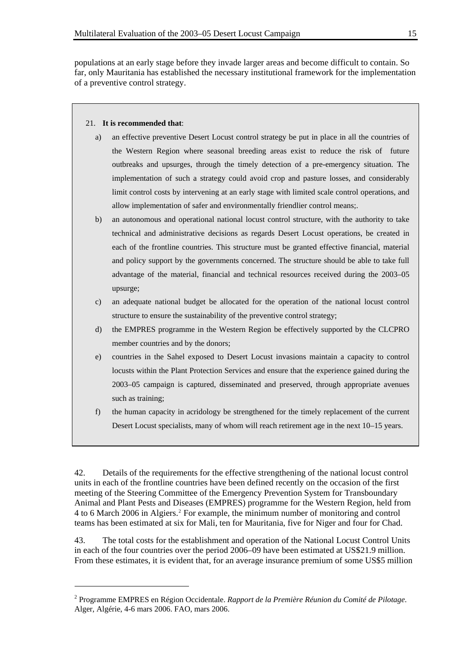populations at an early stage before they invade larger areas and become difficult to contain. So far, only Mauritania has established the necessary institutional framework for the implementation of a preventive control strategy.

#### 21. **It is recommended that**:

l

- a) an effective preventive Desert Locust control strategy be put in place in all the countries of the Western Region where seasonal breeding areas exist to reduce the risk of future outbreaks and upsurges, through the timely detection of a pre-emergency situation. The implementation of such a strategy could avoid crop and pasture losses, and considerably limit control costs by intervening at an early stage with limited scale control operations, and allow implementation of safer and environmentally friendlier control means;.
- b) an autonomous and operational national locust control structure, with the authority to take technical and administrative decisions as regards Desert Locust operations, be created in each of the frontline countries. This structure must be granted effective financial, material and policy support by the governments concerned. The structure should be able to take full advantage of the material, financial and technical resources received during the 2003–05 upsurge;
- c) an adequate national budget be allocated for the operation of the national locust control structure to ensure the sustainability of the preventive control strategy;
- d) the EMPRES programme in the Western Region be effectively supported by the CLCPRO member countries and by the donors;
- e) countries in the Sahel exposed to Desert Locust invasions maintain a capacity to control locusts within the Plant Protection Services and ensure that the experience gained during the 2003–05 campaign is captured, disseminated and preserved, through appropriate avenues such as training;
- f) the human capacity in acridology be strengthened for the timely replacement of the current Desert Locust specialists, many of whom will reach retirement age in the next 10–15 years.

42. Details of the requirements for the effective strengthening of the national locust control units in each of the frontline countries have been defined recently on the occasion of the first meeting of the Steering Committee of the Emergency Prevention System for Transboundary Animal and Plant Pests and Diseases (EMPRES) programme for the Western Region, held from 4 to 6 March [2](#page-18-0)006 in Algiers.<sup>2</sup> For example, the minimum number of monitoring and control teams has been estimated at six for Mali, ten for Mauritania, five for Niger and four for Chad.

43. The total costs for the establishment and operation of the National Locust Control Units in each of the four countries over the period 2006–09 have been estimated at US\$21.9 million. From these estimates, it is evident that, for an average insurance premium of some US\$5 million

<span id="page-18-0"></span><sup>2</sup> Programme EMPRES en Région Occidentale. *Rapport de la Première Réunion du Comité de Pilotage*. Alger, Algérie, 4-6 mars 2006. FAO, mars 2006.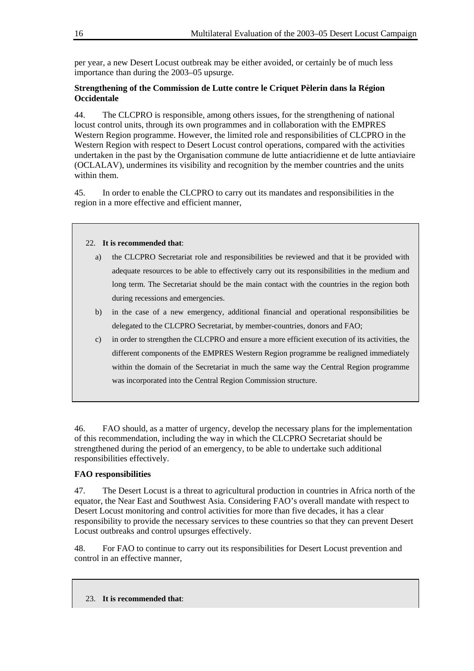per year, a new Desert Locust outbreak may be either avoided, or certainly be of much less importance than during the 2003–05 upsurge.

### **Strengthening of the Commission de Lutte contre le Criquet Pèlerin dans la Région Occidentale**

44. The CLCPRO is responsible, among others issues, for the strengthening of national locust control units, through its own programmes and in collaboration with the EMPRES Western Region programme. However, the limited role and responsibilities of CLCPRO in the Western Region with respect to Desert Locust control operations, compared with the activities undertaken in the past by the Organisation commune de lutte antiacridienne et de lutte antiaviaire (OCLALAV), undermines its visibility and recognition by the member countries and the units within them.

45. In order to enable the CLCPRO to carry out its mandates and responsibilities in the region in a more effective and efficient manner,

#### 22. **It is recommended that**:

- a) the CLCPRO Secretariat role and responsibilities be reviewed and that it be provided with adequate resources to be able to effectively carry out its responsibilities in the medium and long term. The Secretariat should be the main contact with the countries in the region both during recessions and emergencies.
- b) in the case of a new emergency, additional financial and operational responsibilities be delegated to the CLCPRO Secretariat, by member-countries, donors and FAO;
- c) in order to strengthen the CLCPRO and ensure a more efficient execution of its activities, the different components of the EMPRES Western Region programme be realigned immediately within the domain of the Secretariat in much the same way the Central Region programme was incorporated into the Central Region Commission structure.

46. FAO should, as a matter of urgency, develop the necessary plans for the implementation of this recommendation, including the way in which the CLCPRO Secretariat should be strengthened during the period of an emergency, to be able to undertake such additional responsibilities effectively.

### **FAO responsibilities**

47. The Desert Locust is a threat to agricultural production in countries in Africa north of the equator, the Near East and Southwest Asia. Considering FAO's overall mandate with respect to Desert Locust monitoring and control activities for more than five decades, it has a clear responsibility to provide the necessary services to these countries so that they can prevent Desert Locust outbreaks and control upsurges effectively.

48. For FAO to continue to carry out its responsibilities for Desert Locust prevention and control in an effective manner,

23. **It is recommended that**: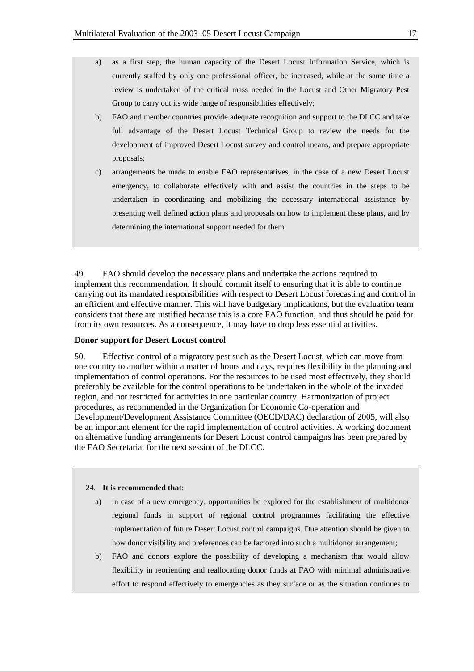- a) as a first step, the human capacity of the Desert Locust Information Service, which is currently staffed by only one professional officer, be increased, while at the same time a review is undertaken of the critical mass needed in the Locust and Other Migratory Pest Group to carry out its wide range of responsibilities effectively;
- b) FAO and member countries provide adequate recognition and support to the DLCC and take full advantage of the Desert Locust Technical Group to review the needs for the development of improved Desert Locust survey and control means, and prepare appropriate proposals;
- c) arrangements be made to enable FAO representatives, in the case of a new Desert Locust emergency, to collaborate effectively with and assist the countries in the steps to be undertaken in coordinating and mobilizing the necessary international assistance by presenting well defined action plans and proposals on how to implement these plans, and by determining the international support needed for them.

49. FAO should develop the necessary plans and undertake the actions required to implement this recommendation. It should commit itself to ensuring that it is able to continue carrying out its mandated responsibilities with respect to Desert Locust forecasting and control in an efficient and effective manner. This will have budgetary implications, but the evaluation team considers that these are justified because this is a core FAO function, and thus should be paid for from its own resources. As a consequence, it may have to drop less essential activities.

#### **Donor support for Desert Locust control**

50. Effective control of a migratory pest such as the Desert Locust, which can move from one country to another within a matter of hours and days, requires flexibility in the planning and implementation of control operations. For the resources to be used most effectively, they should preferably be available for the control operations to be undertaken in the whole of the invaded region, and not restricted for activities in one particular country. Harmonization of project procedures, as recommended in the Organization for Economic Co-operation and Development/Development Assistance Committee (OECD/DAC) declaration of 2005, will also be an important element for the rapid implementation of control activities. A working document on alternative funding arrangements for Desert Locust control campaigns has been prepared by the FAO Secretariat for the next session of the DLCC.

#### 24. **It is recommended that**:

- a) in case of a new emergency, opportunities be explored for the establishment of multidonor regional funds in support of regional control programmes facilitating the effective implementation of future Desert Locust control campaigns. Due attention should be given to how donor visibility and preferences can be factored into such a multidonor arrangement;
- b) FAO and donors explore the possibility of developing a mechanism that would allow flexibility in reorienting and reallocating donor funds at FAO with minimal administrative effort to respond effectively to emergencies as they surface or as the situation continues to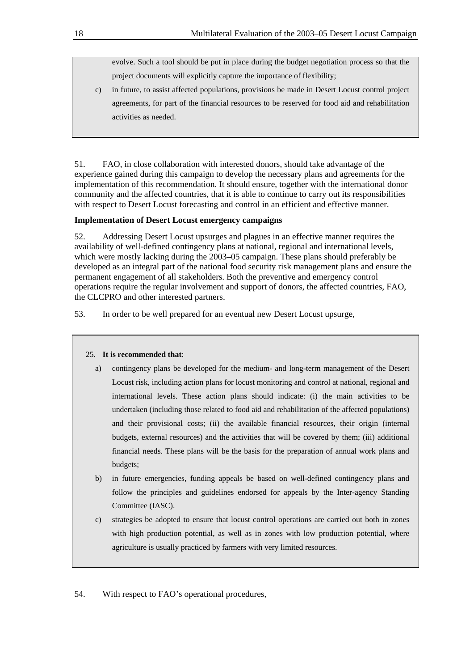evolve. Such a tool should be put in place during the budget negotiation process so that the project documents will explicitly capture the importance of flexibility;

c) in future, to assist affected populations, provisions be made in Desert Locust control project agreements, for part of the financial resources to be reserved for food aid and rehabilitation activities as needed.

51. FAO, in close collaboration with interested donors, should take advantage of the experience gained during this campaign to develop the necessary plans and agreements for the implementation of this recommendation. It should ensure, together with the international donor community and the affected countries, that it is able to continue to carry out its responsibilities with respect to Desert Locust forecasting and control in an efficient and effective manner.

#### **Implementation of Desert Locust emergency campaigns**

52. Addressing Desert Locust upsurges and plagues in an effective manner requires the availability of well-defined contingency plans at national, regional and international levels, which were mostly lacking during the 2003–05 campaign. These plans should preferably be developed as an integral part of the national food security risk management plans and ensure the permanent engagement of all stakeholders. Both the preventive and emergency control operations require the regular involvement and support of donors, the affected countries, FAO, the CLCPRO and other interested partners.

53. In order to be well prepared for an eventual new Desert Locust upsurge,

#### 25. **It is recommended that**:

- a) contingency plans be developed for the medium- and long-term management of the Desert Locust risk, including action plans for locust monitoring and control at national, regional and international levels. These action plans should indicate: (i) the main activities to be undertaken (including those related to food aid and rehabilitation of the affected populations) and their provisional costs; (ii) the available financial resources, their origin (internal budgets, external resources) and the activities that will be covered by them; (iii) additional financial needs. These plans will be the basis for the preparation of annual work plans and budgets;
- b) in future emergencies, funding appeals be based on well-defined contingency plans and follow the principles and guidelines endorsed for appeals by the Inter-agency Standing Committee (IASC).
- c) strategies be adopted to ensure that locust control operations are carried out both in zones with high production potential, as well as in zones with low production potential, where agriculture is usually practiced by farmers with very limited resources.

54. With respect to FAO's operational procedures,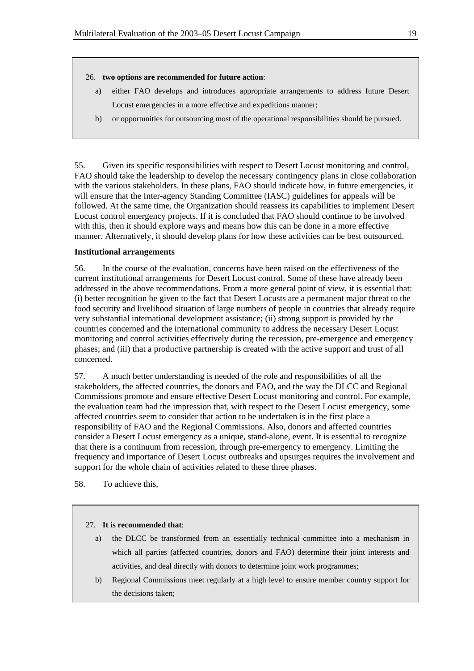#### 26. **two options are recommended for future action**:

- a) either FAO develops and introduces appropriate arrangements to address future Desert Locust emergencies in a more effective and expeditious manner;
- b) or opportunities for outsourcing most of the operational responsibilities should be pursued.

55. Given its specific responsibilities with respect to Desert Locust monitoring and control, FAO should take the leadership to develop the necessary contingency plans in close collaboration with the various stakeholders. In these plans, FAO should indicate how, in future emergencies, it will ensure that the Inter-agency Standing Committee (IASC) guidelines for appeals will be followed. At the same time, the Organization should reassess its capabilities to implement Desert Locust control emergency projects. If it is concluded that FAO should continue to be involved with this, then it should explore ways and means how this can be done in a more effective manner. Alternatively, it should develop plans for how these activities can be best outsourced.

#### **Institutional arrangements**

56. In the course of the evaluation, concerns have been raised on the effectiveness of the current institutional arrangements for Desert Locust control. Some of these have already been addressed in the above recommendations. From a more general point of view, it is essential that: (i) better recognition be given to the fact that Desert Locusts are a permanent major threat to the food security and livelihood situation of large numbers of people in countries that already require very substantial international development assistance; (ii) strong support is provided by the countries concerned and the international community to address the necessary Desert Locust monitoring and control activities effectively during the recession, pre-emergence and emergency phases; and (iii) that a productive partnership is created with the active support and trust of all concerned.

57. A much better understanding is needed of the role and responsibilities of all the stakeholders, the affected countries, the donors and FAO, and the way the DLCC and Regional Commissions promote and ensure effective Desert Locust monitoring and control. For example, the evaluation team had the impression that, with respect to the Desert Locust emergency, some affected countries seem to consider that action to be undertaken is in the first place a responsibility of FAO and the Regional Commissions. Also, donors and affected countries consider a Desert Locust emergency as a unique, stand-alone, event. It is essential to recognize that there is a continuum from recession, through pre-emergency to emergency. Limiting the frequency and importance of Desert Locust outbreaks and upsurges requires the involvement and support for the whole chain of activities related to these three phases.

58. To achieve this,

#### 27. **It is recommended that**:

- a) the DLCC be transformed from an essentially technical committee into a mechanism in which all parties (affected countries, donors and FAO) determine their joint interests and activities, and deal directly with donors to determine joint work programmes;
- b) Regional Commissions meet regularly at a high level to ensure member country support for the decisions taken;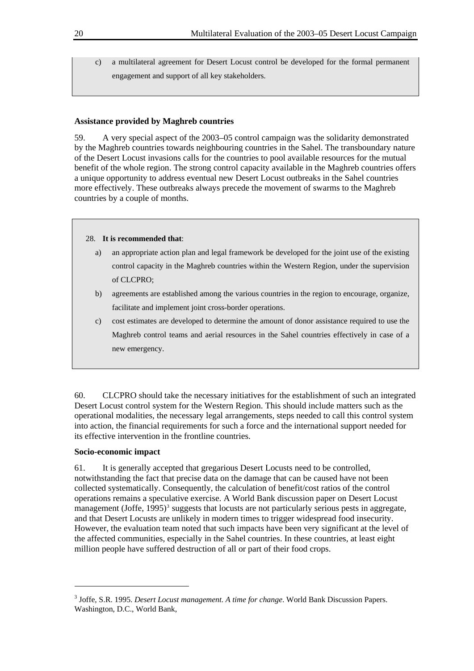c) a multilateral agreement for Desert Locust control be developed for the formal permanent engagement and support of all key stakeholders.

#### **Assistance provided by Maghreb countries**

59. A very special aspect of the 2003–05 control campaign was the solidarity demonstrated by the Maghreb countries towards neighbouring countries in the Sahel. The transboundary nature of the Desert Locust invasions calls for the countries to pool available resources for the mutual benefit of the whole region. The strong control capacity available in the Maghreb countries offers a unique opportunity to address eventual new Desert Locust outbreaks in the Sahel countries more effectively. These outbreaks always precede the movement of swarms to the Maghreb countries by a couple of months.

#### 28. **It is recommended that**:

- a) an appropriate action plan and legal framework be developed for the joint use of the existing control capacity in the Maghreb countries within the Western Region, under the supervision of CLCPRO;
- b) agreements are established among the various countries in the region to encourage, organize, facilitate and implement joint cross-border operations.
- c) cost estimates are developed to determine the amount of donor assistance required to use the Maghreb control teams and aerial resources in the Sahel countries effectively in case of a new emergency.

60. CLCPRO should take the necessary initiatives for the establishment of such an integrated Desert Locust control system for the Western Region. This should include matters such as the operational modalities, the necessary legal arrangements, steps needed to call this control system into action, the financial requirements for such a force and the international support needed for its effective intervention in the frontline countries.

#### **Socio-economic impact**

l

61. It is generally accepted that gregarious Desert Locusts need to be controlled, notwithstanding the fact that precise data on the damage that can be caused have not been collected systematically. Consequently, the calculation of benefit/cost ratios of the control operations remains a speculative exercise. A World Bank discussion paper on Desert Locust management (Joffe, 1995)<sup>[3](#page-23-0)</sup> suggests that locusts are not particularly serious pests in aggregate, and that Desert Locusts are unlikely in modern times to trigger widespread food insecurity. However, the evaluation team noted that such impacts have been very significant at the level of the affected communities, especially in the Sahel countries. In these countries, at least eight million people have suffered destruction of all or part of their food crops.

<span id="page-23-0"></span><sup>3</sup> Joffe, S.R. 1995. *Desert Locust management. A time for change*. World Bank Discussion Papers. Washington, D.C., World Bank,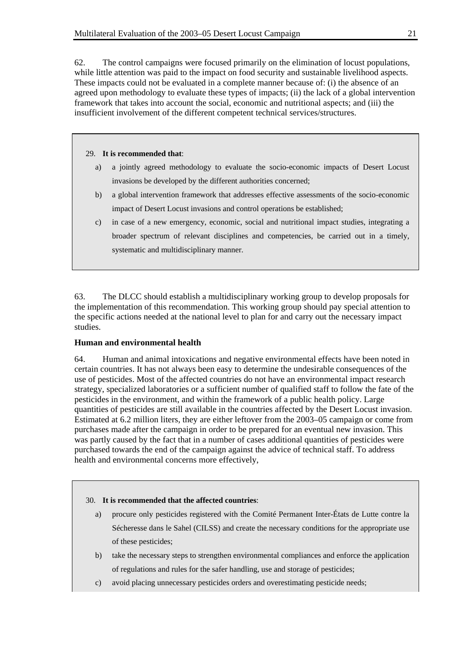62. The control campaigns were focused primarily on the elimination of locust populations, while little attention was paid to the impact on food security and sustainable livelihood aspects. These impacts could not be evaluated in a complete manner because of: (i) the absence of an agreed upon methodology to evaluate these types of impacts; (ii) the lack of a global intervention framework that takes into account the social, economic and nutritional aspects; and (iii) the insufficient involvement of the different competent technical services/structures.

#### 29. **It is recommended that**:

- a) a jointly agreed methodology to evaluate the socio-economic impacts of Desert Locust invasions be developed by the different authorities concerned;
- b) a global intervention framework that addresses effective assessments of the socio-economic impact of Desert Locust invasions and control operations be established;
- c) in case of a new emergency, economic, social and nutritional impact studies, integrating a broader spectrum of relevant disciplines and competencies, be carried out in a timely, systematic and multidisciplinary manner.

63. The DLCC should establish a multidisciplinary working group to develop proposals for the implementation of this recommendation. This working group should pay special attention to the specific actions needed at the national level to plan for and carry out the necessary impact studies.

#### **Human and environmental health**

64. Human and animal intoxications and negative environmental effects have been noted in certain countries. It has not always been easy to determine the undesirable consequences of the use of pesticides. Most of the affected countries do not have an environmental impact research strategy, specialized laboratories or a sufficient number of qualified staff to follow the fate of the pesticides in the environment, and within the framework of a public health policy. Large quantities of pesticides are still available in the countries affected by the Desert Locust invasion. Estimated at 6.2 million liters, they are either leftover from the 2003–05 campaign or come from purchases made after the campaign in order to be prepared for an eventual new invasion. This was partly caused by the fact that in a number of cases additional quantities of pesticides were purchased towards the end of the campaign against the advice of technical staff. To address health and environmental concerns more effectively,

#### 30. **It is recommended that the affected countries**:

- a) procure only pesticides registered with the Comité Permanent Inter-États de Lutte contre la Sécheresse dans le Sahel (CILSS) and create the necessary conditions for the appropriate use of these pesticides;
- b) take the necessary steps to strengthen environmental compliances and enforce the application of regulations and rules for the safer handling, use and storage of pesticides;
- c) avoid placing unnecessary pesticides orders and overestimating pesticide needs;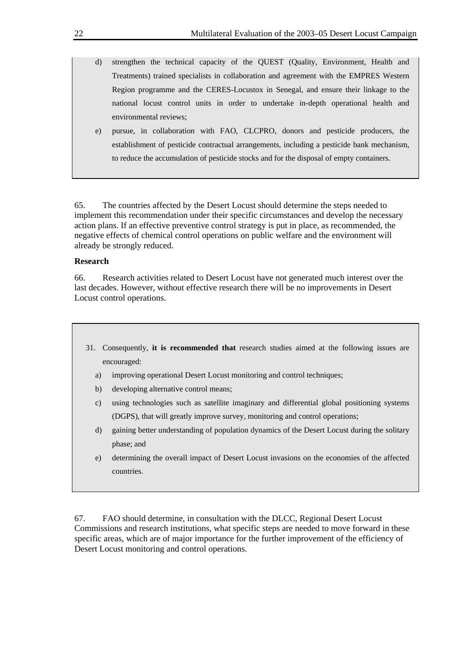- d) strengthen the technical capacity of the QUEST (Quality, Environment, Health and Treatments) trained specialists in collaboration and agreement with the EMPRES Western Region programme and the CERES-Locustox in Senegal, and ensure their linkage to the national locust control units in order to undertake in-depth operational health and environmental reviews;
- e) pursue, in collaboration with FAO, CLCPRO, donors and pesticide producers, the establishment of pesticide contractual arrangements, including a pesticide bank mechanism, to reduce the accumulation of pesticide stocks and for the disposal of empty containers.

65. The countries affected by the Desert Locust should determine the steps needed to implement this recommendation under their specific circumstances and develop the necessary action plans. If an effective preventive control strategy is put in place, as recommended, the negative effects of chemical control operations on public welfare and the environment will already be strongly reduced.

#### **Research**

66. Research activities related to Desert Locust have not generated much interest over the last decades. However, without effective research there will be no improvements in Desert Locust control operations.

- 31. Consequently, **it is recommended that** research studies aimed at the following issues are encouraged:
	- a) improving operational Desert Locust monitoring and control techniques;
	- b) developing alternative control means;
	- c) using technologies such as satellite imaginary and differential global positioning systems (DGPS), that will greatly improve survey, monitoring and control operations;
	- d) gaining better understanding of population dynamics of the Desert Locust during the solitary phase; and
	- e) determining the overall impact of Desert Locust invasions on the economies of the affected countries.

67. FAO should determine, in consultation with the DLCC, Regional Desert Locust Commissions and research institutions, what specific steps are needed to move forward in these specific areas, which are of major importance for the further improvement of the efficiency of Desert Locust monitoring and control operations.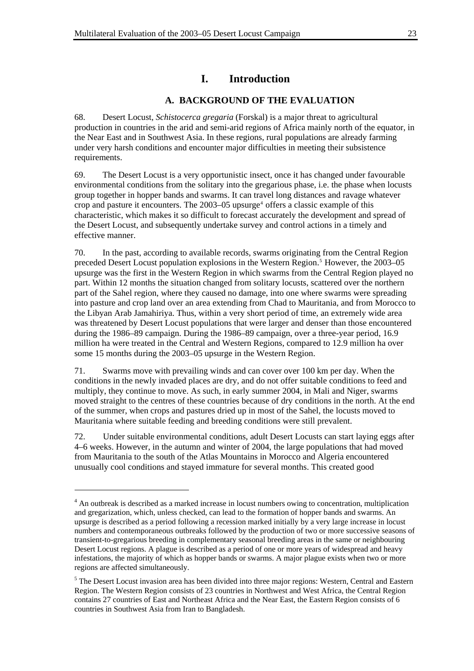# **I. Introduction**

### **A. BACKGROUND OF THE EVALUATION**

68. Desert Locust, *Schistocerca gregaria* (Forskal) is a major threat to agricultural production in countries in the arid and semi-arid regions of Africa mainly north of the equator, in the Near East and in Southwest Asia. In these regions, rural populations are already farming under very harsh conditions and encounter major difficulties in meeting their subsistence requirements.

69. The Desert Locust is a very opportunistic insect, once it has changed under favourable environmental conditions from the solitary into the gregarious phase, i.e. the phase when locusts group together in hopper bands and swarms. It can travel long distances and ravage whatever crop and pasture it encounters. The  $2003-05$  upsurge<sup>[4](#page-26-0)</sup> offers a classic example of this characteristic, which makes it so difficult to forecast accurately the development and spread of the Desert Locust, and subsequently undertake survey and control actions in a timely and effective manner.

70. In the past, according to available records, swarms originating from the Central Region preceded Desert Locust population explosions in the Western Region.<sup>[5](#page-26-1)</sup> However, the 2003–05 upsurge was the first in the Western Region in which swarms from the Central Region played no part. Within 12 months the situation changed from solitary locusts, scattered over the northern part of the Sahel region, where they caused no damage, into one where swarms were spreading into pasture and crop land over an area extending from Chad to Mauritania, and from Morocco to the Libyan Arab Jamahiriya. Thus, within a very short period of time, an extremely wide area was threatened by Desert Locust populations that were larger and denser than those encountered during the 1986–89 campaign. During the 1986–89 campaign, over a three-year period, 16.9 million ha were treated in the Central and Western Regions, compared to 12.9 million ha over some 15 months during the 2003–05 upsurge in the Western Region.

71. Swarms move with prevailing winds and can cover over 100 km per day. When the conditions in the newly invaded places are dry, and do not offer suitable conditions to feed and multiply, they continue to move. As such, in early summer 2004, in Mali and Niger, swarms moved straight to the centres of these countries because of dry conditions in the north. At the end of the summer, when crops and pastures dried up in most of the Sahel, the locusts moved to Mauritania where suitable feeding and breeding conditions were still prevalent.

72. Under suitable environmental conditions, adult Desert Locusts can start laying eggs after 4–6 weeks. However, in the autumn and winter of 2004, the large populations that had moved from Mauritania to the south of the Atlas Mountains in Morocco and Algeria encountered unusually cool conditions and stayed immature for several months. This created good

<span id="page-26-0"></span><sup>&</sup>lt;sup>4</sup> An outbreak is described as a marked increase in locust numbers owing to concentration, multiplication and gregarization, which, unless checked, can lead to the formation of hopper bands and swarms. An upsurge is described as a period following a recession marked initially by a very large increase in locust numbers and contemporaneous outbreaks followed by the production of two or more successive seasons of transient-to-gregarious breeding in complementary seasonal breeding areas in the same or neighbouring Desert Locust regions. A plague is described as a period of one or more years of widespread and heavy infestations, the majority of which as hopper bands or swarms. A major plague exists when two or more regions are affected simultaneously.

<span id="page-26-1"></span><sup>&</sup>lt;sup>5</sup> The Desert Locust invasion area has been divided into three major regions: Western, Central and Eastern Region. The Western Region consists of 23 countries in Northwest and West Africa, the Central Region contains 27 countries of East and Northeast Africa and the Near East, the Eastern Region consists of 6 countries in Southwest Asia from Iran to Bangladesh.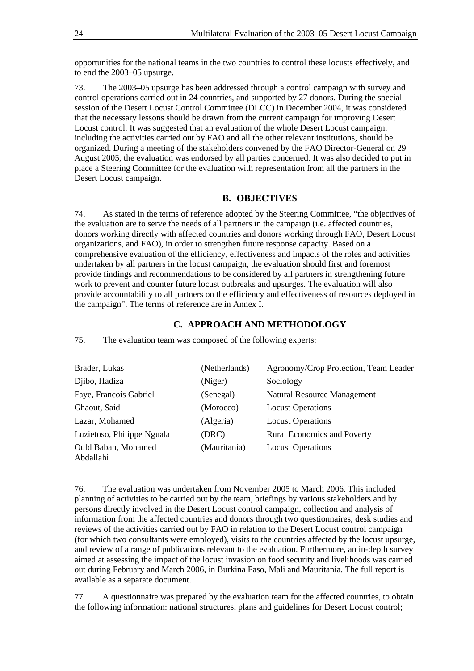opportunities for the national teams in the two countries to control these locusts effectively, and to end the 2003–05 upsurge.

73. The 2003–05 upsurge has been addressed through a control campaign with survey and control operations carried out in 24 countries, and supported by 27 donors. During the special session of the Desert Locust Control Committee (DLCC) in December 2004, it was considered that the necessary lessons should be drawn from the current campaign for improving Desert Locust control. It was suggested that an evaluation of the whole Desert Locust campaign, including the activities carried out by FAO and all the other relevant institutions, should be organized. During a meeting of the stakeholders convened by the FAO Director-General on 29 August 2005, the evaluation was endorsed by all parties concerned. It was also decided to put in place a Steering Committee for the evaluation with representation from all the partners in the Desert Locust campaign.

### **B. OBJECTIVES**

74. As stated in the terms of reference adopted by the Steering Committee, "the objectives of the evaluation are to serve the needs of all partners in the campaign (i.e. affected countries, donors working directly with affected countries and donors working through FAO, Desert Locust organizations, and FAO), in order to strengthen future response capacity. Based on a comprehensive evaluation of the efficiency, effectiveness and impacts of the roles and activities undertaken by all partners in the locust campaign, the evaluation should first and foremost provide findings and recommendations to be considered by all partners in strengthening future work to prevent and counter future locust outbreaks and upsurges. The evaluation will also provide accountability to all partners on the efficiency and effectiveness of resources deployed in the campaign". The terms of reference are in Annex I.

#### **C. APPROACH AND METHODOLOGY**

75. The evaluation team was composed of the following experts:

| Brader, Lukas                    | (Netherlands) | Agronomy/Crop Protection, Team Leader |
|----------------------------------|---------------|---------------------------------------|
| Djibo, Hadiza                    | (Niger)       | Sociology                             |
| Faye, Francois Gabriel           | (Senegal)     | Natural Resource Management           |
| Ghaout, Said                     | (Morocco)     | <b>Locust Operations</b>              |
| Lazar, Mohamed                   | (Algeria)     | <b>Locust Operations</b>              |
| Luzietoso, Philippe Nguala       | (DRC)         | <b>Rural Economics and Poverty</b>    |
| Ould Babah, Mohamed<br>Abdallahi | (Mauritania)  | <b>Locust Operations</b>              |

76. The evaluation was undertaken from November 2005 to March 2006. This included planning of activities to be carried out by the team, briefings by various stakeholders and by persons directly involved in the Desert Locust control campaign, collection and analysis of information from the affected countries and donors through two questionnaires, desk studies and reviews of the activities carried out by FAO in relation to the Desert Locust control campaign (for which two consultants were employed), visits to the countries affected by the locust upsurge, and review of a range of publications relevant to the evaluation. Furthermore, an in-depth survey aimed at assessing the impact of the locust invasion on food security and livelihoods was carried out during February and March 2006, in Burkina Faso, Mali and Mauritania. The full report is available as a separate document.

77. A questionnaire was prepared by the evaluation team for the affected countries, to obtain the following information: national structures, plans and guidelines for Desert Locust control;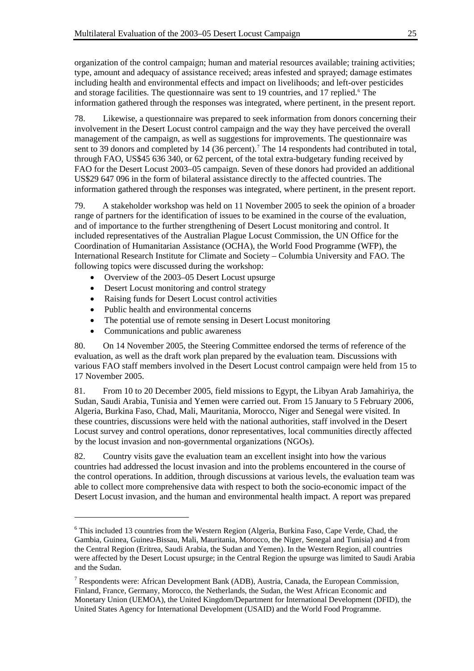organization of the control campaign; human and material resources available; training activities; type, amount and adequacy of assistance received; areas infested and sprayed; damage estimates including health and environmental effects and impact on livelihoods; and left-over pesticides and storage facilities. The questionnaire was sent to 19 countries, and 17 replied.<sup>[6](#page-28-0)</sup> The information gathered through the responses was integrated, where pertinent, in the present report.

78. Likewise, a questionnaire was prepared to seek information from donors concerning their involvement in the Desert Locust control campaign and the way they have perceived the overall management of the campaign, as well as suggestions for improvements. The questionnaire was sent to 39 donors and completed by 14 (36 percent).<sup>[7](#page-28-1)</sup> The 14 respondents had contributed in total, through FAO, US\$45 636 340, or 62 percent, of the total extra-budgetary funding received by FAO for the Desert Locust 2003–05 campaign. Seven of these donors had provided an additional US\$29 647 096 in the form of bilateral assistance directly to the affected countries. The information gathered through the responses was integrated, where pertinent, in the present report.

79. A stakeholder workshop was held on 11 November 2005 to seek the opinion of a broader range of partners for the identification of issues to be examined in the course of the evaluation, and of importance to the further strengthening of Desert Locust monitoring and control. It included representatives of the Australian Plague Locust Commission, the UN Office for the Coordination of Humanitarian Assistance (OCHA), the World Food Programme (WFP), the International Research Institute for Climate and Society – Columbia University and FAO. The following topics were discussed during the workshop:

- Overview of the 2003–05 Desert Locust upsurge
- Desert Locust monitoring and control strategy
- Raising funds for Desert Locust control activities
- Public health and environmental concerns
- The potential use of remote sensing in Desert Locust monitoring
- Communications and public awareness

l

80. On 14 November 2005, the Steering Committee endorsed the terms of reference of the evaluation, as well as the draft work plan prepared by the evaluation team. Discussions with various FAO staff members involved in the Desert Locust control campaign were held from 15 to 17 November 2005.

81. From 10 to 20 December 2005, field missions to Egypt, the Libyan Arab Jamahiriya, the Sudan, Saudi Arabia, Tunisia and Yemen were carried out. From 15 January to 5 February 2006, Algeria, Burkina Faso, Chad, Mali, Mauritania, Morocco, Niger and Senegal were visited. In these countries, discussions were held with the national authorities, staff involved in the Desert Locust survey and control operations, donor representatives, local communities directly affected by the locust invasion and non-governmental organizations (NGOs).

82. Country visits gave the evaluation team an excellent insight into how the various countries had addressed the locust invasion and into the problems encountered in the course of the control operations. In addition, through discussions at various levels, the evaluation team was able to collect more comprehensive data with respect to both the socio-economic impact of the Desert Locust invasion, and the human and environmental health impact. A report was prepared

<span id="page-28-0"></span><sup>&</sup>lt;sup>6</sup> This included 13 countries from the Western Region (Algeria, Burkina Faso, Cape Verde, Chad, the Gambia, Guinea, Guinea-Bissau, Mali, Mauritania, Morocco, the Niger, Senegal and Tunisia) and 4 from the Central Region (Eritrea, Saudi Arabia, the Sudan and Yemen). In the Western Region, all countries were affected by the Desert Locust upsurge; in the Central Region the upsurge was limited to Saudi Arabia and the Sudan.

<span id="page-28-1"></span><sup>&</sup>lt;sup>7</sup> Respondents were: African Development Bank (ADB), Austria, Canada, the European Commission, Finland, France, Germany, Morocco, the Netherlands, the Sudan, the West African Economic and Monetary Union (UEMOA), the United Kingdom/Department for International Development (DFID), the United States Agency for International Development (USAID) and the World Food Programme.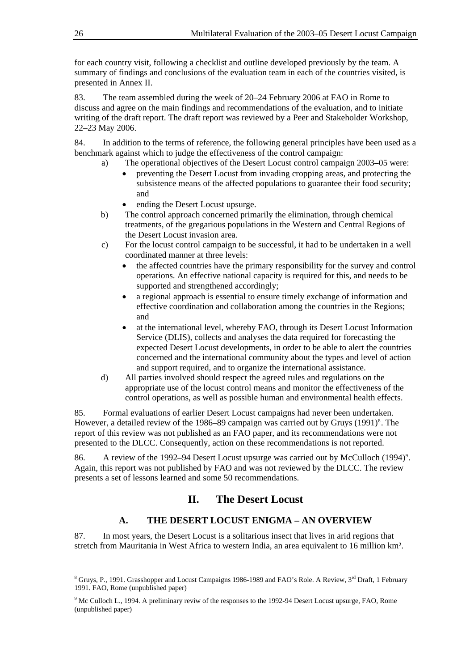for each country visit, following a checklist and outline developed previously by the team. A summary of findings and conclusions of the evaluation team in each of the countries visited, is presented in Annex II.

83. The team assembled during the week of 20–24 February 2006 at FAO in Rome to discuss and agree on the main findings and recommendations of the evaluation, and to initiate writing of the draft report. The draft report was reviewed by a Peer and Stakeholder Workshop, 22–23 May 2006.

84. In addition to the terms of reference, the following general principles have been used as a benchmark against which to judge the effectiveness of the control campaign:

- a) The operational objectives of the Desert Locust control campaign 2003–05 were:
	- preventing the Desert Locust from invading cropping areas, and protecting the subsistence means of the affected populations to guarantee their food security; and
	- ending the Desert Locust upsurge.
- b) The control approach concerned primarily the elimination, through chemical treatments, of the gregarious populations in the Western and Central Regions of the Desert Locust invasion area.
- c) For the locust control campaign to be successful, it had to be undertaken in a well coordinated manner at three levels:
	- the affected countries have the primary responsibility for the survey and control operations. An effective national capacity is required for this, and needs to be supported and strengthened accordingly;
	- a regional approach is essential to ensure timely exchange of information and effective coordination and collaboration among the countries in the Regions; and
	- at the international level, whereby FAO, through its Desert Locust Information Service (DLIS), collects and analyses the data required for forecasting the expected Desert Locust developments, in order to be able to alert the countries concerned and the international community about the types and level of action and support required, and to organize the international assistance.
- d) All parties involved should respect the agreed rules and regulations on the appropriate use of the locust control means and monitor the effectiveness of the control operations, as well as possible human and environmental health effects.

85. Formal evaluations of earlier Desert Locust campaigns had never been undertaken. However, a detailed review of the 19[8](#page-29-0)6–89 campaign was carried out by Gruys  $(1991)^8$ . The report of this review was not published as an FAO paper, and its recommendations were not presented to the DLCC. Consequently, action on these recommendations is not reported.

86. A review of the 1[9](#page-29-1)92–94 Desert Locust upsurge was carried out by McCulloch (1994)<sup>9</sup>. Again, this report was not published by FAO and was not reviewed by the DLCC. The review presents a set of lessons learned and some 50 recommendations.

# **II. The Desert Locust**

# **A. THE DESERT LOCUST ENIGMA – AN OVERVIEW**

87. In most years, the Desert Locust is a solitarious insect that lives in arid regions that stretch from Mauritania in West Africa to western India, an area equivalent to 16 million km².

<span id="page-29-0"></span><sup>&</sup>lt;sup>8</sup> Gruys, P., 1991. Grasshopper and Locust Campaigns 1986-1989 and FAO's Role. A Review, 3<sup>rd</sup> Draft, 1 February 1991. FAO, Rome (unpublished paper)

<span id="page-29-1"></span><sup>&</sup>lt;sup>9</sup> Mc Culloch L., 1994. A preliminary reviw of the responses to the 1992-94 Desert Locust upsurge, FAO, Rome (unpublished paper)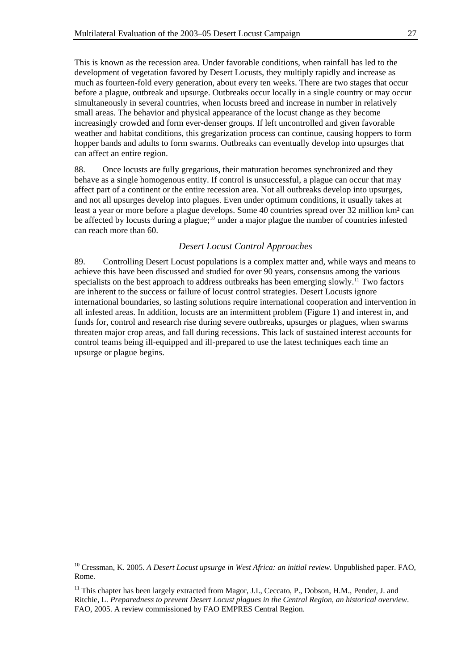This is known as the recession area. Under favorable conditions, when rainfall has led to the development of vegetation favored by Desert Locusts, they multiply rapidly and increase as much as fourteen-fold every generation, about every ten weeks. There are two stages that occur before a plague, outbreak and upsurge. Outbreaks occur locally in a single country or may occur simultaneously in several countries, when locusts breed and increase in number in relatively small areas. The behavior and physical appearance of the locust change as they become increasingly crowded and form ever-denser groups. If left uncontrolled and given favorable weather and habitat conditions, this gregarization process can continue, causing hoppers to form hopper bands and adults to form swarms. Outbreaks can eventually develop into upsurges that can affect an entire region.

88. Once locusts are fully gregarious, their maturation becomes synchronized and they behave as a single homogenous entity. If control is unsuccessful, a plague can occur that may affect part of a continent or the entire recession area. Not all outbreaks develop into upsurges, and not all upsurges develop into plagues. Even under optimum conditions, it usually takes at least a year or more before a plague develops. Some 40 countries spread over 32 million km² can be affected by locusts during a plague;<sup>[10](#page-30-0)</sup> under a major plague the number of countries infested can reach more than 60.

### *Desert Locust Control Approaches*

89. Controlling Desert Locust populations is a complex matter and, while ways and means to achieve this have been discussed and studied for over 90 years, consensus among the various specialists on the best approach to address outbreaks has been emerging slowly.<sup>[11](#page-30-1)</sup> Two factors are inherent to the success or failure of locust control strategies. Desert Locusts ignore international boundaries, so lasting solutions require international cooperation and intervention in all infested areas. In addition, locusts are an intermittent problem (Figure 1) and interest in, and funds for, control and research rise during severe outbreaks, upsurges or plagues, when swarms threaten major crop areas, and fall during recessions. This lack of sustained interest accounts for control teams being ill-equipped and ill-prepared to use the latest techniques each time an upsurge or plague begins.

<span id="page-30-0"></span><sup>10</sup> Cressman, K. 2005. *A Desert Locust upsurge in West Africa: an initial review*. Unpublished paper. FAO, Rome.

<span id="page-30-1"></span><sup>&</sup>lt;sup>11</sup> This chapter has been largely extracted from Magor, J.I., Ceccato, P., Dobson, H.M., Pender, J. and Ritchie, L. *Preparedness to prevent Desert Locust plagues in the Central Region, an historical overview*. FAO, 2005. A review commissioned by FAO EMPRES Central Region.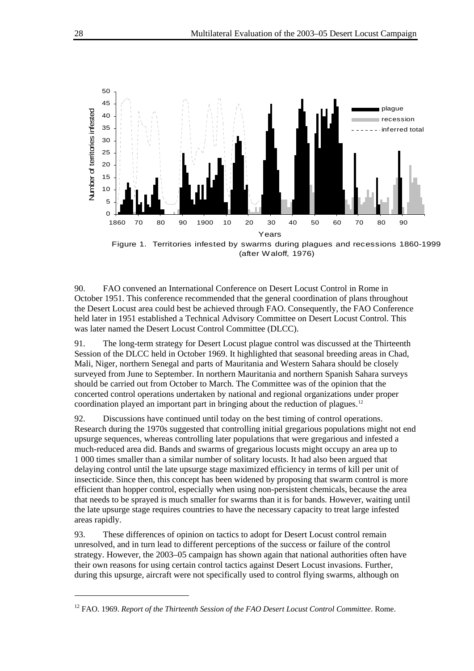

Figure 1. Territories infested by swarms during plagues and recessions 1860-1999 (after Waloff, 1976)

90. FAO convened an International Conference on Desert Locust Control in Rome in October 1951. This conference recommended that the general coordination of plans throughout the Desert Locust area could best be achieved through FAO. Consequently, the FAO Conference held later in 1951 established a Technical Advisory Committee on Desert Locust Control. This was later named the Desert Locust Control Committee (DLCC).

91. The long-term strategy for Desert Locust plague control was discussed at the Thirteenth Session of the DLCC held in October 1969. It highlighted that seasonal breeding areas in Chad, Mali, Niger, northern Senegal and parts of Mauritania and Western Sahara should be closely surveyed from June to September. In northern Mauritania and northern Spanish Sahara surveys should be carried out from October to March. The Committee was of the opinion that the concerted control operations undertaken by national and regional organizations under proper coordination played an important part in bringing about the reduction of plagues.[12](#page-31-0)

92. Discussions have continued until today on the best timing of control operations. Research during the 1970s suggested that controlling initial gregarious populations might not end upsurge sequences, whereas controlling later populations that were gregarious and infested a much-reduced area did. Bands and swarms of gregarious locusts might occupy an area up to 1 000 times smaller than a similar number of solitary locusts. It had also been argued that delaying control until the late upsurge stage maximized efficiency in terms of kill per unit of insecticide. Since then, this concept has been widened by proposing that swarm control is more efficient than hopper control, especially when using non-persistent chemicals, because the area that needs to be sprayed is much smaller for swarms than it is for bands. However, waiting until the late upsurge stage requires countries to have the necessary capacity to treat large infested areas rapidly.

93. These differences of opinion on tactics to adopt for Desert Locust control remain unresolved, and in turn lead to different perceptions of the success or failure of the control strategy. However, the 2003–05 campaign has shown again that national authorities often have their own reasons for using certain control tactics against Desert Locust invasions. Further, during this upsurge, aircraft were not specifically used to control flying swarms, although on

<span id="page-31-0"></span><sup>&</sup>lt;sup>12</sup> FAO. 1969. *Report of the Thirteenth Session of the FAO Desert Locust Control Committee*. Rome.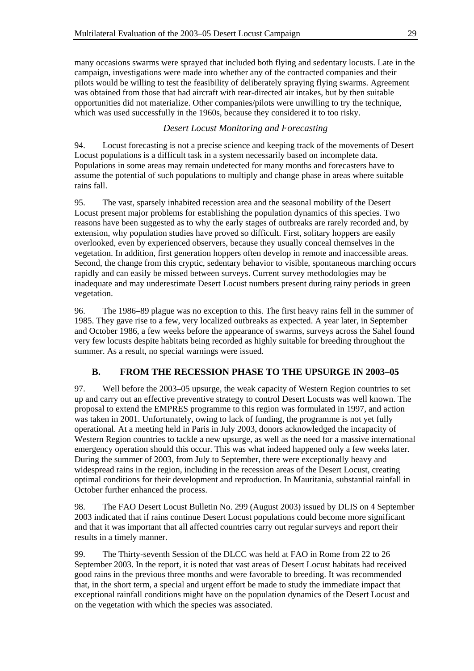many occasions swarms were sprayed that included both flying and sedentary locusts. Late in the campaign, investigations were made into whether any of the contracted companies and their pilots would be willing to test the feasibility of deliberately spraying flying swarms. Agreement was obtained from those that had aircraft with rear-directed air intakes, but by then suitable opportunities did not materialize. Other companies/pilots were unwilling to try the technique, which was used successfully in the 1960s, because they considered it to too risky.

## *Desert Locust Monitoring and Forecasting*

94. Locust forecasting is not a precise science and keeping track of the movements of Desert Locust populations is a difficult task in a system necessarily based on incomplete data. Populations in some areas may remain undetected for many months and forecasters have to assume the potential of such populations to multiply and change phase in areas where suitable rains fall.

95. The vast, sparsely inhabited recession area and the seasonal mobility of the Desert Locust present major problems for establishing the population dynamics of this species. Two reasons have been suggested as to why the early stages of outbreaks are rarely recorded and, by extension, why population studies have proved so difficult. First, solitary hoppers are easily overlooked, even by experienced observers, because they usually conceal themselves in the vegetation. In addition, first generation hoppers often develop in remote and inaccessible areas. Second, the change from this cryptic, sedentary behavior to visible, spontaneous marching occurs rapidly and can easily be missed between surveys. Current survey methodologies may be inadequate and may underestimate Desert Locust numbers present during rainy periods in green vegetation.

96. The 1986–89 plague was no exception to this. The first heavy rains fell in the summer of 1985. They gave rise to a few, very localized outbreaks as expected. A year later, in September and October 1986, a few weeks before the appearance of swarms, surveys across the Sahel found very few locusts despite habitats being recorded as highly suitable for breeding throughout the summer. As a result, no special warnings were issued.

# **B. FROM THE RECESSION PHASE TO THE UPSURGE IN 2003–05**

97. Well before the 2003–05 upsurge, the weak capacity of Western Region countries to set up and carry out an effective preventive strategy to control Desert Locusts was well known. The proposal to extend the EMPRES programme to this region was formulated in 1997, and action was taken in 2001. Unfortunately, owing to lack of funding, the programme is not yet fully operational. At a meeting held in Paris in July 2003, donors acknowledged the incapacity of Western Region countries to tackle a new upsurge, as well as the need for a massive international emergency operation should this occur. This was what indeed happened only a few weeks later. During the summer of 2003, from July to September, there were exceptionally heavy and widespread rains in the region, including in the recession areas of the Desert Locust, creating optimal conditions for their development and reproduction. In Mauritania, substantial rainfall in October further enhanced the process.

98. The FAO Desert Locust Bulletin No. 299 (August 2003) issued by DLIS on 4 September 2003 indicated that if rains continue Desert Locust populations could become more significant and that it was important that all affected countries carry out regular surveys and report their results in a timely manner.

99. The Thirty-seventh Session of the DLCC was held at FAO in Rome from 22 to 26 September 2003. In the report, it is noted that vast areas of Desert Locust habitats had received good rains in the previous three months and were favorable to breeding. It was recommended that, in the short term, a special and urgent effort be made to study the immediate impact that exceptional rainfall conditions might have on the population dynamics of the Desert Locust and on the vegetation with which the species was associated.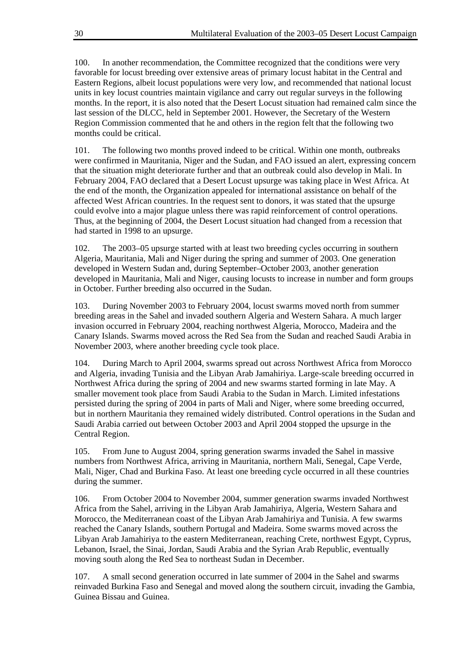100. In another recommendation, the Committee recognized that the conditions were very favorable for locust breeding over extensive areas of primary locust habitat in the Central and Eastern Regions, albeit locust populations were very low, and recommended that national locust units in key locust countries maintain vigilance and carry out regular surveys in the following months. In the report, it is also noted that the Desert Locust situation had remained calm since the last session of the DLCC, held in September 2001. However, the Secretary of the Western Region Commission commented that he and others in the region felt that the following two months could be critical.

101. The following two months proved indeed to be critical. Within one month, outbreaks were confirmed in Mauritania, Niger and the Sudan, and FAO issued an alert, expressing concern that the situation might deteriorate further and that an outbreak could also develop in Mali. In February 2004, FAO declared that a Desert Locust upsurge was taking place in West Africa. At the end of the month, the Organization appealed for international assistance on behalf of the affected West African countries. In the request sent to donors, it was stated that the upsurge could evolve into a major plague unless there was rapid reinforcement of control operations. Thus, at the beginning of 2004, the Desert Locust situation had changed from a recession that had started in 1998 to an upsurge.

102. The 2003–05 upsurge started with at least two breeding cycles occurring in southern Algeria, Mauritania, Mali and Niger during the spring and summer of 2003. One generation developed in Western Sudan and, during September–October 2003, another generation developed in Mauritania, Mali and Niger, causing locusts to increase in number and form groups in October. Further breeding also occurred in the Sudan.

103. During November 2003 to February 2004, locust swarms moved north from summer breeding areas in the Sahel and invaded southern Algeria and Western Sahara. A much larger invasion occurred in February 2004, reaching northwest Algeria, Morocco, Madeira and the Canary Islands. Swarms moved across the Red Sea from the Sudan and reached Saudi Arabia in November 2003, where another breeding cycle took place.

104. During March to April 2004, swarms spread out across Northwest Africa from Morocco and Algeria, invading Tunisia and the Libyan Arab Jamahiriya. Large-scale breeding occurred in Northwest Africa during the spring of 2004 and new swarms started forming in late May. A smaller movement took place from Saudi Arabia to the Sudan in March. Limited infestations persisted during the spring of 2004 in parts of Mali and Niger, where some breeding occurred, but in northern Mauritania they remained widely distributed. Control operations in the Sudan and Saudi Arabia carried out between October 2003 and April 2004 stopped the upsurge in the Central Region.

105. From June to August 2004, spring generation swarms invaded the Sahel in massive numbers from Northwest Africa, arriving in Mauritania, northern Mali, Senegal, Cape Verde, Mali, Niger, Chad and Burkina Faso. At least one breeding cycle occurred in all these countries during the summer.

106. From October 2004 to November 2004, summer generation swarms invaded Northwest Africa from the Sahel, arriving in the Libyan Arab Jamahiriya, Algeria, Western Sahara and Morocco, the Mediterranean coast of the Libyan Arab Jamahiriya and Tunisia. A few swarms reached the Canary Islands, southern Portugal and Madeira. Some swarms moved across the Libyan Arab Jamahiriya to the eastern Mediterranean, reaching Crete, northwest Egypt, Cyprus, Lebanon, Israel, the Sinai, Jordan, Saudi Arabia and the Syrian Arab Republic, eventually moving south along the Red Sea to northeast Sudan in December.

107. A small second generation occurred in late summer of 2004 in the Sahel and swarms reinvaded Burkina Faso and Senegal and moved along the southern circuit, invading the Gambia, Guinea Bissau and Guinea.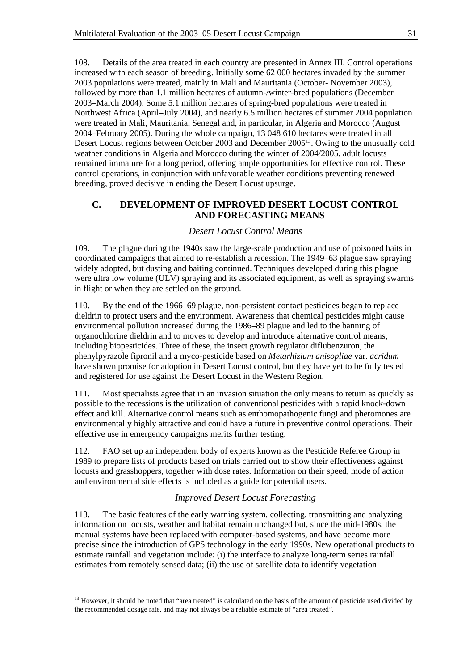108. Details of the area treated in each country are presented in Annex III. Control operations increased with each season of breeding. Initially some 62 000 hectares invaded by the summer 2003 populations were treated, mainly in Mali and Mauritania (October- November 2003), followed by more than 1.1 million hectares of autumn-/winter-bred populations (December 2003–March 2004). Some 5.1 million hectares of spring-bred populations were treated in Northwest Africa (April–July 2004), and nearly 6.5 million hectares of summer 2004 population were treated in Mali, Mauritania, Senegal and, in particular, in Algeria and Morocco (August 2004–February 2005). During the whole campaign, 13 048 610 hectares were treated in all Desert Locust regions between October 2003 and December 2005[13](#page-34-0). Owing to the unusually cold weather conditions in Algeria and Morocco during the winter of 2004/2005, adult locusts remained immature for a long period, offering ample opportunities for effective control. These control operations, in conjunction with unfavorable weather conditions preventing renewed breeding, proved decisive in ending the Desert Locust upsurge.

### **C. DEVELOPMENT OF IMPROVED DESERT LOCUST CONTROL AND FORECASTING MEANS**

### *Desert Locust Control Means*

109. The plague during the 1940s saw the large-scale production and use of poisoned baits in coordinated campaigns that aimed to re-establish a recession. The 1949–63 plague saw spraying widely adopted, but dusting and baiting continued. Techniques developed during this plague were ultra low volume (ULV) spraying and its associated equipment, as well as spraying swarms in flight or when they are settled on the ground.

110. By the end of the 1966–69 plague, non-persistent contact pesticides began to replace dieldrin to protect users and the environment. Awareness that chemical pesticides might cause environmental pollution increased during the 1986–89 plague and led to the banning of organochlorine dieldrin and to moves to develop and introduce alternative control means, including biopesticides. Three of these, the insect growth regulator diflubenzuron, the phenylpyrazole fipronil and a myco-pesticide based on *Metarhizium anisopliae* var. *acridum* have shown promise for adoption in Desert Locust control, but they have yet to be fully tested and registered for use against the Desert Locust in the Western Region.

111. Most specialists agree that in an invasion situation the only means to return as quickly as possible to the recessions is the utilization of conventional pesticides with a rapid knock-down effect and kill. Alternative control means such as enthomopathogenic fungi and pheromones are environmentally highly attractive and could have a future in preventive control operations. Their effective use in emergency campaigns merits further testing.

112. FAO set up an independent body of experts known as the Pesticide Referee Group in 1989 to prepare lists of products based on trials carried out to show their effectiveness against locusts and grasshoppers, together with dose rates. Information on their speed, mode of action and environmental side effects is included as a guide for potential users.

### *Improved Desert Locust Forecasting*

113. The basic features of the early warning system, collecting, transmitting and analyzing information on locusts, weather and habitat remain unchanged but, since the mid-1980s, the manual systems have been replaced with computer-based systems, and have become more precise since the introduction of GPS technology in the early 1990s. New operational products to estimate rainfall and vegetation include: (i) the interface to analyze long-term series rainfall estimates from remotely sensed data; (ii) the use of satellite data to identify vegetation

<span id="page-34-0"></span><sup>&</sup>lt;sup>13</sup> However, it should be noted that "area treated" is calculated on the basis of the amount of pesticide used divided by the recommended dosage rate, and may not always be a reliable estimate of "area treated".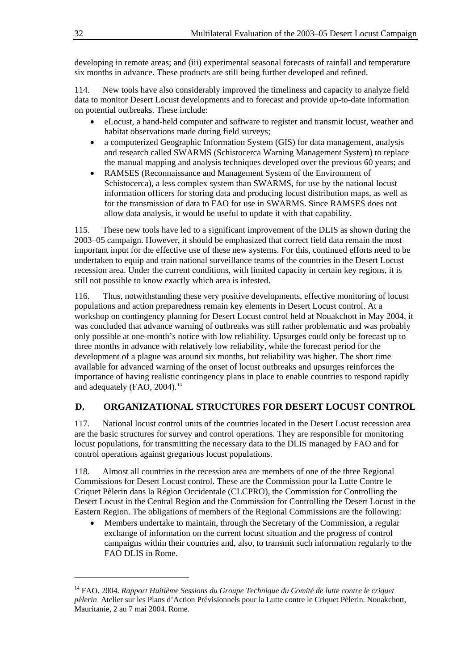developing in remote areas; and (iii) experimental seasonal forecasts of rainfall and temperature six months in advance. These products are still being further developed and refined.

114. New tools have also considerably improved the timeliness and capacity to analyze field data to monitor Desert Locust developments and to forecast and provide up-to-date information on potential outbreaks. These include:

- eLocust, a hand-held computer and software to register and transmit locust, weather and habitat observations made during field surveys;
- a computerized Geographic Information System (GIS) for data management, analysis and research called SWARMS (Schistocerca Warning Management System) to replace the manual mapping and analysis techniques developed over the previous 60 years; and
- RAMSES (Reconnaissance and Management System of the Environment of Schistocerca), a less complex system than SWARMS, for use by the national locust information officers for storing data and producing locust distribution maps, as well as for the transmission of data to FAO for use in SWARMS. Since RAMSES does not allow data analysis, it would be useful to update it with that capability.

115. These new tools have led to a significant improvement of the DLIS as shown during the 2003–05 campaign. However, it should be emphasized that correct field data remain the most important input for the effective use of these new systems. For this, continued efforts need to be undertaken to equip and train national surveillance teams of the countries in the Desert Locust recession area. Under the current conditions, with limited capacity in certain key regions, it is still not possible to know exactly which area is infested.

116. Thus, notwithstanding these very positive developments, effective monitoring of locust populations and action preparedness remain key elements in Desert Locust control. At a workshop on contingency planning for Desert Locust control held at Nouakchott in May 2004, it was concluded that advance warning of outbreaks was still rather problematic and was probably only possible at one-month's notice with low reliability. Upsurges could only be forecast up to three months in advance with relatively low reliability, while the forecast period for the development of a plague was around six months, but reliability was higher. The short time available for advanced warning of the onset of locust outbreaks and upsurges reinforces the importance of having realistic contingency plans in place to enable countries to respond rapidly and adequately (FAO, 2004).<sup>[14](#page-35-0)</sup>

### **D. ORGANIZATIONAL STRUCTURES FOR DESERT LOCUST CONTROL**

117. National locust control units of the countries located in the Desert Locust recession area are the basic structures for survey and control operations. They are responsible for monitoring locust populations, for transmitting the necessary data to the DLIS managed by FAO and for control operations against gregarious locust populations.

118. Almost all countries in the recession area are members of one of the three Regional Commissions for Desert Locust control. These are the Commission pour la Lutte Contre le Criquet Pèlerin dans la Région Occidentale (CLCPRO), the Commission for Controlling the Desert Locust in the Central Region and the Commission for Controlling the Desert Locust in the Eastern Region. The obligations of members of the Regional Commissions are the following:

• Members undertake to maintain, through the Secretary of the Commission, a regular exchange of information on the current locust situation and the progress of control campaigns within their countries and, also, to transmit such information regularly to the FAO DLIS in Rome.

<span id="page-35-0"></span><sup>14</sup> FAO. 2004. *Rapport Huitième Sessions du Groupe Technique du Comité de lutte contre le criquet pèlerin*. Atelier sur les Plans d'Action Prévisionnels pour la Lutte contre le Criquet Pèlerin. Nouakchott, Mauritanie, 2 au 7 mai 2004. Rome.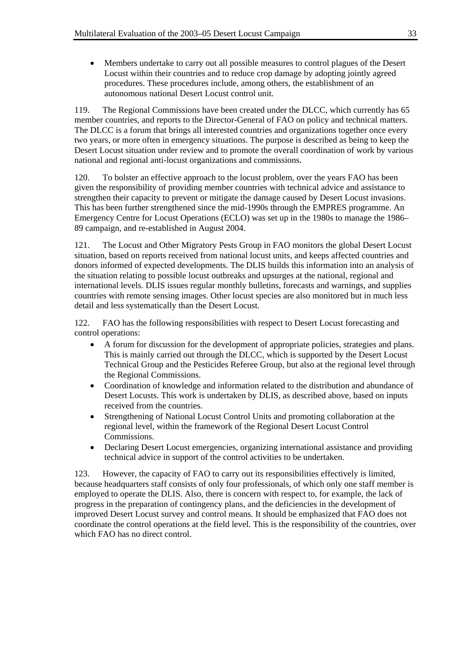• Members undertake to carry out all possible measures to control plagues of the Desert Locust within their countries and to reduce crop damage by adopting jointly agreed procedures. These procedures include, among others, the establishment of an autonomous national Desert Locust control unit.

119. The Regional Commissions have been created under the DLCC, which currently has 65 member countries, and reports to the Director-General of FAO on policy and technical matters. The DLCC is a forum that brings all interested countries and organizations together once every two years, or more often in emergency situations. The purpose is described as being to keep the Desert Locust situation under review and to promote the overall coordination of work by various national and regional anti-locust organizations and commissions.

120. To bolster an effective approach to the locust problem, over the years FAO has been given the responsibility of providing member countries with technical advice and assistance to strengthen their capacity to prevent or mitigate the damage caused by Desert Locust invasions. This has been further strengthened since the mid-1990s through the EMPRES programme. An Emergency Centre for Locust Operations (ECLO) was set up in the 1980s to manage the 1986– 89 campaign, and re-established in August 2004.

121. The Locust and Other Migratory Pests Group in FAO monitors the global Desert Locust situation, based on reports received from national locust units, and keeps affected countries and donors informed of expected developments. The DLIS builds this information into an analysis of the situation relating to possible locust outbreaks and upsurges at the national, regional and international levels. DLIS issues regular monthly bulletins, forecasts and warnings, and supplies countries with remote sensing images. Other locust species are also monitored but in much less detail and less systematically than the Desert Locust.

122. FAO has the following responsibilities with respect to Desert Locust forecasting and control operations:

- A forum for discussion for the development of appropriate policies, strategies and plans. This is mainly carried out through the DLCC, which is supported by the Desert Locust Technical Group and the Pesticides Referee Group, but also at the regional level through the Regional Commissions.
- Coordination of knowledge and information related to the distribution and abundance of Desert Locusts. This work is undertaken by DLIS, as described above, based on inputs received from the countries.
- Strengthening of National Locust Control Units and promoting collaboration at the regional level, within the framework of the Regional Desert Locust Control Commissions.
- Declaring Desert Locust emergencies, organizing international assistance and providing technical advice in support of the control activities to be undertaken.

123. However, the capacity of FAO to carry out its responsibilities effectively is limited, because headquarters staff consists of only four professionals, of which only one staff member is employed to operate the DLIS. Also, there is concern with respect to, for example, the lack of progress in the preparation of contingency plans, and the deficiencies in the development of improved Desert Locust survey and control means. It should be emphasized that FAO does not coordinate the control operations at the field level. This is the responsibility of the countries, over which FAO has no direct control.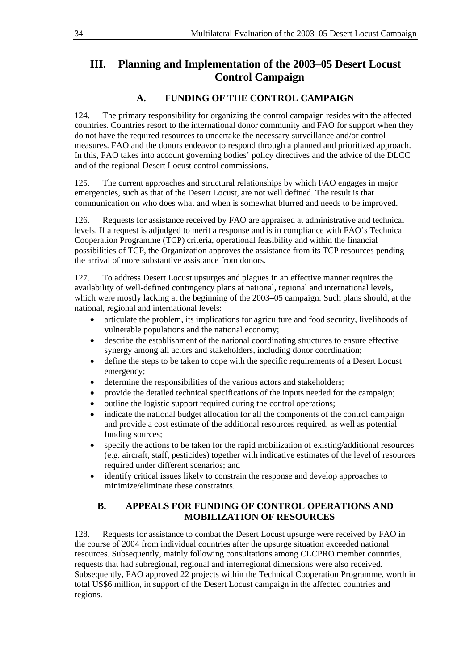# **III. Planning and Implementation of the 2003–05 Desert Locust Control Campaign**

## **A. FUNDING OF THE CONTROL CAMPAIGN**

124. The primary responsibility for organizing the control campaign resides with the affected countries. Countries resort to the international donor community and FAO for support when they do not have the required resources to undertake the necessary surveillance and/or control measures. FAO and the donors endeavor to respond through a planned and prioritized approach. In this, FAO takes into account governing bodies' policy directives and the advice of the DLCC and of the regional Desert Locust control commissions.

125. The current approaches and structural relationships by which FAO engages in major emergencies, such as that of the Desert Locust, are not well defined. The result is that communication on who does what and when is somewhat blurred and needs to be improved.

126. Requests for assistance received by FAO are appraised at administrative and technical levels. If a request is adjudged to merit a response and is in compliance with FAO's Technical Cooperation Programme (TCP) criteria, operational feasibility and within the financial possibilities of TCP, the Organization approves the assistance from its TCP resources pending the arrival of more substantive assistance from donors.

127. To address Desert Locust upsurges and plagues in an effective manner requires the availability of well-defined contingency plans at national, regional and international levels, which were mostly lacking at the beginning of the 2003–05 campaign. Such plans should, at the national, regional and international levels:

- articulate the problem, its implications for agriculture and food security, livelihoods of vulnerable populations and the national economy;
- describe the establishment of the national coordinating structures to ensure effective synergy among all actors and stakeholders, including donor coordination;
- define the steps to be taken to cope with the specific requirements of a Desert Locust emergency;
- determine the responsibilities of the various actors and stakeholders;
- provide the detailed technical specifications of the inputs needed for the campaign;
- outline the logistic support required during the control operations;
- indicate the national budget allocation for all the components of the control campaign and provide a cost estimate of the additional resources required, as well as potential funding sources;
- specify the actions to be taken for the rapid mobilization of existing/additional resources (e.g. aircraft, staff, pesticides) together with indicative estimates of the level of resources required under different scenarios; and
- identify critical issues likely to constrain the response and develop approaches to minimize/eliminate these constraints.

## **B. APPEALS FOR FUNDING OF CONTROL OPERATIONS AND MOBILIZATION OF RESOURCES**

128. Requests for assistance to combat the Desert Locust upsurge were received by FAO in the course of 2004 from individual countries after the upsurge situation exceeded national resources. Subsequently, mainly following consultations among CLCPRO member countries, requests that had subregional, regional and interregional dimensions were also received. Subsequently, FAO approved 22 projects within the Technical Cooperation Programme, worth in total US\$6 million, in support of the Desert Locust campaign in the affected countries and regions.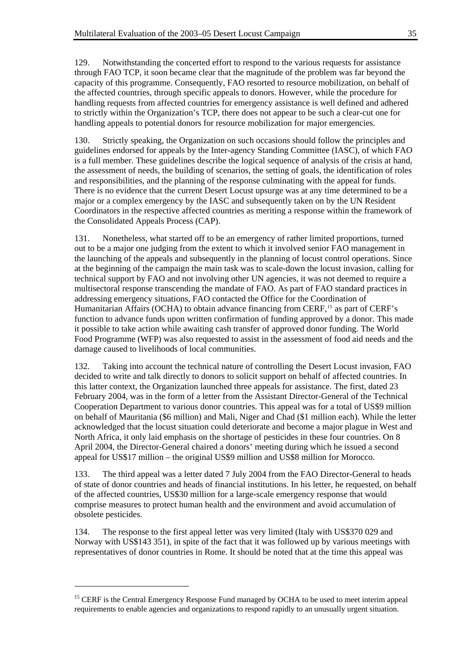129. Notwithstanding the concerted effort to respond to the various requests for assistance through FAO TCP, it soon became clear that the magnitude of the problem was far beyond the capacity of this programme. Consequently, FAO resorted to resource mobilization, on behalf of the affected countries, through specific appeals to donors. However, while the procedure for handling requests from affected countries for emergency assistance is well defined and adhered to strictly within the Organization's TCP, there does not appear to be such a clear-cut one for handling appeals to potential donors for resource mobilization for major emergencies.

130. Strictly speaking, the Organization on such occasions should follow the principles and guidelines endorsed for appeals by the Inter-agency Standing Committee (IASC), of which FAO is a full member. These guidelines describe the logical sequence of analysis of the crisis at hand, the assessment of needs, the building of scenarios, the setting of goals, the identification of roles and responsibilities, and the planning of the response culminating with the appeal for funds. There is no evidence that the current Desert Locust upsurge was at any time determined to be a major or a complex emergency by the IASC and subsequently taken on by the UN Resident Coordinators in the respective affected countries as meriting a response within the framework of the Consolidated Appeals Process (CAP).

131. Nonetheless, what started off to be an emergency of rather limited proportions, turned out to be a major one judging from the extent to which it involved senior FAO management in the launching of the appeals and subsequently in the planning of locust control operations. Since at the beginning of the campaign the main task was to scale-down the locust invasion, calling for technical support by FAO and not involving other UN agencies, it was not deemed to require a multisectoral response transcending the mandate of FAO. As part of FAO standard practices in addressing emergency situations, FAO contacted the Office for the Coordination of Humanitarian Affairs (OCHA) to obtain advance financing from CERF,<sup>[15](#page-38-0)</sup> as part of CERF's function to advance funds upon written confirmation of funding approved by a donor. This made it possible to take action while awaiting cash transfer of approved donor funding. The World Food Programme (WFP) was also requested to assist in the assessment of food aid needs and the damage caused to livelihoods of local communities.

132. Taking into account the technical nature of controlling the Desert Locust invasion, FAO decided to write and talk directly to donors to solicit support on behalf of affected countries. In this latter context, the Organization launched three appeals for assistance. The first, dated 23 February 2004, was in the form of a letter from the Assistant Director-General of the Technical Cooperation Department to various donor countries. This appeal was for a total of US\$9 million on behalf of Mauritania (\$6 million) and Mali, Niger and Chad (\$1 million each). While the letter acknowledged that the locust situation could deteriorate and become a major plague in West and North Africa, it only laid emphasis on the shortage of pesticides in these four countries. On 8 April 2004, the Director-General chaired a donors' meeting during which he issued a second appeal for US\$17 million – the original US\$9 million and US\$8 million for Morocco.

133. The third appeal was a letter dated 7 July 2004 from the FAO Director-General to heads of state of donor countries and heads of financial institutions. In his letter, he requested, on behalf of the affected countries, US\$30 million for a large-scale emergency response that would comprise measures to protect human health and the environment and avoid accumulation of obsolete pesticides.

134. The response to the first appeal letter was very limited (Italy with US\$370 029 and Norway with US\$143 351), in spite of the fact that it was followed up by various meetings with representatives of donor countries in Rome. It should be noted that at the time this appeal was

l

<span id="page-38-0"></span><sup>&</sup>lt;sup>15</sup> CERF is the Central Emergency Response Fund managed by OCHA to be used to meet interim appeal requirements to enable agencies and organizations to respond rapidly to an unusually urgent situation.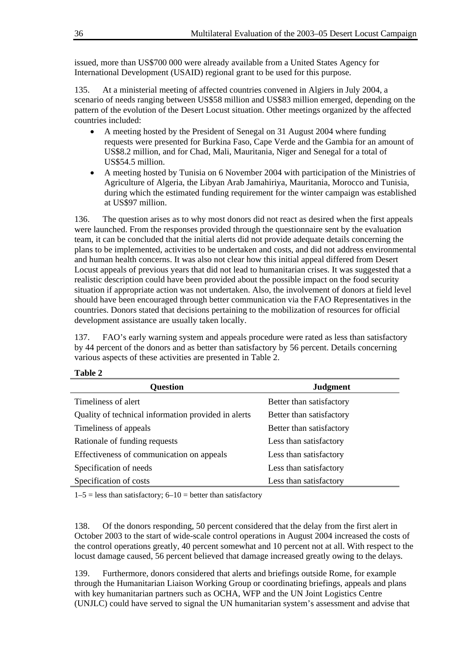issued, more than US\$700 000 were already available from a United States Agency for International Development (USAID) regional grant to be used for this purpose.

135. At a ministerial meeting of affected countries convened in Algiers in July 2004, a scenario of needs ranging between US\$58 million and US\$83 million emerged, depending on the pattern of the evolution of the Desert Locust situation. Other meetings organized by the affected countries included:

- A meeting hosted by the President of Senegal on 31 August 2004 where funding requests were presented for Burkina Faso, Cape Verde and the Gambia for an amount of US\$8.2 million, and for Chad, Mali, Mauritania, Niger and Senegal for a total of US\$54.5 million.
- A meeting hosted by Tunisia on 6 November 2004 with participation of the Ministries of Agriculture of Algeria, the Libyan Arab Jamahiriya, Mauritania, Morocco and Tunisia, during which the estimated funding requirement for the winter campaign was established at US\$97 million.

136. The question arises as to why most donors did not react as desired when the first appeals were launched. From the responses provided through the questionnaire sent by the evaluation team, it can be concluded that the initial alerts did not provide adequate details concerning the plans to be implemented, activities to be undertaken and costs, and did not address environmental and human health concerns. It was also not clear how this initial appeal differed from Desert Locust appeals of previous years that did not lead to humanitarian crises. It was suggested that a realistic description could have been provided about the possible impact on the food security situation if appropriate action was not undertaken. Also, the involvement of donors at field level should have been encouraged through better communication via the FAO Representatives in the countries. Donors stated that decisions pertaining to the mobilization of resources for official development assistance are usually taken locally.

137. FAO's early warning system and appeals procedure were rated as less than satisfactory by 44 percent of the donors and as better than satisfactory by 56 percent. Details concerning various aspects of these activities are presented in Table 2.

| <b>Question</b>                                     | <b>Judgment</b>          |
|-----------------------------------------------------|--------------------------|
| Timeliness of alert                                 | Better than satisfactory |
| Quality of technical information provided in alerts | Better than satisfactory |
| Timeliness of appeals                               | Better than satisfactory |
| Rationale of funding requests                       | Less than satisfactory   |
| Effectiveness of communication on appeals           | Less than satisfactory   |
| Specification of needs                              | Less than satisfactory   |
| Specification of costs                              | Less than satisfactory   |

|--|--|

 $1-5$  = less than satisfactory;  $6-10$  = better than satisfactory

138. Of the donors responding, 50 percent considered that the delay from the first alert in October 2003 to the start of wide-scale control operations in August 2004 increased the costs of the control operations greatly, 40 percent somewhat and 10 percent not at all. With respect to the locust damage caused, 56 percent believed that damage increased greatly owing to the delays.

139. Furthermore, donors considered that alerts and briefings outside Rome, for example through the Humanitarian Liaison Working Group or coordinating briefings, appeals and plans with key humanitarian partners such as OCHA, WFP and the UN Joint Logistics Centre (UNJLC) could have served to signal the UN humanitarian system's assessment and advise that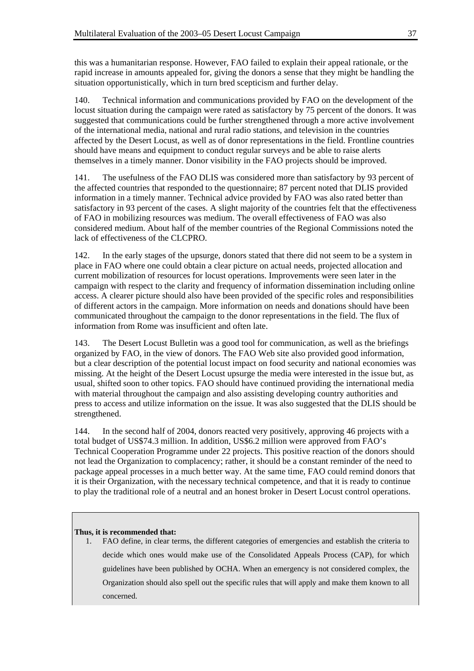this was a humanitarian response. However, FAO failed to explain their appeal rationale, or the rapid increase in amounts appealed for, giving the donors a sense that they might be handling the situation opportunistically, which in turn bred scepticism and further delay.

140. Technical information and communications provided by FAO on the development of the locust situation during the campaign were rated as satisfactory by 75 percent of the donors. It was suggested that communications could be further strengthened through a more active involvement of the international media, national and rural radio stations, and television in the countries affected by the Desert Locust, as well as of donor representations in the field. Frontline countries should have means and equipment to conduct regular surveys and be able to raise alerts themselves in a timely manner. Donor visibility in the FAO projects should be improved.

141. The usefulness of the FAO DLIS was considered more than satisfactory by 93 percent of the affected countries that responded to the questionnaire; 87 percent noted that DLIS provided information in a timely manner. Technical advice provided by FAO was also rated better than satisfactory in 93 percent of the cases. A slight majority of the countries felt that the effectiveness of FAO in mobilizing resources was medium. The overall effectiveness of FAO was also considered medium. About half of the member countries of the Regional Commissions noted the lack of effectiveness of the CLCPRO.

142. In the early stages of the upsurge, donors stated that there did not seem to be a system in place in FAO where one could obtain a clear picture on actual needs, projected allocation and current mobilization of resources for locust operations. Improvements were seen later in the campaign with respect to the clarity and frequency of information dissemination including online access. A clearer picture should also have been provided of the specific roles and responsibilities of different actors in the campaign. More information on needs and donations should have been communicated throughout the campaign to the donor representations in the field. The flux of information from Rome was insufficient and often late.

143. The Desert Locust Bulletin was a good tool for communication, as well as the briefings organized by FAO, in the view of donors. The FAO Web site also provided good information, but a clear description of the potential locust impact on food security and national economies was missing. At the height of the Desert Locust upsurge the media were interested in the issue but, as usual, shifted soon to other topics. FAO should have continued providing the international media with material throughout the campaign and also assisting developing country authorities and press to access and utilize information on the issue. It was also suggested that the DLIS should be strengthened.

144. In the second half of 2004, donors reacted very positively, approving 46 projects with a total budget of US\$74.3 million. In addition, US\$6.2 million were approved from FAO's Technical Cooperation Programme under 22 projects. This positive reaction of the donors should not lead the Organization to complacency; rather, it should be a constant reminder of the need to package appeal processes in a much better way. At the same time, FAO could remind donors that it is their Organization, with the necessary technical competence, and that it is ready to continue to play the traditional role of a neutral and an honest broker in Desert Locust control operations.

#### **Thus, it is recommended that:**

1. FAO define, in clear terms, the different categories of emergencies and establish the criteria to decide which ones would make use of the Consolidated Appeals Process (CAP), for which guidelines have been published by OCHA. When an emergency is not considered complex, the Organization should also spell out the specific rules that will apply and make them known to all concerned.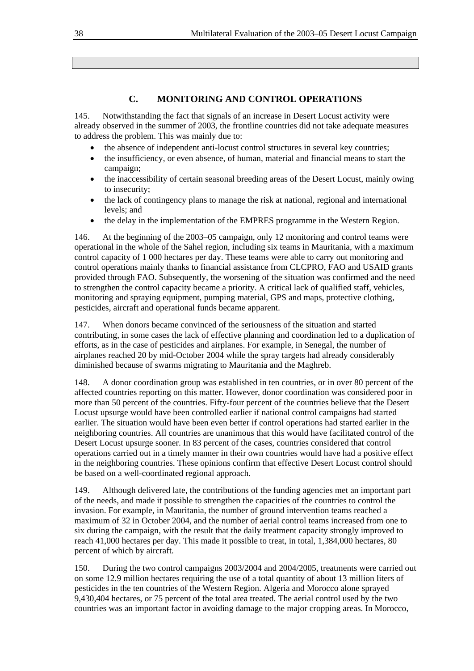## **C. MONITORING AND CONTROL OPERATIONS**

145. Notwithstanding the fact that signals of an increase in Desert Locust activity were already observed in the summer of 2003, the frontline countries did not take adequate measures to address the problem. This was mainly due to:

- the absence of independent anti-locust control structures in several key countries;
- the insufficiency, or even absence, of human, material and financial means to start the campaign;
- the inaccessibility of certain seasonal breeding areas of the Desert Locust, mainly owing to insecurity;
- the lack of contingency plans to manage the risk at national, regional and international levels; and
- the delay in the implementation of the EMPRES programme in the Western Region.

146. At the beginning of the 2003–05 campaign, only 12 monitoring and control teams were operational in the whole of the Sahel region, including six teams in Mauritania, with a maximum control capacity of 1 000 hectares per day. These teams were able to carry out monitoring and control operations mainly thanks to financial assistance from CLCPRO, FAO and USAID grants provided through FAO. Subsequently, the worsening of the situation was confirmed and the need to strengthen the control capacity became a priority. A critical lack of qualified staff, vehicles, monitoring and spraying equipment, pumping material, GPS and maps, protective clothing, pesticides, aircraft and operational funds became apparent.

147. When donors became convinced of the seriousness of the situation and started contributing, in some cases the lack of effective planning and coordination led to a duplication of efforts, as in the case of pesticides and airplanes. For example, in Senegal, the number of airplanes reached 20 by mid-October 2004 while the spray targets had already considerably diminished because of swarms migrating to Mauritania and the Maghreb.

148. A donor coordination group was established in ten countries, or in over 80 percent of the affected countries reporting on this matter. However, donor coordination was considered poor in more than 50 percent of the countries. Fifty-four percent of the countries believe that the Desert Locust upsurge would have been controlled earlier if national control campaigns had started earlier. The situation would have been even better if control operations had started earlier in the neighboring countries. All countries are unanimous that this would have facilitated control of the Desert Locust upsurge sooner. In 83 percent of the cases, countries considered that control operations carried out in a timely manner in their own countries would have had a positive effect in the neighboring countries. These opinions confirm that effective Desert Locust control should be based on a well-coordinated regional approach.

149. Although delivered late, the contributions of the funding agencies met an important part of the needs, and made it possible to strengthen the capacities of the countries to control the invasion. For example, in Mauritania, the number of ground intervention teams reached a maximum of 32 in October 2004, and the number of aerial control teams increased from one to six during the campaign, with the result that the daily treatment capacity strongly improved to reach 41,000 hectares per day. This made it possible to treat, in total, 1,384,000 hectares, 80 percent of which by aircraft.

150. During the two control campaigns 2003/2004 and 2004/2005, treatments were carried out on some 12.9 million hectares requiring the use of a total quantity of about 13 million liters of pesticides in the ten countries of the Western Region. Algeria and Morocco alone sprayed 9,430,404 hectares, or 75 percent of the total area treated. The aerial control used by the two countries was an important factor in avoiding damage to the major cropping areas. In Morocco,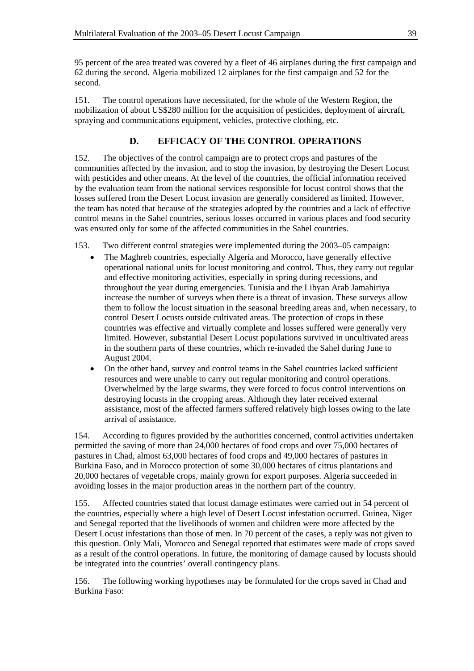95 percent of the area treated was covered by a fleet of 46 airplanes during the first campaign and 62 during the second. Algeria mobilized 12 airplanes for the first campaign and 52 for the second.

151. The control operations have necessitated, for the whole of the Western Region, the mobilization of about US\$280 million for the acquisition of pesticides, deployment of aircraft, spraying and communications equipment, vehicles, protective clothing, etc.

## **D. EFFICACY OF THE CONTROL OPERATIONS**

152. The objectives of the control campaign are to protect crops and pastures of the communities affected by the invasion, and to stop the invasion, by destroying the Desert Locust with pesticides and other means. At the level of the countries, the official information received by the evaluation team from the national services responsible for locust control shows that the losses suffered from the Desert Locust invasion are generally considered as limited. However, the team has noted that because of the strategies adopted by the countries and a lack of effective control means in the Sahel countries, serious losses occurred in various places and food security was ensured only for some of the affected communities in the Sahel countries.

- 153. Two different control strategies were implemented during the 2003–05 campaign:
	- The Maghreb countries, especially Algeria and Morocco, have generally effective operational national units for locust monitoring and control. Thus, they carry out regular and effective monitoring activities, especially in spring during recessions, and throughout the year during emergencies. Tunisia and the Libyan Arab Jamahiriya increase the number of surveys when there is a threat of invasion. These surveys allow them to follow the locust situation in the seasonal breeding areas and, when necessary, to control Desert Locusts outside cultivated areas. The protection of crops in these countries was effective and virtually complete and losses suffered were generally very limited. However, substantial Desert Locust populations survived in uncultivated areas in the southern parts of these countries, which re-invaded the Sahel during June to August 2004.
	- On the other hand, survey and control teams in the Sahel countries lacked sufficient resources and were unable to carry out regular monitoring and control operations. Overwhelmed by the large swarms, they were forced to focus control interventions on destroying locusts in the cropping areas. Although they later received external assistance, most of the affected farmers suffered relatively high losses owing to the late arrival of assistance.

154. According to figures provided by the authorities concerned, control activities undertaken permitted the saving of more than 24,000 hectares of food crops and over 75,000 hectares of pastures in Chad, almost 63,000 hectares of food crops and 49,000 hectares of pastures in Burkina Faso, and in Morocco protection of some 30,000 hectares of citrus plantations and 20,000 hectares of vegetable crops, mainly grown for export purposes. Algeria succeeded in avoiding losses in the major production areas in the northern part of the country.

155. Affected countries stated that locust damage estimates were carried out in 54 percent of the countries, especially where a high level of Desert Locust infestation occurred. Guinea, Niger and Senegal reported that the livelihoods of women and children were more affected by the Desert Locust infestations than those of men. In 70 percent of the cases, a reply was not given to this question. Only Mali, Morocco and Senegal reported that estimates were made of crops saved as a result of the control operations. In future, the monitoring of damage caused by locusts should be integrated into the countries' overall contingency plans.

156. The following working hypotheses may be formulated for the crops saved in Chad and Burkina Faso: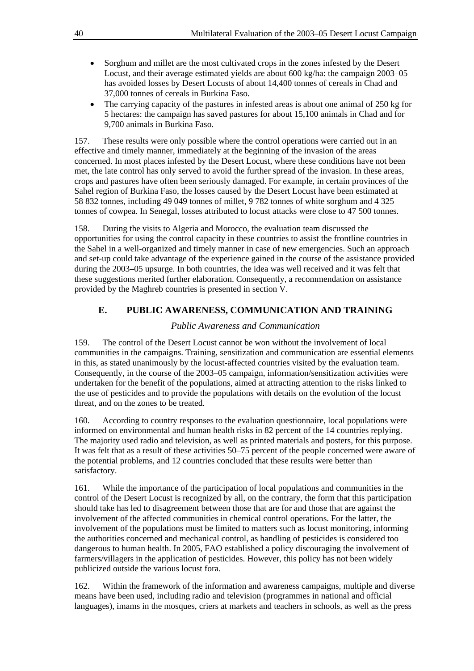- Sorghum and millet are the most cultivated crops in the zones infested by the Desert Locust, and their average estimated yields are about 600 kg/ha: the campaign 2003–05 has avoided losses by Desert Locusts of about 14,400 tonnes of cereals in Chad and 37,000 tonnes of cereals in Burkina Faso.
- The carrying capacity of the pastures in infested areas is about one animal of 250 kg for 5 hectares: the campaign has saved pastures for about 15,100 animals in Chad and for 9,700 animals in Burkina Faso.

157. These results were only possible where the control operations were carried out in an effective and timely manner, immediately at the beginning of the invasion of the areas concerned. In most places infested by the Desert Locust, where these conditions have not been met, the late control has only served to avoid the further spread of the invasion. In these areas, crops and pastures have often been seriously damaged. For example, in certain provinces of the Sahel region of Burkina Faso, the losses caused by the Desert Locust have been estimated at 58 832 tonnes, including 49 049 tonnes of millet, 9 782 tonnes of white sorghum and 4 325 tonnes of cowpea. In Senegal, losses attributed to locust attacks were close to 47 500 tonnes.

158. During the visits to Algeria and Morocco, the evaluation team discussed the opportunities for using the control capacity in these countries to assist the frontline countries in the Sahel in a well-organized and timely manner in case of new emergencies. Such an approach and set-up could take advantage of the experience gained in the course of the assistance provided during the 2003–05 upsurge. In both countries, the idea was well received and it was felt that these suggestions merited further elaboration. Consequently, a recommendation on assistance provided by the Maghreb countries is presented in section V.

## **E. PUBLIC AWARENESS, COMMUNICATION AND TRAINING**

## *Public Awareness and Communication*

159. The control of the Desert Locust cannot be won without the involvement of local communities in the campaigns. Training, sensitization and communication are essential elements in this, as stated unanimously by the locust-affected countries visited by the evaluation team. Consequently, in the course of the 2003–05 campaign, information/sensitization activities were undertaken for the benefit of the populations, aimed at attracting attention to the risks linked to the use of pesticides and to provide the populations with details on the evolution of the locust threat, and on the zones to be treated.

160. According to country responses to the evaluation questionnaire, local populations were informed on environmental and human health risks in 82 percent of the 14 countries replying. The majority used radio and television, as well as printed materials and posters, for this purpose. It was felt that as a result of these activities 50–75 percent of the people concerned were aware of the potential problems, and 12 countries concluded that these results were better than satisfactory.

161. While the importance of the participation of local populations and communities in the control of the Desert Locust is recognized by all, on the contrary, the form that this participation should take has led to disagreement between those that are for and those that are against the involvement of the affected communities in chemical control operations. For the latter, the involvement of the populations must be limited to matters such as locust monitoring, informing the authorities concerned and mechanical control, as handling of pesticides is considered too dangerous to human health. In 2005, FAO established a policy discouraging the involvement of farmers/villagers in the application of pesticides. However, this policy has not been widely publicized outside the various locust fora.

162. Within the framework of the information and awareness campaigns, multiple and diverse means have been used, including radio and television (programmes in national and official languages), imams in the mosques, criers at markets and teachers in schools, as well as the press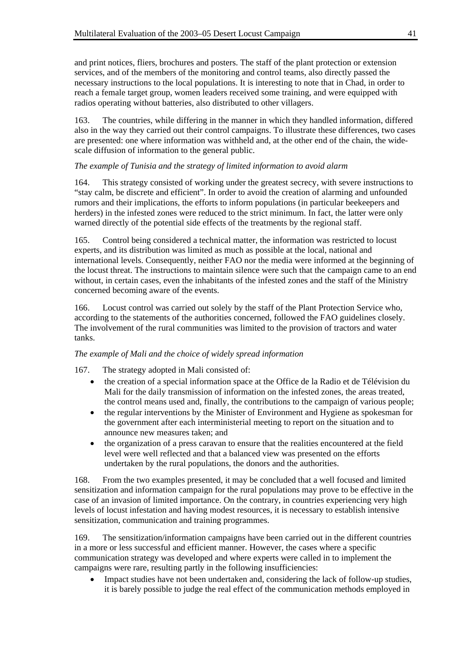and print notices, fliers, brochures and posters. The staff of the plant protection or extension services, and of the members of the monitoring and control teams, also directly passed the necessary instructions to the local populations. It is interesting to note that in Chad, in order to reach a female target group, women leaders received some training, and were equipped with radios operating without batteries, also distributed to other villagers.

163. The countries, while differing in the manner in which they handled information, differed also in the way they carried out their control campaigns. To illustrate these differences, two cases are presented: one where information was withheld and, at the other end of the chain, the widescale diffusion of information to the general public.

## *The example of Tunisia and the strategy of limited information to avoid alarm*

164. This strategy consisted of working under the greatest secrecy, with severe instructions to "stay calm, be discrete and efficient". In order to avoid the creation of alarming and unfounded rumors and their implications, the efforts to inform populations (in particular beekeepers and herders) in the infested zones were reduced to the strict minimum. In fact, the latter were only warned directly of the potential side effects of the treatments by the regional staff.

165. Control being considered a technical matter, the information was restricted to locust experts, and its distribution was limited as much as possible at the local, national and international levels. Consequently, neither FAO nor the media were informed at the beginning of the locust threat. The instructions to maintain silence were such that the campaign came to an end without, in certain cases, even the inhabitants of the infested zones and the staff of the Ministry concerned becoming aware of the events.

166. Locust control was carried out solely by the staff of the Plant Protection Service who, according to the statements of the authorities concerned, followed the FAO guidelines closely. The involvement of the rural communities was limited to the provision of tractors and water tanks.

### *The example of Mali and the choice of widely spread information*

167. The strategy adopted in Mali consisted of:

- the creation of a special information space at the Office de la Radio et de Télévision du Mali for the daily transmission of information on the infested zones, the areas treated, the control means used and, finally, the contributions to the campaign of various people;
- the regular interventions by the Minister of Environment and Hygiene as spokesman for the government after each interministerial meeting to report on the situation and to announce new measures taken; and
- the organization of a press caravan to ensure that the realities encountered at the field level were well reflected and that a balanced view was presented on the efforts undertaken by the rural populations, the donors and the authorities.

168. From the two examples presented, it may be concluded that a well focused and limited sensitization and information campaign for the rural populations may prove to be effective in the case of an invasion of limited importance. On the contrary, in countries experiencing very high levels of locust infestation and having modest resources, it is necessary to establish intensive sensitization, communication and training programmes.

169. The sensitization/information campaigns have been carried out in the different countries in a more or less successful and efficient manner. However, the cases where a specific communication strategy was developed and where experts were called in to implement the campaigns were rare, resulting partly in the following insufficiencies:

• Impact studies have not been undertaken and, considering the lack of follow-up studies, it is barely possible to judge the real effect of the communication methods employed in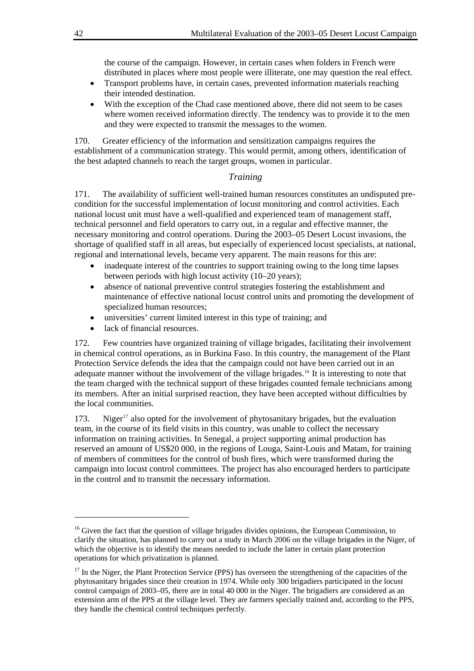the course of the campaign. However, in certain cases when folders in French were distributed in places where most people were illiterate, one may question the real effect.

- Transport problems have, in certain cases, prevented information materials reaching their intended destination.
- With the exception of the Chad case mentioned above, there did not seem to be cases where women received information directly. The tendency was to provide it to the men and they were expected to transmit the messages to the women.

170. Greater efficiency of the information and sensitization campaigns requires the establishment of a communication strategy. This would permit, among others, identification of the best adapted channels to reach the target groups, women in particular.

## *Training*

171. The availability of sufficient well-trained human resources constitutes an undisputed precondition for the successful implementation of locust monitoring and control activities. Each national locust unit must have a well-qualified and experienced team of management staff, technical personnel and field operators to carry out, in a regular and effective manner, the necessary monitoring and control operations. During the 2003–05 Desert Locust invasions, the shortage of qualified staff in all areas, but especially of experienced locust specialists, at national, regional and international levels, became very apparent. The main reasons for this are:

- inadequate interest of the countries to support training owing to the long time lapses between periods with high locust activity (10–20 years);
- absence of national preventive control strategies fostering the establishment and maintenance of effective national locust control units and promoting the development of specialized human resources;
- universities' current limited interest in this type of training; and
- lack of financial resources.

172. Few countries have organized training of village brigades, facilitating their involvement in chemical control operations, as in Burkina Faso. In this country, the management of the Plant Protection Service defends the idea that the campaign could not have been carried out in an adequate manner without the involvement of the village brigades.<sup>[16](#page-45-0)</sup> It is interesting to note that the team charged with the technical support of these brigades counted female technicians among its members. After an initial surprised reaction, they have been accepted without difficulties by the local communities.

[17](#page-45-1)3. Niger<sup>17</sup> also opted for the involvement of phytosanitary brigades, but the evaluation team, in the course of its field visits in this country, was unable to collect the necessary information on training activities. In Senegal, a project supporting animal production has reserved an amount of US\$20 000, in the regions of Louga, Saint-Louis and Matam, for training of members of committees for the control of bush fires, which were transformed during the campaign into locust control committees. The project has also encouraged herders to participate in the control and to transmit the necessary information.

 $\overline{\phantom{a}}$ 

<span id="page-45-0"></span><sup>&</sup>lt;sup>16</sup> Given the fact that the question of village brigades divides opinions, the European Commission, to clarify the situation, has planned to carry out a study in March 2006 on the village brigades in the Niger, of which the objective is to identify the means needed to include the latter in certain plant protection operations for which privatization is planned.

<span id="page-45-1"></span> $17$  In the Niger, the Plant Protection Service (PPS) has overseen the strengthening of the capacities of the phytosanitary brigades since their creation in 1974. While only 300 brigadiers participated in the locust control campaign of 2003–05, there are in total 40 000 in the Niger. The brigadiers are considered as an extension arm of the PPS at the village level. They are farmers specially trained and, according to the PPS, they handle the chemical control techniques perfectly.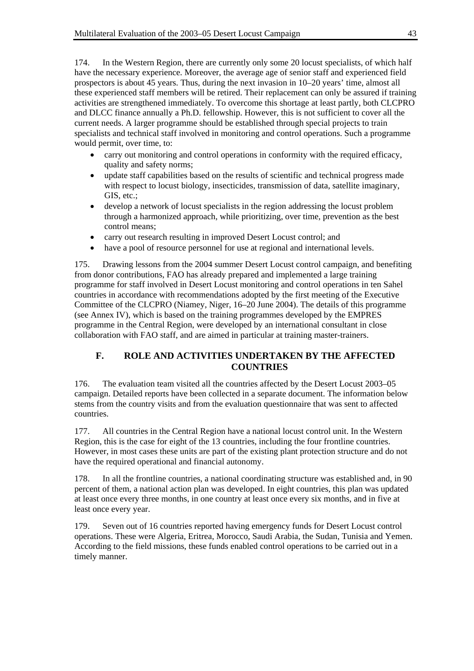174. In the Western Region, there are currently only some 20 locust specialists, of which half have the necessary experience. Moreover, the average age of senior staff and experienced field prospectors is about 45 years. Thus, during the next invasion in 10–20 years' time, almost all these experienced staff members will be retired. Their replacement can only be assured if training activities are strengthened immediately. To overcome this shortage at least partly, both CLCPRO and DLCC finance annually a Ph.D. fellowship. However, this is not sufficient to cover all the current needs. A larger programme should be established through special projects to train specialists and technical staff involved in monitoring and control operations. Such a programme would permit, over time, to:

- carry out monitoring and control operations in conformity with the required efficacy, quality and safety norms;
- update staff capabilities based on the results of scientific and technical progress made with respect to locust biology, insecticides, transmission of data, satellite imaginary, GIS, etc.:
- develop a network of locust specialists in the region addressing the locust problem through a harmonized approach, while prioritizing, over time, prevention as the best control means;
- carry out research resulting in improved Desert Locust control; and
- have a pool of resource personnel for use at regional and international levels.

175. Drawing lessons from the 2004 summer Desert Locust control campaign, and benefiting from donor contributions, FAO has already prepared and implemented a large training programme for staff involved in Desert Locust monitoring and control operations in ten Sahel countries in accordance with recommendations adopted by the first meeting of the Executive Committee of the CLCPRO (Niamey, Niger, 16–20 June 2004). The details of this programme (see Annex IV), which is based on the training programmes developed by the EMPRES programme in the Central Region, were developed by an international consultant in close collaboration with FAO staff, and are aimed in particular at training master-trainers.

## **F. ROLE AND ACTIVITIES UNDERTAKEN BY THE AFFECTED COUNTRIES**

176. The evaluation team visited all the countries affected by the Desert Locust 2003–05 campaign. Detailed reports have been collected in a separate document. The information below stems from the country visits and from the evaluation questionnaire that was sent to affected countries.

177. All countries in the Central Region have a national locust control unit. In the Western Region, this is the case for eight of the 13 countries, including the four frontline countries. However, in most cases these units are part of the existing plant protection structure and do not have the required operational and financial autonomy.

178. In all the frontline countries, a national coordinating structure was established and, in 90 percent of them, a national action plan was developed. In eight countries, this plan was updated at least once every three months, in one country at least once every six months, and in five at least once every year.

179. Seven out of 16 countries reported having emergency funds for Desert Locust control operations. These were Algeria, Eritrea, Morocco, Saudi Arabia, the Sudan, Tunisia and Yemen. According to the field missions, these funds enabled control operations to be carried out in a timely manner.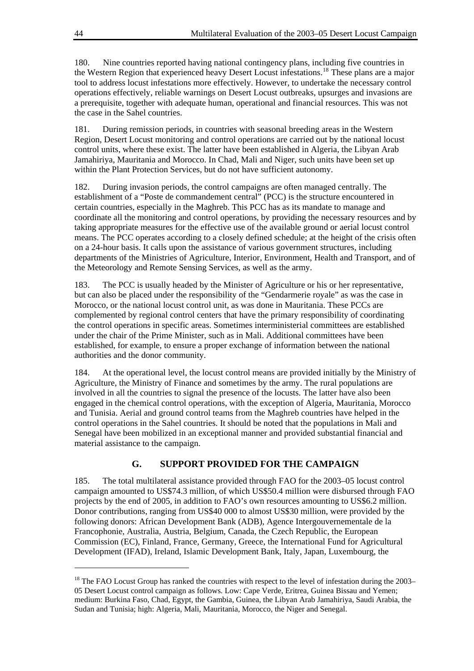180. Nine countries reported having national contingency plans, including five countries in the Western Region that experienced heavy Desert Locust infestations.[18](#page-47-0) These plans are a major tool to address locust infestations more effectively. However, to undertake the necessary control operations effectively, reliable warnings on Desert Locust outbreaks, upsurges and invasions are a prerequisite, together with adequate human, operational and financial resources. This was not the case in the Sahel countries.

181. During remission periods, in countries with seasonal breeding areas in the Western Region, Desert Locust monitoring and control operations are carried out by the national locust control units, where these exist. The latter have been established in Algeria, the Libyan Arab Jamahiriya, Mauritania and Morocco. In Chad, Mali and Niger, such units have been set up within the Plant Protection Services, but do not have sufficient autonomy.

182. During invasion periods, the control campaigns are often managed centrally. The establishment of a "Poste de commandement central" (PCC) is the structure encountered in certain countries, especially in the Maghreb. This PCC has as its mandate to manage and coordinate all the monitoring and control operations, by providing the necessary resources and by taking appropriate measures for the effective use of the available ground or aerial locust control means. The PCC operates according to a closely defined schedule; at the height of the crisis often on a 24-hour basis. It calls upon the assistance of various government structures, including departments of the Ministries of Agriculture, Interior, Environment, Health and Transport, and of the Meteorology and Remote Sensing Services, as well as the army.

183. The PCC is usually headed by the Minister of Agriculture or his or her representative, but can also be placed under the responsibility of the "Gendarmerie royale" as was the case in Morocco, or the national locust control unit, as was done in Mauritania. These PCCs are complemented by regional control centers that have the primary responsibility of coordinating the control operations in specific areas. Sometimes interministerial committees are established under the chair of the Prime Minister, such as in Mali. Additional committees have been established, for example, to ensure a proper exchange of information between the national authorities and the donor community.

184. At the operational level, the locust control means are provided initially by the Ministry of Agriculture, the Ministry of Finance and sometimes by the army. The rural populations are involved in all the countries to signal the presence of the locusts. The latter have also been engaged in the chemical control operations, with the exception of Algeria, Mauritania, Morocco and Tunisia. Aerial and ground control teams from the Maghreb countries have helped in the control operations in the Sahel countries. It should be noted that the populations in Mali and Senegal have been mobilized in an exceptional manner and provided substantial financial and material assistance to the campaign.

## **G. SUPPORT PROVIDED FOR THE CAMPAIGN**

185. The total multilateral assistance provided through FAO for the 2003–05 locust control campaign amounted to US\$74.3 million, of which US\$50.4 million were disbursed through FAO projects by the end of 2005, in addition to FAO's own resources amounting to US\$6.2 million. Donor contributions, ranging from US\$40 000 to almost US\$30 million, were provided by the following donors: African Development Bank (ADB), Agence Intergouvernementale de la Francophonie, Australia, Austria, Belgium, Canada, the Czech Republic, the European Commission (EC), Finland, France, Germany, Greece, the International Fund for Agricultural Development (IFAD), Ireland, Islamic Development Bank, Italy, Japan, Luxembourg, the

l

<span id="page-47-0"></span><sup>&</sup>lt;sup>18</sup> The FAO Locust Group has ranked the countries with respect to the level of infestation during the 2003– 05 Desert Locust control campaign as follows. Low: Cape Verde, Eritrea, Guinea Bissau and Yemen; medium: Burkina Faso, Chad, Egypt, the Gambia, Guinea, the Libyan Arab Jamahiriya, Saudi Arabia, the Sudan and Tunisia; high: Algeria, Mali, Mauritania, Morocco, the Niger and Senegal.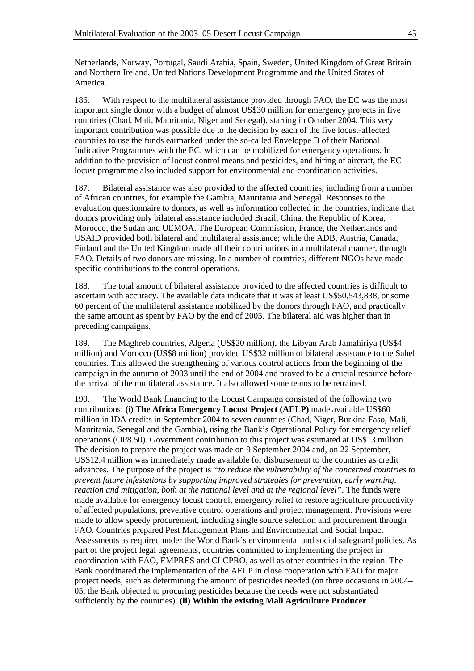Netherlands, Norway, Portugal, Saudi Arabia, Spain, Sweden, United Kingdom of Great Britain and Northern Ireland, United Nations Development Programme and the United States of America.

186. With respect to the multilateral assistance provided through FAO, the EC was the most important single donor with a budget of almost US\$30 million for emergency projects in five countries (Chad, Mali, Mauritania, Niger and Senegal), starting in October 2004. This very important contribution was possible due to the decision by each of the five locust-affected countries to use the funds earmarked under the so-called Enveloppe B of their National Indicative Programmes with the EC, which can be mobilized for emergency operations. In addition to the provision of locust control means and pesticides, and hiring of aircraft, the EC locust programme also included support for environmental and coordination activities.

187. Bilateral assistance was also provided to the affected countries, including from a number of African countries, for example the Gambia, Mauritania and Senegal. Responses to the evaluation questionnaire to donors, as well as information collected in the countries, indicate that donors providing only bilateral assistance included Brazil, China, the Republic of Korea, Morocco, the Sudan and UEMOA. The European Commission, France, the Netherlands and USAID provided both bilateral and multilateral assistance; while the ADB, Austria, Canada, Finland and the United Kingdom made all their contributions in a multilateral manner, through FAO. Details of two donors are missing. In a number of countries, different NGOs have made specific contributions to the control operations.

188. The total amount of bilateral assistance provided to the affected countries is difficult to ascertain with accuracy. The available data indicate that it was at least US\$50,543,838, or some 60 percent of the multilateral assistance mobilized by the donors through FAO, and practically the same amount as spent by FAO by the end of 2005. The bilateral aid was higher than in preceding campaigns.

189. The Maghreb countries, Algeria (US\$20 million), the Libyan Arab Jamahiriya (US\$4 million) and Morocco (US\$8 million) provided US\$32 million of bilateral assistance to the Sahel countries. This allowed the strengthening of various control actions from the beginning of the campaign in the autumn of 2003 until the end of 2004 and proved to be a crucial resource before the arrival of the multilateral assistance. It also allowed some teams to be retrained.

190. The World Bank financing to the Locust Campaign consisted of the following two contributions: **(i) The Africa Emergency Locust Project (AELP)** made available US\$60 million in IDA credits in September 2004 to seven countries (Chad, Niger, Burkina Faso, Mali, Mauritania, Senegal and the Gambia), using the Bank's Operational Policy for emergency relief operations (OP8.50). Government contribution to this project was estimated at US\$13 million. The decision to prepare the project was made on 9 September 2004 and, on 22 September, US\$12.4 million was immediately made available for disbursement to the countries as credit advances. The purpose of the project is *"to reduce the vulnerability of the concerned countries to prevent future infestations by supporting improved strategies for prevention, early warning, reaction and mitigation, both at the national level and at the regional level"*. The funds were made available for emergency locust control, emergency relief to restore agriculture productivity of affected populations, preventive control operations and project management. Provisions were made to allow speedy procurement, including single source selection and procurement through FAO. Countries prepared Pest Management Plans and Environmental and Social Impact Assessments as required under the World Bank's environmental and social safeguard policies. As part of the project legal agreements, countries committed to implementing the project in coordination with FAO, EMPRES and CLCPRO, as well as other countries in the region. The Bank coordinated the implementation of the AELP in close cooperation with FAO for major project needs, such as determining the amount of pesticides needed (on three occasions in 2004– 05, the Bank objected to procuring pesticides because the needs were not substantiated sufficiently by the countries). **(ii) Within the existing Mali Agriculture Producer**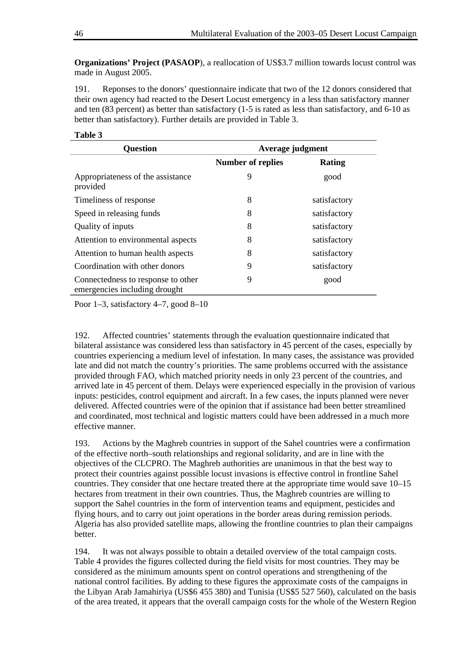**Organizations' Project (PASAOP**), a reallocation of US\$3.7 million towards locust control was made in August 2005.

191. Reponses to the donors' questionnaire indicate that two of the 12 donors considered that their own agency had reacted to the Desert Locust emergency in a less than satisfactory manner and ten (83 percent) as better than satisfactory (1-5 is rated as less than satisfactory, and 6-10 as better than satisfactory). Further details are provided in Table 3.

**Table 3** 

| <b>Question</b>                                                     | Average judgment         |              |
|---------------------------------------------------------------------|--------------------------|--------------|
|                                                                     | <b>Number of replies</b> | Rating       |
| Appropriateness of the assistance<br>provided                       | 9                        | good         |
| Timeliness of response                                              | 8                        | satisfactory |
| Speed in releasing funds                                            | 8                        | satisfactory |
| Quality of inputs                                                   | 8                        | satisfactory |
| Attention to environmental aspects                                  | 8                        | satisfactory |
| Attention to human health aspects                                   | 8                        | satisfactory |
| Coordination with other donors                                      | 9                        | satisfactory |
| Connectedness to response to other<br>emergencies including drought | 9                        | good         |

Poor 1–3, satisfactory 4–7, good 8–10

192. Affected countries' statements through the evaluation questionnaire indicated that bilateral assistance was considered less than satisfactory in 45 percent of the cases, especially by countries experiencing a medium level of infestation. In many cases, the assistance was provided late and did not match the country's priorities. The same problems occurred with the assistance provided through FAO, which matched priority needs in only 23 percent of the countries, and arrived late in 45 percent of them. Delays were experienced especially in the provision of various inputs: pesticides, control equipment and aircraft. In a few cases, the inputs planned were never delivered. Affected countries were of the opinion that if assistance had been better streamlined and coordinated, most technical and logistic matters could have been addressed in a much more effective manner.

193. Actions by the Maghreb countries in support of the Sahel countries were a confirmation of the effective north–south relationships and regional solidarity, and are in line with the objectives of the CLCPRO. The Maghreb authorities are unanimous in that the best way to protect their countries against possible locust invasions is effective control in frontline Sahel countries. They consider that one hectare treated there at the appropriate time would save 10–15 hectares from treatment in their own countries. Thus, the Maghreb countries are willing to support the Sahel countries in the form of intervention teams and equipment, pesticides and flying hours, and to carry out joint operations in the border areas during remission periods. Algeria has also provided satellite maps, allowing the frontline countries to plan their campaigns better.

194. It was not always possible to obtain a detailed overview of the total campaign costs. Table 4 provides the figures collected during the field visits for most countries. They may be considered as the minimum amounts spent on control operations and strengthening of the national control facilities. By adding to these figures the approximate costs of the campaigns in the Libyan Arab Jamahiriya (US\$6 455 380) and Tunisia (US\$5 527 560), calculated on the basis of the area treated, it appears that the overall campaign costs for the whole of the Western Region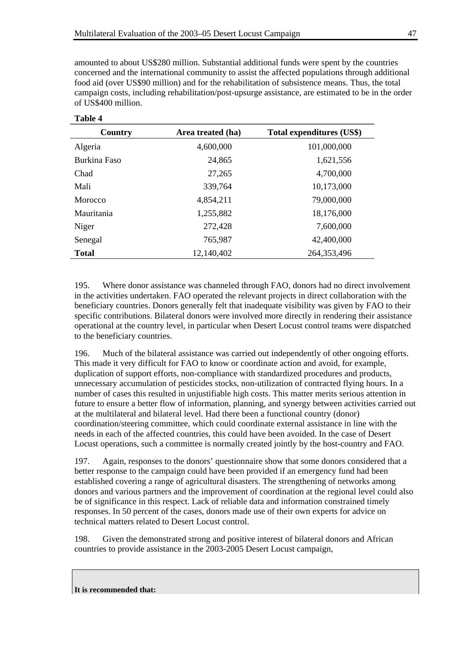amounted to about US\$280 million. Substantial additional funds were spent by the countries concerned and the international community to assist the affected populations through additional food aid (over US\$90 million) and for the rehabilitation of subsistence means. Thus, the total campaign costs, including rehabilitation/post-upsurge assistance, are estimated to be in the order of US\$400 million.

| Country      | Area treated (ha) | Total expenditures (US\$) |
|--------------|-------------------|---------------------------|
| Algeria      | 4,600,000         | 101,000,000               |
| Burkina Faso | 24,865            | 1,621,556                 |
| Chad         | 27,265            | 4,700,000                 |
| Mali         | 339,764           | 10,173,000                |
| Morocco      | 4,854,211         | 79,000,000                |
| Mauritania   | 1,255,882         | 18,176,000                |
| Niger        | 272,428           | 7,600,000                 |
| Senegal      | 765,987           | 42,400,000                |
| <b>Total</b> | 12,140,402        | 264, 353, 496             |

## **Table 4**

195. Where donor assistance was channeled through FAO, donors had no direct involvement in the activities undertaken. FAO operated the relevant projects in direct collaboration with the beneficiary countries. Donors generally felt that inadequate visibility was given by FAO to their specific contributions. Bilateral donors were involved more directly in rendering their assistance operational at the country level, in particular when Desert Locust control teams were dispatched to the beneficiary countries.

196. Much of the bilateral assistance was carried out independently of other ongoing efforts. This made it very difficult for FAO to know or coordinate action and avoid, for example, duplication of support efforts, non-compliance with standardized procedures and products, unnecessary accumulation of pesticides stocks, non-utilization of contracted flying hours. In a number of cases this resulted in unjustifiable high costs. This matter merits serious attention in future to ensure a better flow of information, planning, and synergy between activities carried out at the multilateral and bilateral level. Had there been a functional country (donor) coordination/steering committee, which could coordinate external assistance in line with the needs in each of the affected countries, this could have been avoided. In the case of Desert Locust operations, such a committee is normally created jointly by the host-country and FAO.

197. Again, responses to the donors' questionnaire show that some donors considered that a better response to the campaign could have been provided if an emergency fund had been established covering a range of agricultural disasters. The strengthening of networks among donors and various partners and the improvement of coordination at the regional level could also be of significance in this respect. Lack of reliable data and information constrained timely responses. In 50 percent of the cases, donors made use of their own experts for advice on technical matters related to Desert Locust control.

198. Given the demonstrated strong and positive interest of bilateral donors and African countries to provide assistance in the 2003-2005 Desert Locust campaign,

**It is recommended that:**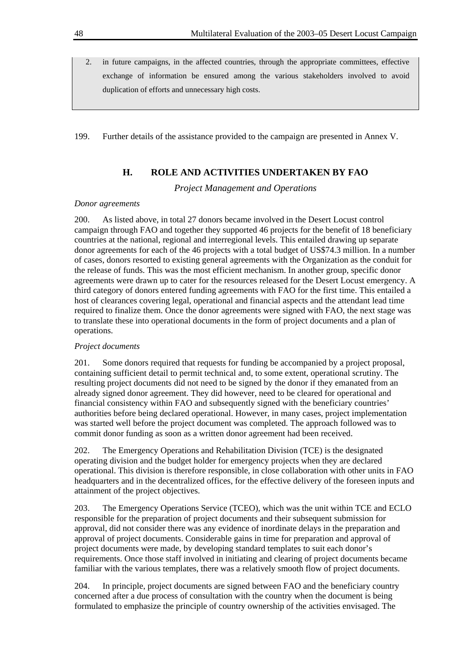2. in future campaigns, in the affected countries, through the appropriate committees, effective exchange of information be ensured among the various stakeholders involved to avoid duplication of efforts and unnecessary high costs.

199. Further details of the assistance provided to the campaign are presented in Annex V.

### **H. ROLE AND ACTIVITIES UNDERTAKEN BY FAO**

*Project Management and Operations* 

#### *Donor agreements*

200. As listed above, in total 27 donors became involved in the Desert Locust control campaign through FAO and together they supported 46 projects for the benefit of 18 beneficiary countries at the national, regional and interregional levels. This entailed drawing up separate donor agreements for each of the 46 projects with a total budget of US\$74.3 million. In a number of cases, donors resorted to existing general agreements with the Organization as the conduit for the release of funds. This was the most efficient mechanism. In another group, specific donor agreements were drawn up to cater for the resources released for the Desert Locust emergency. A third category of donors entered funding agreements with FAO for the first time. This entailed a host of clearances covering legal, operational and financial aspects and the attendant lead time required to finalize them. Once the donor agreements were signed with FAO, the next stage was to translate these into operational documents in the form of project documents and a plan of operations.

#### *Project documents*

201. Some donors required that requests for funding be accompanied by a project proposal, containing sufficient detail to permit technical and, to some extent, operational scrutiny. The resulting project documents did not need to be signed by the donor if they emanated from an already signed donor agreement. They did however, need to be cleared for operational and financial consistency within FAO and subsequently signed with the beneficiary countries' authorities before being declared operational. However, in many cases, project implementation was started well before the project document was completed. The approach followed was to commit donor funding as soon as a written donor agreement had been received.

202. The Emergency Operations and Rehabilitation Division (TCE) is the designated operating division and the budget holder for emergency projects when they are declared operational. This division is therefore responsible, in close collaboration with other units in FAO headquarters and in the decentralized offices, for the effective delivery of the foreseen inputs and attainment of the project objectives.

203. The Emergency Operations Service (TCEO), which was the unit within TCE and ECLO responsible for the preparation of project documents and their subsequent submission for approval, did not consider there was any evidence of inordinate delays in the preparation and approval of project documents. Considerable gains in time for preparation and approval of project documents were made, by developing standard templates to suit each donor's requirements. Once those staff involved in initiating and clearing of project documents became familiar with the various templates, there was a relatively smooth flow of project documents.

204. In principle, project documents are signed between FAO and the beneficiary country concerned after a due process of consultation with the country when the document is being formulated to emphasize the principle of country ownership of the activities envisaged. The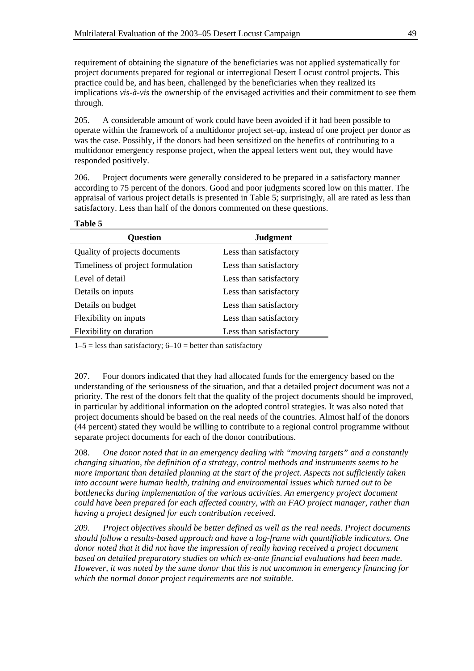requirement of obtaining the signature of the beneficiaries was not applied systematically for project documents prepared for regional or interregional Desert Locust control projects. This practice could be, and has been, challenged by the beneficiaries when they realized its implications *vis-à-vis* the ownership of the envisaged activities and their commitment to see them through.

205. A considerable amount of work could have been avoided if it had been possible to operate within the framework of a multidonor project set-up, instead of one project per donor as was the case. Possibly, if the donors had been sensitized on the benefits of contributing to a multidonor emergency response project, when the appeal letters went out, they would have responded positively.

206. Project documents were generally considered to be prepared in a satisfactory manner according to 75 percent of the donors. Good and poor judgments scored low on this matter. The appraisal of various project details is presented in Table 5; surprisingly, all are rated as less than satisfactory. Less than half of the donors commented on these questions.

**Table 5** 

| <b>Question</b>                   | <b>Judgment</b>        |
|-----------------------------------|------------------------|
| Quality of projects documents     | Less than satisfactory |
| Timeliness of project formulation | Less than satisfactory |
| Level of detail                   | Less than satisfactory |
| Details on inputs                 | Less than satisfactory |
| Details on budget                 | Less than satisfactory |
| Flexibility on inputs             | Less than satisfactory |
| Flexibility on duration           | Less than satisfactory |

 $1-5$  = less than satisfactory;  $6-10$  = better than satisfactory

207. Four donors indicated that they had allocated funds for the emergency based on the understanding of the seriousness of the situation, and that a detailed project document was not a priority. The rest of the donors felt that the quality of the project documents should be improved, in particular by additional information on the adopted control strategies. It was also noted that project documents should be based on the real needs of the countries. Almost half of the donors (44 percent) stated they would be willing to contribute to a regional control programme without separate project documents for each of the donor contributions.

208. *One donor noted that in an emergency dealing with "moving targets" and a constantly changing situation, the definition of a strategy, control methods and instruments seems to be more important than detailed planning at the start of the project. Aspects not sufficiently taken into account were human health, training and environmental issues which turned out to be bottlenecks during implementation of the various activities. An emergency project document could have been prepared for each affected country, with an FAO project manager, rather than having a project designed for each contribution received.* 

*209. Project objectives should be better defined as well as the real needs. Project documents should follow a results-based approach and have a log-frame with quantifiable indicators. One donor noted that it did not have the impression of really having received a project document based on detailed preparatory studies on which ex-ante financial evaluations had been made. However, it was noted by the same donor that this is not uncommon in emergency financing for which the normal donor project requirements are not suitable.*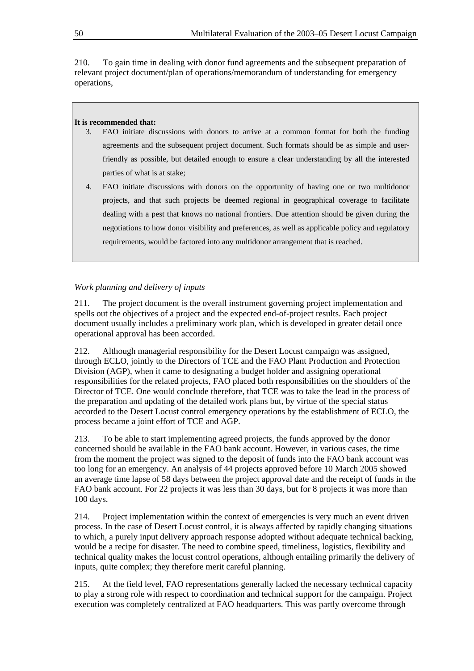210. To gain time in dealing with donor fund agreements and the subsequent preparation of relevant project document/plan of operations/memorandum of understanding for emergency operations,

#### **It is recommended that:**

- 3. FAO initiate discussions with donors to arrive at a common format for both the funding agreements and the subsequent project document. Such formats should be as simple and userfriendly as possible, but detailed enough to ensure a clear understanding by all the interested parties of what is at stake;
- 4. FAO initiate discussions with donors on the opportunity of having one or two multidonor projects, and that such projects be deemed regional in geographical coverage to facilitate dealing with a pest that knows no national frontiers. Due attention should be given during the negotiations to how donor visibility and preferences, as well as applicable policy and regulatory requirements, would be factored into any multidonor arrangement that is reached.

#### *Work planning and delivery of inputs*

211. The project document is the overall instrument governing project implementation and spells out the objectives of a project and the expected end-of-project results. Each project document usually includes a preliminary work plan, which is developed in greater detail once operational approval has been accorded.

212. Although managerial responsibility for the Desert Locust campaign was assigned, through ECLO, jointly to the Directors of TCE and the FAO Plant Production and Protection Division (AGP), when it came to designating a budget holder and assigning operational responsibilities for the related projects, FAO placed both responsibilities on the shoulders of the Director of TCE. One would conclude therefore, that TCE was to take the lead in the process of the preparation and updating of the detailed work plans but, by virtue of the special status accorded to the Desert Locust control emergency operations by the establishment of ECLO, the process became a joint effort of TCE and AGP.

213. To be able to start implementing agreed projects, the funds approved by the donor concerned should be available in the FAO bank account. However, in various cases, the time from the moment the project was signed to the deposit of funds into the FAO bank account was too long for an emergency. An analysis of 44 projects approved before 10 March 2005 showed an average time lapse of 58 days between the project approval date and the receipt of funds in the FAO bank account. For 22 projects it was less than 30 days, but for 8 projects it was more than 100 days.

214. Project implementation within the context of emergencies is very much an event driven process. In the case of Desert Locust control, it is always affected by rapidly changing situations to which, a purely input delivery approach response adopted without adequate technical backing, would be a recipe for disaster. The need to combine speed, timeliness, logistics, flexibility and technical quality makes the locust control operations, although entailing primarily the delivery of inputs, quite complex; they therefore merit careful planning.

215. At the field level, FAO representations generally lacked the necessary technical capacity to play a strong role with respect to coordination and technical support for the campaign. Project execution was completely centralized at FAO headquarters. This was partly overcome through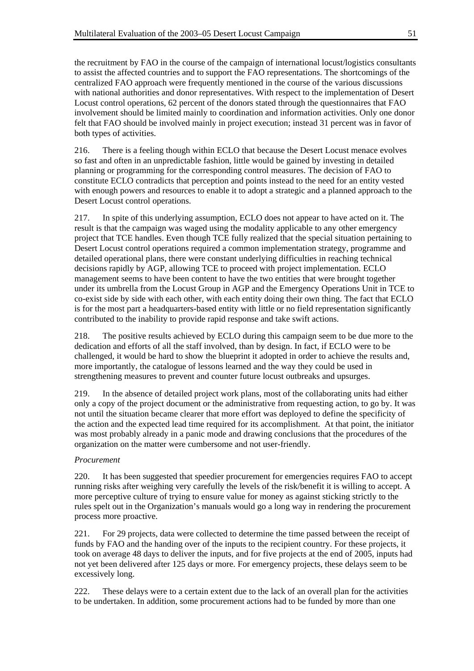the recruitment by FAO in the course of the campaign of international locust/logistics consultants to assist the affected countries and to support the FAO representations. The shortcomings of the centralized FAO approach were frequently mentioned in the course of the various discussions with national authorities and donor representatives. With respect to the implementation of Desert Locust control operations, 62 percent of the donors stated through the questionnaires that FAO involvement should be limited mainly to coordination and information activities. Only one donor felt that FAO should be involved mainly in project execution; instead 31 percent was in favor of both types of activities.

216. There is a feeling though within ECLO that because the Desert Locust menace evolves so fast and often in an unpredictable fashion, little would be gained by investing in detailed planning or programming for the corresponding control measures. The decision of FAO to constitute ECLO contradicts that perception and points instead to the need for an entity vested with enough powers and resources to enable it to adopt a strategic and a planned approach to the Desert Locust control operations.

217. In spite of this underlying assumption, ECLO does not appear to have acted on it. The result is that the campaign was waged using the modality applicable to any other emergency project that TCE handles. Even though TCE fully realized that the special situation pertaining to Desert Locust control operations required a common implementation strategy, programme and detailed operational plans, there were constant underlying difficulties in reaching technical decisions rapidly by AGP, allowing TCE to proceed with project implementation. ECLO management seems to have been content to have the two entities that were brought together under its umbrella from the Locust Group in AGP and the Emergency Operations Unit in TCE to co-exist side by side with each other, with each entity doing their own thing. The fact that ECLO is for the most part a headquarters-based entity with little or no field representation significantly contributed to the inability to provide rapid response and take swift actions.

218. The positive results achieved by ECLO during this campaign seem to be due more to the dedication and efforts of all the staff involved, than by design. In fact, if ECLO were to be challenged, it would be hard to show the blueprint it adopted in order to achieve the results and, more importantly, the catalogue of lessons learned and the way they could be used in strengthening measures to prevent and counter future locust outbreaks and upsurges.

219. In the absence of detailed project work plans, most of the collaborating units had either only a copy of the project document or the administrative from requesting action, to go by. It was not until the situation became clearer that more effort was deployed to define the specificity of the action and the expected lead time required for its accomplishment. At that point, the initiator was most probably already in a panic mode and drawing conclusions that the procedures of the organization on the matter were cumbersome and not user-friendly.

### *Procurement*

220. It has been suggested that speedier procurement for emergencies requires FAO to accept running risks after weighing very carefully the levels of the risk/benefit it is willing to accept. A more perceptive culture of trying to ensure value for money as against sticking strictly to the rules spelt out in the Organization's manuals would go a long way in rendering the procurement process more proactive.

221. For 29 projects, data were collected to determine the time passed between the receipt of funds by FAO and the handing over of the inputs to the recipient country. For these projects, it took on average 48 days to deliver the inputs, and for five projects at the end of 2005, inputs had not yet been delivered after 125 days or more. For emergency projects, these delays seem to be excessively long.

222. These delays were to a certain extent due to the lack of an overall plan for the activities to be undertaken. In addition, some procurement actions had to be funded by more than one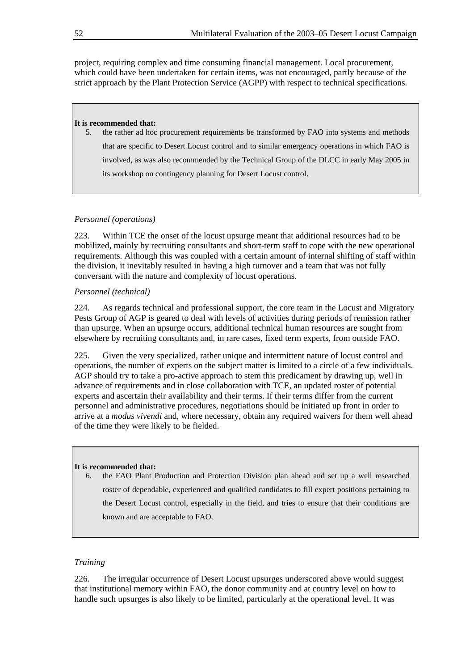project, requiring complex and time consuming financial management. Local procurement, which could have been undertaken for certain items, was not encouraged, partly because of the strict approach by the Plant Protection Service (AGPP) with respect to technical specifications.

#### **It is recommended that:**

5. the rather ad hoc procurement requirements be transformed by FAO into systems and methods that are specific to Desert Locust control and to similar emergency operations in which FAO is involved, as was also recommended by the Technical Group of the DLCC in early May 2005 in its workshop on contingency planning for Desert Locust control.

#### *Personnel (operations)*

223. Within TCE the onset of the locust upsurge meant that additional resources had to be mobilized, mainly by recruiting consultants and short-term staff to cope with the new operational requirements. Although this was coupled with a certain amount of internal shifting of staff within the division, it inevitably resulted in having a high turnover and a team that was not fully conversant with the nature and complexity of locust operations.

#### *Personnel (technical)*

224. As regards technical and professional support, the core team in the Locust and Migratory Pests Group of AGP is geared to deal with levels of activities during periods of remission rather than upsurge. When an upsurge occurs, additional technical human resources are sought from elsewhere by recruiting consultants and, in rare cases, fixed term experts, from outside FAO.

225. Given the very specialized, rather unique and intermittent nature of locust control and operations, the number of experts on the subject matter is limited to a circle of a few individuals. AGP should try to take a pro-active approach to stem this predicament by drawing up, well in advance of requirements and in close collaboration with TCE, an updated roster of potential experts and ascertain their availability and their terms. If their terms differ from the current personnel and administrative procedures, negotiations should be initiated up front in order to arrive at a *modus vivendi* and, where necessary, obtain any required waivers for them well ahead of the time they were likely to be fielded.

#### **It is recommended that:**

6. the FAO Plant Production and Protection Division plan ahead and set up a well researched roster of dependable, experienced and qualified candidates to fill expert positions pertaining to the Desert Locust control, especially in the field, and tries to ensure that their conditions are known and are acceptable to FAO.

## *Training*

226. The irregular occurrence of Desert Locust upsurges underscored above would suggest that institutional memory within FAO, the donor community and at country level on how to handle such upsurges is also likely to be limited, particularly at the operational level. It was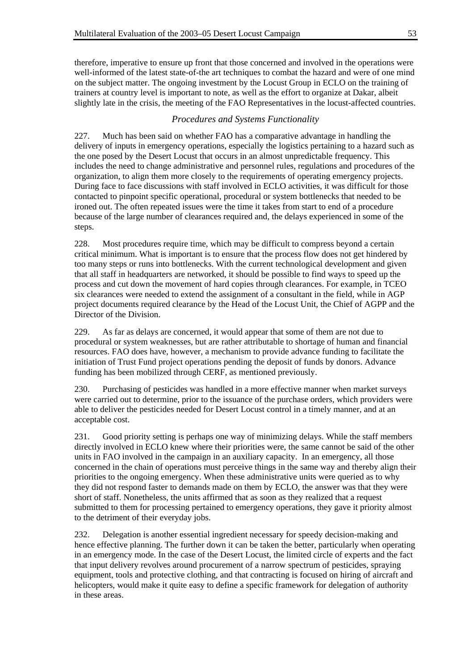therefore, imperative to ensure up front that those concerned and involved in the operations were well-informed of the latest state-of-the art techniques to combat the hazard and were of one mind on the subject matter. The ongoing investment by the Locust Group in ECLO on the training of trainers at country level is important to note, as well as the effort to organize at Dakar, albeit slightly late in the crisis, the meeting of the FAO Representatives in the locust-affected countries.

## *Procedures and Systems Functionality*

227. Much has been said on whether FAO has a comparative advantage in handling the delivery of inputs in emergency operations, especially the logistics pertaining to a hazard such as the one posed by the Desert Locust that occurs in an almost unpredictable frequency. This includes the need to change administrative and personnel rules, regulations and procedures of the organization, to align them more closely to the requirements of operating emergency projects. During face to face discussions with staff involved in ECLO activities, it was difficult for those contacted to pinpoint specific operational, procedural or system bottlenecks that needed to be ironed out. The often repeated issues were the time it takes from start to end of a procedure because of the large number of clearances required and, the delays experienced in some of the steps.

228. Most procedures require time, which may be difficult to compress beyond a certain critical minimum. What is important is to ensure that the process flow does not get hindered by too many steps or runs into bottlenecks. With the current technological development and given that all staff in headquarters are networked, it should be possible to find ways to speed up the process and cut down the movement of hard copies through clearances. For example, in TCEO six clearances were needed to extend the assignment of a consultant in the field, while in AGP project documents required clearance by the Head of the Locust Unit, the Chief of AGPP and the Director of the Division.

229. As far as delays are concerned, it would appear that some of them are not due to procedural or system weaknesses, but are rather attributable to shortage of human and financial resources. FAO does have, however, a mechanism to provide advance funding to facilitate the initiation of Trust Fund project operations pending the deposit of funds by donors. Advance funding has been mobilized through CERF, as mentioned previously.

230. Purchasing of pesticides was handled in a more effective manner when market surveys were carried out to determine, prior to the issuance of the purchase orders, which providers were able to deliver the pesticides needed for Desert Locust control in a timely manner, and at an acceptable cost.

231. Good priority setting is perhaps one way of minimizing delays. While the staff members directly involved in ECLO knew where their priorities were, the same cannot be said of the other units in FAO involved in the campaign in an auxiliary capacity. In an emergency, all those concerned in the chain of operations must perceive things in the same way and thereby align their priorities to the ongoing emergency. When these administrative units were queried as to why they did not respond faster to demands made on them by ECLO, the answer was that they were short of staff. Nonetheless, the units affirmed that as soon as they realized that a request submitted to them for processing pertained to emergency operations, they gave it priority almost to the detriment of their everyday jobs.

232. Delegation is another essential ingredient necessary for speedy decision-making and hence effective planning. The further down it can be taken the better, particularly when operating in an emergency mode. In the case of the Desert Locust, the limited circle of experts and the fact that input delivery revolves around procurement of a narrow spectrum of pesticides, spraying equipment, tools and protective clothing, and that contracting is focused on hiring of aircraft and helicopters, would make it quite easy to define a specific framework for delegation of authority in these areas.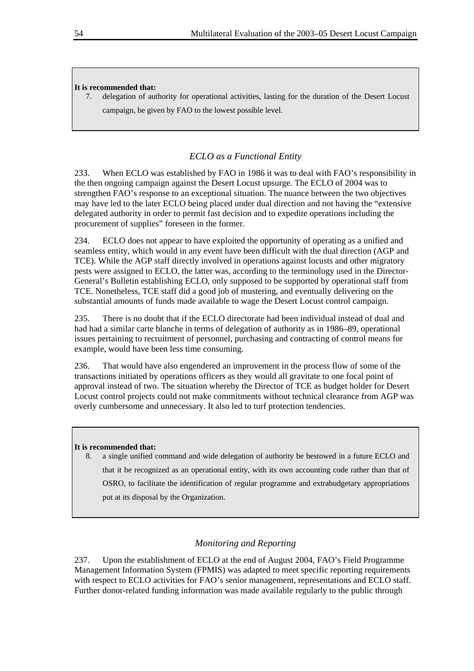#### **It is recommended that:**

7. delegation of authority for operational activities, lasting for the duration of the Desert Locust campaign, be given by FAO to the lowest possible level.

## *ECLO as a Functional Entity*

233. When ECLO was established by FAO in 1986 it was to deal with FAO's responsibility in the then ongoing campaign against the Desert Locust upsurge. The ECLO of 2004 was to strengthen FAO's response to an exceptional situation. The nuance between the two objectives may have led to the later ECLO being placed under dual direction and not having the "extensive delegated authority in order to permit fast decision and to expedite operations including the procurement of supplies" foreseen in the former.

234. ECLO does not appear to have exploited the opportunity of operating as a unified and seamless entity, which would in any event have been difficult with the dual direction (AGP and TCE). While the AGP staff directly involved in operations against locusts and other migratory pests were assigned to ECLO, the latter was, according to the terminology used in the Director-General's Bulletin establishing ECLO, only supposed to be supported by operational staff from TCE. Nonetheless, TCE staff did a good job of mustering, and eventually delivering on the substantial amounts of funds made available to wage the Desert Locust control campaign.

235. There is no doubt that if the ECLO directorate had been individual instead of dual and had had a similar carte blanche in terms of delegation of authority as in 1986–89, operational issues pertaining to recruitment of personnel, purchasing and contracting of control means for example, would have been less time consuming.

236. That would have also engendered an improvement in the process flow of some of the transactions initiated by operations officers as they would all gravitate to one focal point of approval instead of two. The situation whereby the Director of TCE as budget holder for Desert Locust control projects could not make commitments without technical clearance from AGP was overly cumbersome and unnecessary. It also led to turf protection tendencies.

#### **It is recommended that:**

8. a single unified command and wide delegation of authority be bestowed in a future ECLO and that it be recognized as an operational entity, with its own accounting code rather than that of OSRO, to facilitate the identification of regular programme and extrabudgetary appropriations put at its disposal by the Organization.

## *Monitoring and Reporting*

237. Upon the establishment of ECLO at the end of August 2004, FAO's Field Programme Management Information System (FPMIS) was adapted to meet specific reporting requirements with respect to ECLO activities for FAO's senior management, representations and ECLO staff. Further donor-related funding information was made available regularly to the public through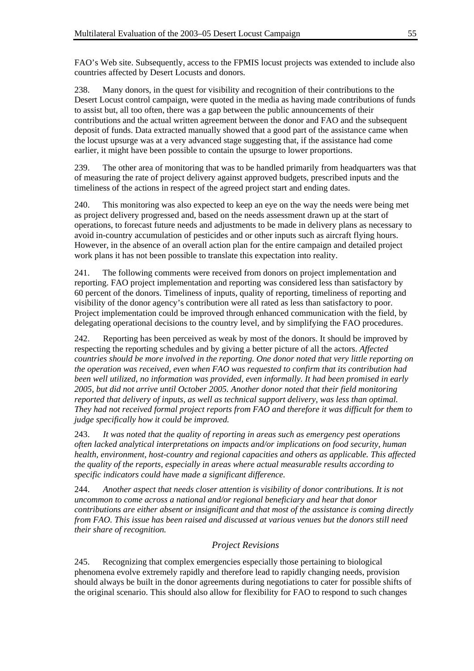FAO's Web site. Subsequently, access to the FPMIS locust projects was extended to include also countries affected by Desert Locusts and donors.

238. Many donors, in the quest for visibility and recognition of their contributions to the Desert Locust control campaign, were quoted in the media as having made contributions of funds to assist but, all too often, there was a gap between the public announcements of their contributions and the actual written agreement between the donor and FAO and the subsequent deposit of funds. Data extracted manually showed that a good part of the assistance came when the locust upsurge was at a very advanced stage suggesting that, if the assistance had come earlier, it might have been possible to contain the upsurge to lower proportions.

239. The other area of monitoring that was to be handled primarily from headquarters was that of measuring the rate of project delivery against approved budgets, prescribed inputs and the timeliness of the actions in respect of the agreed project start and ending dates.

240. This monitoring was also expected to keep an eye on the way the needs were being met as project delivery progressed and, based on the needs assessment drawn up at the start of operations, to forecast future needs and adjustments to be made in delivery plans as necessary to avoid in-country accumulation of pesticides and or other inputs such as aircraft flying hours. However, in the absence of an overall action plan for the entire campaign and detailed project work plans it has not been possible to translate this expectation into reality.

241. The following comments were received from donors on project implementation and reporting. FAO project implementation and reporting was considered less than satisfactory by 60 percent of the donors. Timeliness of inputs, quality of reporting, timeliness of reporting and visibility of the donor agency's contribution were all rated as less than satisfactory to poor. Project implementation could be improved through enhanced communication with the field, by delegating operational decisions to the country level, and by simplifying the FAO procedures.

242. Reporting has been perceived as weak by most of the donors. It should be improved by respecting the reporting schedules and by giving a better picture of all the actors. *Affected countries should be more involved in the reporting. One donor noted that very little reporting on the operation was received, even when FAO was requested to confirm that its contribution had been well utilized, no information was provided, even informally. It had been promised in early 2005, but did not arrive until October 2005. Another donor noted that their field monitoring reported that delivery of inputs, as well as technical support delivery, was less than optimal. They had not received formal project reports from FAO and therefore it was difficult for them to judge specifically how it could be improved.* 

243. *It was noted that the quality of reporting in areas such as emergency pest operations often lacked analytical interpretations on impacts and/or implications on food security, human health, environment, host-country and regional capacities and others as applicable. This affected the quality of the reports, especially in areas where actual measurable results according to specific indicators could have made a significant difference.* 

244. *Another aspect that needs closer attention is visibility of donor contributions. It is not uncommon to come across a national and/or regional beneficiary and hear that donor contributions are either absent or insignificant and that most of the assistance is coming directly from FAO. This issue has been raised and discussed at various venues but the donors still need their share of recognition.* 

## *Project Revisions*

245. Recognizing that complex emergencies especially those pertaining to biological phenomena evolve extremely rapidly and therefore lead to rapidly changing needs, provision should always be built in the donor agreements during negotiations to cater for possible shifts of the original scenario. This should also allow for flexibility for FAO to respond to such changes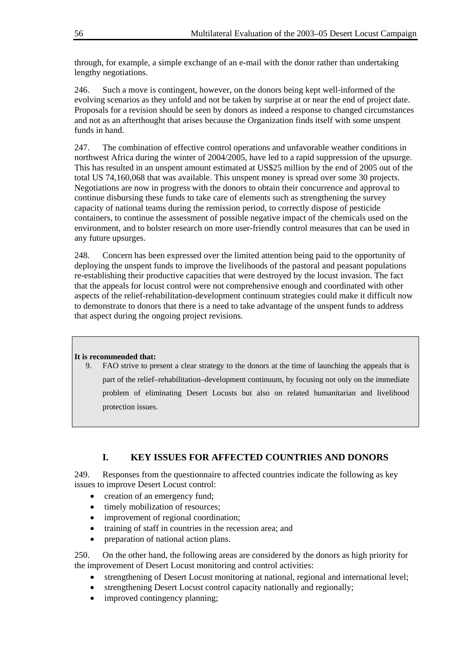through, for example, a simple exchange of an e-mail with the donor rather than undertaking lengthy negotiations.

246. Such a move is contingent, however, on the donors being kept well-informed of the evolving scenarios as they unfold and not be taken by surprise at or near the end of project date. Proposals for a revision should be seen by donors as indeed a response to changed circumstances and not as an afterthought that arises because the Organization finds itself with some unspent funds in hand.

247. The combination of effective control operations and unfavorable weather conditions in northwest Africa during the winter of 2004/2005, have led to a rapid suppression of the upsurge. This has resulted in an unspent amount estimated at US\$25 million by the end of 2005 out of the total US 74,160,068 that was available. This unspent money is spread over some 30 projects. Negotiations are now in progress with the donors to obtain their concurrence and approval to continue disbursing these funds to take care of elements such as strengthening the survey capacity of national teams during the remission period, to correctly dispose of pesticide containers, to continue the assessment of possible negative impact of the chemicals used on the environment, and to bolster research on more user-friendly control measures that can be used in any future upsurges.

248. Concern has been expressed over the limited attention being paid to the opportunity of deploying the unspent funds to improve the livelihoods of the pastoral and peasant populations re-establishing their productive capacities that were destroyed by the locust invasion. The fact that the appeals for locust control were not comprehensive enough and coordinated with other aspects of the relief-rehabilitation-development continuum strategies could make it difficult now to demonstrate to donors that there is a need to take advantage of the unspent funds to address that aspect during the ongoing project revisions.

### **It is recommended that:**

9. FAO strive to present a clear strategy to the donors at the time of launching the appeals that is part of the relief–rehabilitation–development continuum, by focusing not only on the immediate problem of eliminating Desert Locusts but also on related humanitarian and livelihood protection issues.

## **I. KEY ISSUES FOR AFFECTED COUNTRIES AND DONORS**

249. Responses from the questionnaire to affected countries indicate the following as key issues to improve Desert Locust control:

- creation of an emergency fund;
- timely mobilization of resources;
- improvement of regional coordination;
- training of staff in countries in the recession area; and
- preparation of national action plans.

250. On the other hand, the following areas are considered by the donors as high priority for the improvement of Desert Locust monitoring and control activities:

- strengthening of Desert Locust monitoring at national, regional and international level;
- strengthening Desert Locust control capacity nationally and regionally;
- improved contingency planning;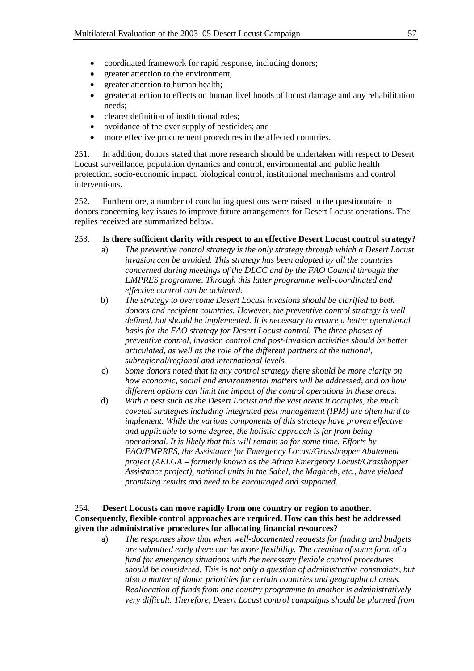- coordinated framework for rapid response, including donors;
- greater attention to the environment;
- greater attention to human health;
- greater attention to effects on human livelihoods of locust damage and any rehabilitation needs;
- clearer definition of institutional roles;
- avoidance of the over supply of pesticides; and
- more effective procurement procedures in the affected countries.

251. In addition, donors stated that more research should be undertaken with respect to Desert Locust surveillance, population dynamics and control, environmental and public health protection, socio-economic impact, biological control, institutional mechanisms and control interventions.

252. Furthermore, a number of concluding questions were raised in the questionnaire to donors concerning key issues to improve future arrangements for Desert Locust operations. The replies received are summarized below.

### 253. **Is there sufficient clarity with respect to an effective Desert Locust control strategy?**

- a) *The preventive control strategy is the only strategy through which a Desert Locust invasion can be avoided. This strategy has been adopted by all the countries concerned during meetings of the DLCC and by the FAO Council through the EMPRES programme. Through this latter programme well-coordinated and effective control can be achieved.*
- b) *The strategy to overcome Desert Locust invasions should be clarified to both donors and recipient countries. However, the preventive control strategy is well defined, but should be implemented. It is necessary to ensure a better operational basis for the FAO strategy for Desert Locust control. The three phases of preventive control, invasion control and post-invasion activities should be better articulated, as well as the role of the different partners at the national, subregional/regional and international levels.*
- c) *Some donors noted that in any control strategy there should be more clarity on how economic, social and environmental matters will be addressed, and on how different options can limit the impact of the control operations in these areas.*
- d) *With a pest such as the Desert Locust and the vast areas it occupies, the much coveted strategies including integrated pest management (IPM) are often hard to implement. While the various components of this strategy have proven effective and applicable to some degree, the holistic approach is far from being operational. It is likely that this will remain so for some time. Efforts by FAO/EMPRES, the Assistance for Emergency Locust/Grasshopper Abatement project (AELGA – formerly known as the Africa Emergency Locust/Grasshopper Assistance project), national units in the Sahel, the Maghreb, etc., have yielded promising results and need to be encouraged and supported.*

### 254. **Desert Locusts can move rapidly from one country or region to another. Consequently, flexible control approaches are required. How can this best be addressed given the administrative procedures for allocating financial resources?**

a) *The responses show that when well-documented requests for funding and budgets are submitted early there can be more flexibility. The creation of some form of a fund for emergency situations with the necessary flexible control procedures should be considered. This is not only a question of administrative constraints, but also a matter of donor priorities for certain countries and geographical areas. Reallocation of funds from one country programme to another is administratively very difficult. Therefore, Desert Locust control campaigns should be planned from*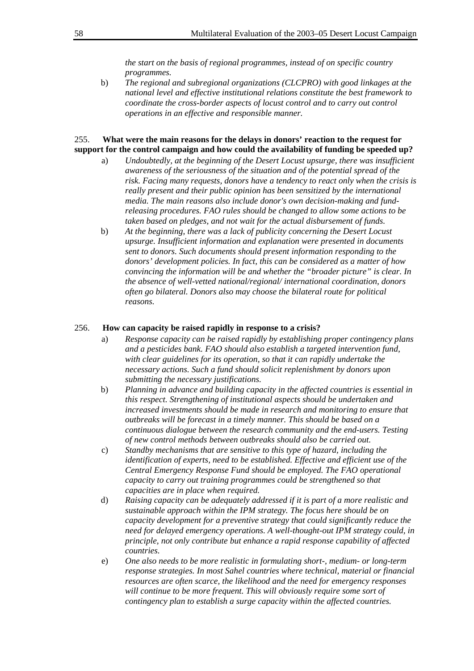*the start on the basis of regional programmes, instead of on specific country programmes.*

b) *The regional and subregional organizations (CLCPRO) with good linkages at the national level and effective institutional relations constitute the best framework to coordinate the cross-border aspects of locust control and to carry out control operations in an effective and responsible manner.*

#### 255. **What were the main reasons for the delays in donors' reaction to the request for support for the control campaign and how could the availability of funding be speeded up?**

- a) *Undoubtedly, at the beginning of the Desert Locust upsurge, there was insufficient awareness of the seriousness of the situation and of the potential spread of the risk. Facing many requests, donors have a tendency to react only when the crisis is really present and their public opinion has been sensitized by the international media. The main reasons also include donor's own decision-making and fundreleasing procedures. FAO rules should be changed to allow some actions to be taken based on pledges, and not wait for the actual disbursement of funds.*
- b) *At the beginning, there was a lack of publicity concerning the Desert Locust upsurge. Insufficient information and explanation were presented in documents sent to donors. Such documents should present information responding to the donors' development policies. In fact, this can be considered as a matter of how convincing the information will be and whether the "broader picture" is clear. In the absence of well-vetted national/regional/ international coordination, donors often go bilateral. Donors also may choose the bilateral route for political reasons.*

#### 256. **How can capacity be raised rapidly in response to a crisis?**

- a) *Response capacity can be raised rapidly by establishing proper contingency plans and a pesticides bank. FAO should also establish a targeted intervention fund, with clear guidelines for its operation, so that it can rapidly undertake the necessary actions. Such a fund should solicit replenishment by donors upon submitting the necessary justifications.*
- b) *Planning in advance and building capacity in the affected countries is essential in this respect. Strengthening of institutional aspects should be undertaken and increased investments should be made in research and monitoring to ensure that outbreaks will be forecast in a timely manner. This should be based on a continuous dialogue between the research community and the end-users. Testing of new control methods between outbreaks should also be carried out.*
- c) *Standby mechanisms that are sensitive to this type of hazard, including the identification of experts, need to be established. Effective and efficient use of the Central Emergency Response Fund should be employed. The FAO operational capacity to carry out training programmes could be strengthened so that capacities are in place when required.*
- d) *Raising capacity can be adequately addressed if it is part of a more realistic and sustainable approach within the IPM strategy. The focus here should be on capacity development for a preventive strategy that could significantly reduce the need for delayed emergency operations. A well-thought-out IPM strategy could, in principle, not only contribute but enhance a rapid response capability of affected countries.*
- e) *One also needs to be more realistic in formulating short-, medium- or long-term response strategies. In most Sahel countries where technical, material or financial resources are often scarce, the likelihood and the need for emergency responses will continue to be more frequent. This will obviously require some sort of contingency plan to establish a surge capacity within the affected countries.*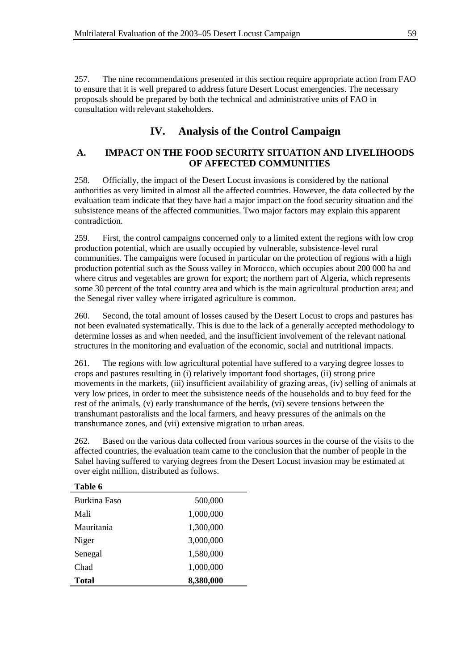257. The nine recommendations presented in this section require appropriate action from FAO to ensure that it is well prepared to address future Desert Locust emergencies. The necessary proposals should be prepared by both the technical and administrative units of FAO in consultation with relevant stakeholders.

# **IV. Analysis of the Control Campaign**

## **A. IMPACT ON THE FOOD SECURITY SITUATION AND LIVELIHOODS OF AFFECTED COMMUNITIES**

258. Officially, the impact of the Desert Locust invasions is considered by the national authorities as very limited in almost all the affected countries. However, the data collected by the evaluation team indicate that they have had a major impact on the food security situation and the subsistence means of the affected communities. Two major factors may explain this apparent contradiction.

259. First, the control campaigns concerned only to a limited extent the regions with low crop production potential, which are usually occupied by vulnerable, subsistence-level rural communities. The campaigns were focused in particular on the protection of regions with a high production potential such as the Souss valley in Morocco, which occupies about 200 000 ha and where citrus and vegetables are grown for export; the northern part of Algeria, which represents some 30 percent of the total country area and which is the main agricultural production area; and the Senegal river valley where irrigated agriculture is common.

260. Second, the total amount of losses caused by the Desert Locust to crops and pastures has not been evaluated systematically. This is due to the lack of a generally accepted methodology to determine losses as and when needed, and the insufficient involvement of the relevant national structures in the monitoring and evaluation of the economic, social and nutritional impacts.

261. The regions with low agricultural potential have suffered to a varying degree losses to crops and pastures resulting in (i) relatively important food shortages, (ii) strong price movements in the markets, (iii) insufficient availability of grazing areas, (iv) selling of animals at very low prices, in order to meet the subsistence needs of the households and to buy feed for the rest of the animals, (v) early transhumance of the herds, (vi) severe tensions between the transhumant pastoralists and the local farmers, and heavy pressures of the animals on the transhumance zones, and (vii) extensive migration to urban areas.

262. Based on the various data collected from various sources in the course of the visits to the affected countries, the evaluation team came to the conclusion that the number of people in the Sahel having suffered to varying degrees from the Desert Locust invasion may be estimated at over eight million, distributed as follows.

| Table 6             |           |
|---------------------|-----------|
| <b>Burkina Faso</b> | 500,000   |
| Mali                | 1,000,000 |
| Mauritania          | 1,300,000 |
| Niger               | 3,000,000 |
| Senegal             | 1,580,000 |
| Chad                | 1,000,000 |
| <b>Total</b>        | 8,380,000 |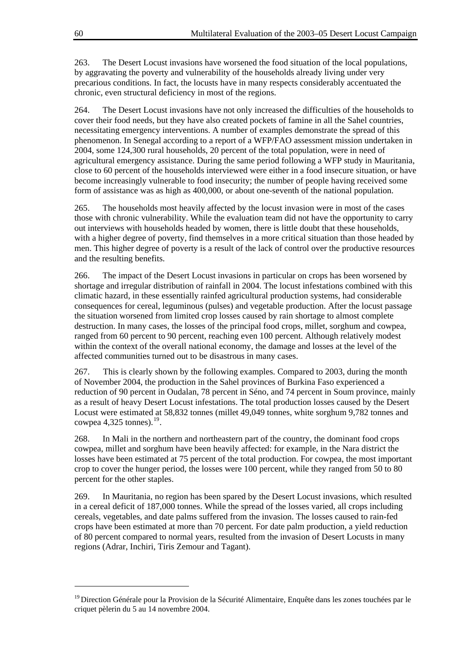263. The Desert Locust invasions have worsened the food situation of the local populations, by aggravating the poverty and vulnerability of the households already living under very precarious conditions. In fact, the locusts have in many respects considerably accentuated the chronic, even structural deficiency in most of the regions.

264. The Desert Locust invasions have not only increased the difficulties of the households to cover their food needs, but they have also created pockets of famine in all the Sahel countries, necessitating emergency interventions. A number of examples demonstrate the spread of this phenomenon. In Senegal according to a report of a WFP/FAO assessment mission undertaken in 2004, some 124,300 rural households, 20 percent of the total population, were in need of agricultural emergency assistance. During the same period following a WFP study in Mauritania, close to 60 percent of the households interviewed were either in a food insecure situation, or have become increasingly vulnerable to food insecurity; the number of people having received some form of assistance was as high as 400,000, or about one-seventh of the national population.

265. The households most heavily affected by the locust invasion were in most of the cases those with chronic vulnerability. While the evaluation team did not have the opportunity to carry out interviews with households headed by women, there is little doubt that these households, with a higher degree of poverty, find themselves in a more critical situation than those headed by men. This higher degree of poverty is a result of the lack of control over the productive resources and the resulting benefits.

266. The impact of the Desert Locust invasions in particular on crops has been worsened by shortage and irregular distribution of rainfall in 2004. The locust infestations combined with this climatic hazard, in these essentially rainfed agricultural production systems, had considerable consequences for cereal, leguminous (pulses) and vegetable production. After the locust passage the situation worsened from limited crop losses caused by rain shortage to almost complete destruction. In many cases, the losses of the principal food crops, millet, sorghum and cowpea, ranged from 60 percent to 90 percent, reaching even 100 percent. Although relatively modest within the context of the overall national economy, the damage and losses at the level of the affected communities turned out to be disastrous in many cases.

267. This is clearly shown by the following examples. Compared to 2003, during the month of November 2004, the production in the Sahel provinces of Burkina Faso experienced a reduction of 90 percent in Oudalan, 78 percent in Séno, and 74 percent in Soum province, mainly as a result of heavy Desert Locust infestations. The total production losses caused by the Desert Locust were estimated at 58,832 tonnes (millet 49,049 tonnes, white sorghum 9,782 tonnes and cowpea 4,325 tonnes). $^{19}$  $^{19}$  $^{19}$ .

268. In Mali in the northern and northeastern part of the country, the dominant food crops cowpea, millet and sorghum have been heavily affected: for example, in the Nara district the losses have been estimated at 75 percent of the total production. For cowpea, the most important crop to cover the hunger period, the losses were 100 percent, while they ranged from 50 to 80 percent for the other staples.

269. In Mauritania, no region has been spared by the Desert Locust invasions, which resulted in a cereal deficit of 187,000 tonnes. While the spread of the losses varied, all crops including cereals, vegetables, and date palms suffered from the invasion. The losses caused to rain-fed crops have been estimated at more than 70 percent. For date palm production, a yield reduction of 80 percent compared to normal years, resulted from the invasion of Desert Locusts in many regions (Adrar, Inchiri, Tiris Zemour and Tagant).

l

<span id="page-63-0"></span><sup>&</sup>lt;sup>19</sup> Direction Générale pour la Provision de la Sécurité Alimentaire, Enquête dans les zones touchées par le criquet pèlerin du 5 au 14 novembre 2004.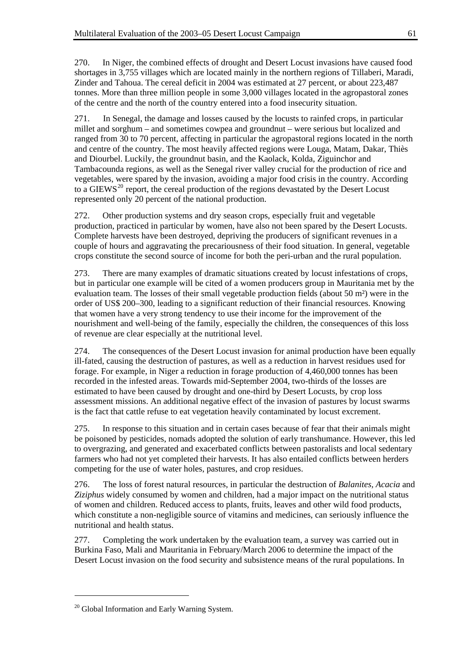270. In Niger, the combined effects of drought and Desert Locust invasions have caused food shortages in 3,755 villages which are located mainly in the northern regions of Tillaberi, Maradi, Zinder and Tahoua. The cereal deficit in 2004 was estimated at 27 percent, or about 223,487 tonnes. More than three million people in some 3,000 villages located in the agropastoral zones of the centre and the north of the country entered into a food insecurity situation.

271. In Senegal, the damage and losses caused by the locusts to rainfed crops, in particular millet and sorghum – and sometimes cowpea and groundnut – were serious but localized and ranged from 30 to 70 percent, affecting in particular the agropastoral regions located in the north and centre of the country. The most heavily affected regions were Louga, Matam, Dakar, Thiès and Diourbel. Luckily, the groundnut basin, and the Kaolack, Kolda, Ziguinchor and Tambacounda regions, as well as the Senegal river valley crucial for the production of rice and vegetables, were spared by the invasion, avoiding a major food crisis in the country. According to a GIEWS<sup>[20](#page-64-0)</sup> report, the cereal production of the regions devastated by the Desert Locust represented only 20 percent of the national production.

272. Other production systems and dry season crops, especially fruit and vegetable production, practiced in particular by women, have also not been spared by the Desert Locusts. Complete harvests have been destroyed, depriving the producers of significant revenues in a couple of hours and aggravating the precariousness of their food situation. In general, vegetable crops constitute the second source of income for both the peri-urban and the rural population.

273. There are many examples of dramatic situations created by locust infestations of crops, but in particular one example will be cited of a women producers group in Mauritania met by the evaluation team. The losses of their small vegetable production fields (about 50 m²) were in the order of US\$ 200–300, leading to a significant reduction of their financial resources. Knowing that women have a very strong tendency to use their income for the improvement of the nourishment and well-being of the family, especially the children, the consequences of this loss of revenue are clear especially at the nutritional level.

274. The consequences of the Desert Locust invasion for animal production have been equally ill-fated, causing the destruction of pastures, as well as a reduction in harvest residues used for forage. For example, in Niger a reduction in forage production of 4,460,000 tonnes has been recorded in the infested areas. Towards mid-September 2004, two-thirds of the losses are estimated to have been caused by drought and one-third by Desert Locusts, by crop loss assessment missions. An additional negative effect of the invasion of pastures by locust swarms is the fact that cattle refuse to eat vegetation heavily contaminated by locust excrement.

275. In response to this situation and in certain cases because of fear that their animals might be poisoned by pesticides, nomads adopted the solution of early transhumance. However, this led to overgrazing, and generated and exacerbated conflicts between pastoralists and local sedentary farmers who had not yet completed their harvests. It has also entailed conflicts between herders competing for the use of water holes, pastures, and crop residues.

276. The loss of forest natural resources, in particular the destruction of *Balanites, Acacia* and *Ziziphus* widely consumed by women and children, had a major impact on the nutritional status of women and children. Reduced access to plants, fruits, leaves and other wild food products, which constitute a non-negligible source of vitamins and medicines, can seriously influence the nutritional and health status.

277. Completing the work undertaken by the evaluation team, a survey was carried out in Burkina Faso, Mali and Mauritania in February/March 2006 to determine the impact of the Desert Locust invasion on the food security and subsistence means of the rural populations. In

l

<span id="page-64-0"></span><sup>&</sup>lt;sup>20</sup> Global Information and Early Warning System.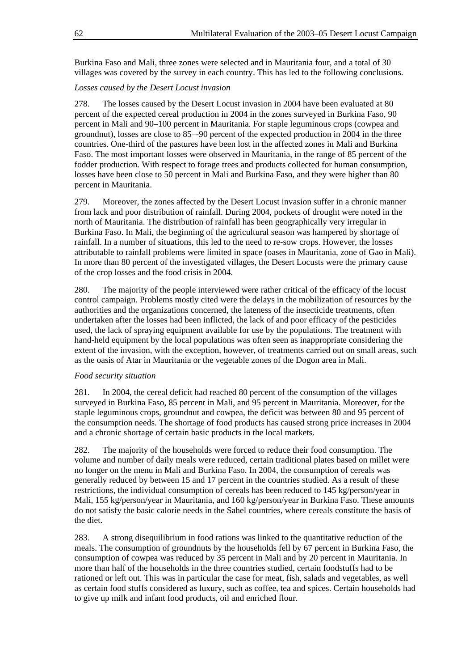Burkina Faso and Mali, three zones were selected and in Mauritania four, and a total of 30 villages was covered by the survey in each country. This has led to the following conclusions.

### *Losses caused by the Desert Locust invasion*

278. The losses caused by the Desert Locust invasion in 2004 have been evaluated at 80 percent of the expected cereal production in 2004 in the zones surveyed in Burkina Faso, 90 percent in Mali and 90–100 percent in Mauritania. For staple leguminous crops (cowpea and groundnut), losses are close to 85–-90 percent of the expected production in 2004 in the three countries. One-third of the pastures have been lost in the affected zones in Mali and Burkina Faso. The most important losses were observed in Mauritania, in the range of 85 percent of the fodder production. With respect to forage trees and products collected for human consumption, losses have been close to 50 percent in Mali and Burkina Faso, and they were higher than 80 percent in Mauritania.

279. Moreover, the zones affected by the Desert Locust invasion suffer in a chronic manner from lack and poor distribution of rainfall. During 2004, pockets of drought were noted in the north of Mauritania. The distribution of rainfall has been geographically very irregular in Burkina Faso. In Mali, the beginning of the agricultural season was hampered by shortage of rainfall. In a number of situations, this led to the need to re-sow crops. However, the losses attributable to rainfall problems were limited in space (oases in Mauritania, zone of Gao in Mali). In more than 80 percent of the investigated villages, the Desert Locusts were the primary cause of the crop losses and the food crisis in 2004.

280. The majority of the people interviewed were rather critical of the efficacy of the locust control campaign. Problems mostly cited were the delays in the mobilization of resources by the authorities and the organizations concerned, the lateness of the insecticide treatments, often undertaken after the losses had been inflicted, the lack of and poor efficacy of the pesticides used, the lack of spraying equipment available for use by the populations. The treatment with hand-held equipment by the local populations was often seen as inappropriate considering the extent of the invasion, with the exception, however, of treatments carried out on small areas, such as the oasis of Atar in Mauritania or the vegetable zones of the Dogon area in Mali.

### *Food security situation*

281. In 2004, the cereal deficit had reached 80 percent of the consumption of the villages surveyed in Burkina Faso, 85 percent in Mali, and 95 percent in Mauritania. Moreover, for the staple leguminous crops, groundnut and cowpea, the deficit was between 80 and 95 percent of the consumption needs. The shortage of food products has caused strong price increases in 2004 and a chronic shortage of certain basic products in the local markets.

282. The majority of the households were forced to reduce their food consumption. The volume and number of daily meals were reduced, certain traditional plates based on millet were no longer on the menu in Mali and Burkina Faso. In 2004, the consumption of cereals was generally reduced by between 15 and 17 percent in the countries studied. As a result of these restrictions, the individual consumption of cereals has been reduced to 145 kg/person/year in Mali, 155 kg/person/year in Mauritania, and 160 kg/person/year in Burkina Faso. These amounts do not satisfy the basic calorie needs in the Sahel countries, where cereals constitute the basis of the diet.

283. A strong disequilibrium in food rations was linked to the quantitative reduction of the meals. The consumption of groundnuts by the households fell by 67 percent in Burkina Faso, the consumption of cowpea was reduced by 35 percent in Mali and by 20 percent in Mauritania. In more than half of the households in the three countries studied, certain foodstuffs had to be rationed or left out. This was in particular the case for meat, fish, salads and vegetables, as well as certain food stuffs considered as luxury, such as coffee, tea and spices. Certain households had to give up milk and infant food products, oil and enriched flour.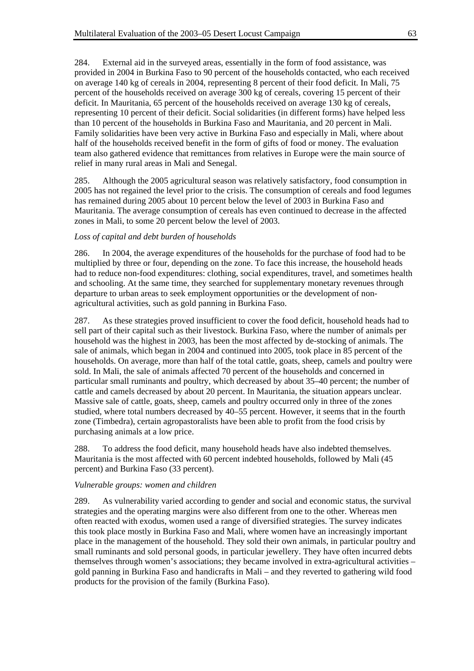284. External aid in the surveyed areas, essentially in the form of food assistance, was provided in 2004 in Burkina Faso to 90 percent of the households contacted, who each received on average 140 kg of cereals in 2004, representing 8 percent of their food deficit. In Mali, 75 percent of the households received on average 300 kg of cereals, covering 15 percent of their deficit. In Mauritania, 65 percent of the households received on average 130 kg of cereals, representing 10 percent of their deficit. Social solidarities (in different forms) have helped less than 10 percent of the households in Burkina Faso and Mauritania, and 20 percent in Mali. Family solidarities have been very active in Burkina Faso and especially in Mali, where about half of the households received benefit in the form of gifts of food or money. The evaluation team also gathered evidence that remittances from relatives in Europe were the main source of relief in many rural areas in Mali and Senegal.

285. Although the 2005 agricultural season was relatively satisfactory, food consumption in 2005 has not regained the level prior to the crisis. The consumption of cereals and food legumes has remained during 2005 about 10 percent below the level of 2003 in Burkina Faso and Mauritania. The average consumption of cereals has even continued to decrease in the affected zones in Mali, to some 20 percent below the level of 2003.

#### *Loss of capital and debt burden of households*

286. In 2004, the average expenditures of the households for the purchase of food had to be multiplied by three or four, depending on the zone. To face this increase, the household heads had to reduce non-food expenditures: clothing, social expenditures, travel, and sometimes health and schooling. At the same time, they searched for supplementary monetary revenues through departure to urban areas to seek employment opportunities or the development of nonagricultural activities, such as gold panning in Burkina Faso.

287. As these strategies proved insufficient to cover the food deficit, household heads had to sell part of their capital such as their livestock. Burkina Faso, where the number of animals per household was the highest in 2003, has been the most affected by de-stocking of animals. The sale of animals, which began in 2004 and continued into 2005, took place in 85 percent of the households. On average, more than half of the total cattle, goats, sheep, camels and poultry were sold. In Mali, the sale of animals affected 70 percent of the households and concerned in particular small ruminants and poultry, which decreased by about 35–40 percent; the number of cattle and camels decreased by about 20 percent. In Mauritania, the situation appears unclear. Massive sale of cattle, goats, sheep, camels and poultry occurred only in three of the zones studied, where total numbers decreased by 40–55 percent. However, it seems that in the fourth zone (Timbedra), certain agropastoralists have been able to profit from the food crisis by purchasing animals at a low price.

288. To address the food deficit, many household heads have also indebted themselves. Mauritania is the most affected with 60 percent indebted households, followed by Mali (45 percent) and Burkina Faso (33 percent).

#### *Vulnerable groups: women and children*

289. As vulnerability varied according to gender and social and economic status, the survival strategies and the operating margins were also different from one to the other. Whereas men often reacted with exodus, women used a range of diversified strategies. The survey indicates this took place mostly in Burkina Faso and Mali, where women have an increasingly important place in the management of the household. They sold their own animals, in particular poultry and small ruminants and sold personal goods, in particular jewellery. They have often incurred debts themselves through women's associations; they became involved in extra-agricultural activities – gold panning in Burkina Faso and handicrafts in Mali – and they reverted to gathering wild food products for the provision of the family (Burkina Faso).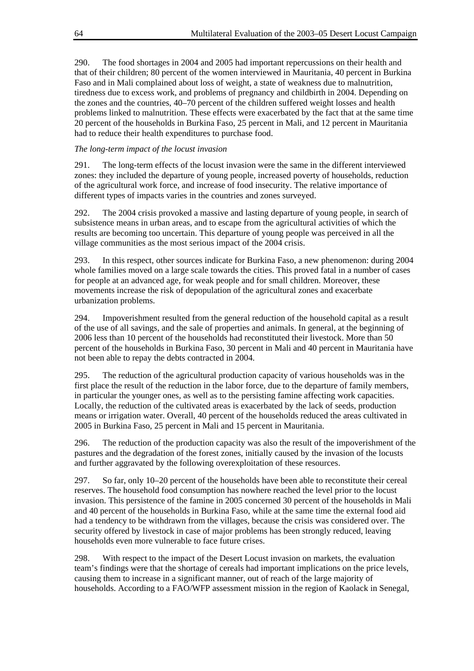290. The food shortages in 2004 and 2005 had important repercussions on their health and that of their children; 80 percent of the women interviewed in Mauritania, 40 percent in Burkina Faso and in Mali complained about loss of weight, a state of weakness due to malnutrition, tiredness due to excess work, and problems of pregnancy and childbirth in 2004. Depending on the zones and the countries, 40–70 percent of the children suffered weight losses and health problems linked to malnutrition. These effects were exacerbated by the fact that at the same time 20 percent of the households in Burkina Faso, 25 percent in Mali, and 12 percent in Mauritania had to reduce their health expenditures to purchase food.

### *The long-term impact of the locust invasion*

291. The long-term effects of the locust invasion were the same in the different interviewed zones: they included the departure of young people, increased poverty of households, reduction of the agricultural work force, and increase of food insecurity. The relative importance of different types of impacts varies in the countries and zones surveyed.

292. The 2004 crisis provoked a massive and lasting departure of young people, in search of subsistence means in urban areas, and to escape from the agricultural activities of which the results are becoming too uncertain. This departure of young people was perceived in all the village communities as the most serious impact of the 2004 crisis.

293. In this respect, other sources indicate for Burkina Faso, a new phenomenon: during 2004 whole families moved on a large scale towards the cities. This proved fatal in a number of cases for people at an advanced age, for weak people and for small children. Moreover, these movements increase the risk of depopulation of the agricultural zones and exacerbate urbanization problems.

294. Impoverishment resulted from the general reduction of the household capital as a result of the use of all savings, and the sale of properties and animals. In general, at the beginning of 2006 less than 10 percent of the households had reconstituted their livestock. More than 50 percent of the households in Burkina Faso, 30 percent in Mali and 40 percent in Mauritania have not been able to repay the debts contracted in 2004.

295. The reduction of the agricultural production capacity of various households was in the first place the result of the reduction in the labor force, due to the departure of family members, in particular the younger ones, as well as to the persisting famine affecting work capacities. Locally, the reduction of the cultivated areas is exacerbated by the lack of seeds, production means or irrigation water. Overall, 40 percent of the households reduced the areas cultivated in 2005 in Burkina Faso, 25 percent in Mali and 15 percent in Mauritania.

296. The reduction of the production capacity was also the result of the impoverishment of the pastures and the degradation of the forest zones, initially caused by the invasion of the locusts and further aggravated by the following overexploitation of these resources.

297. So far, only 10–20 percent of the households have been able to reconstitute their cereal reserves. The household food consumption has nowhere reached the level prior to the locust invasion. This persistence of the famine in 2005 concerned 30 percent of the households in Mali and 40 percent of the households in Burkina Faso, while at the same time the external food aid had a tendency to be withdrawn from the villages, because the crisis was considered over. The security offered by livestock in case of major problems has been strongly reduced, leaving households even more vulnerable to face future crises.

298. With respect to the impact of the Desert Locust invasion on markets, the evaluation team's findings were that the shortage of cereals had important implications on the price levels, causing them to increase in a significant manner, out of reach of the large majority of households. According to a FAO/WFP assessment mission in the region of Kaolack in Senegal,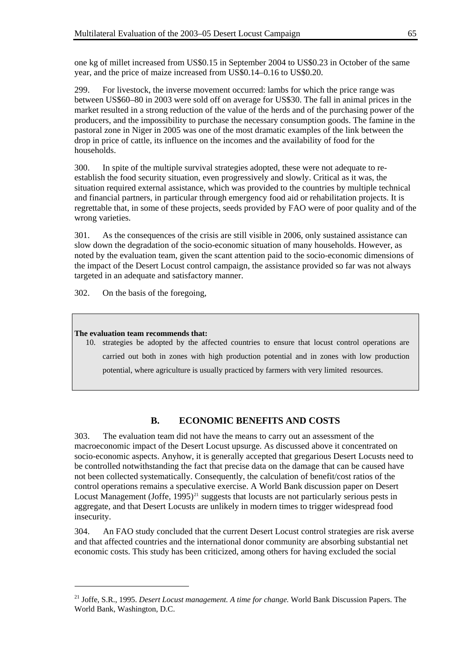one kg of millet increased from US\$0.15 in September 2004 to US\$0.23 in October of the same year, and the price of maize increased from US\$0.14–0.16 to US\$0.20.

299. For livestock, the inverse movement occurred: lambs for which the price range was between US\$60–80 in 2003 were sold off on average for US\$30. The fall in animal prices in the market resulted in a strong reduction of the value of the herds and of the purchasing power of the producers, and the impossibility to purchase the necessary consumption goods. The famine in the pastoral zone in Niger in 2005 was one of the most dramatic examples of the link between the drop in price of cattle, its influence on the incomes and the availability of food for the households.

300. In spite of the multiple survival strategies adopted, these were not adequate to reestablish the food security situation, even progressively and slowly. Critical as it was, the situation required external assistance, which was provided to the countries by multiple technical and financial partners, in particular through emergency food aid or rehabilitation projects. It is regrettable that, in some of these projects, seeds provided by FAO were of poor quality and of the wrong varieties.

301. As the consequences of the crisis are still visible in 2006, only sustained assistance can slow down the degradation of the socio-economic situation of many households. However, as noted by the evaluation team, given the scant attention paid to the socio-economic dimensions of the impact of the Desert Locust control campaign, the assistance provided so far was not always targeted in an adequate and satisfactory manner.

302. On the basis of the foregoing,

#### **The evaluation team recommends that:**

l

10. strategies be adopted by the affected countries to ensure that locust control operations are carried out both in zones with high production potential and in zones with low production potential, where agriculture is usually practiced by farmers with very limited resources.

## **B. ECONOMIC BENEFITS AND COSTS**

303. The evaluation team did not have the means to carry out an assessment of the macroeconomic impact of the Desert Locust upsurge. As discussed above it concentrated on socio-economic aspects. Anyhow, it is generally accepted that gregarious Desert Locusts need to be controlled notwithstanding the fact that precise data on the damage that can be caused have not been collected systematically. Consequently, the calculation of benefit/cost ratios of the control operations remains a speculative exercise. A World Bank discussion paper on Desert Locust Management (Joffe,  $1995)^{21}$  $1995)^{21}$  $1995)^{21}$  suggests that locusts are not particularly serious pests in aggregate, and that Desert Locusts are unlikely in modern times to trigger widespread food insecurity.

304. An FAO study concluded that the current Desert Locust control strategies are risk averse and that affected countries and the international donor community are absorbing substantial net economic costs. This study has been criticized, among others for having excluded the social

<span id="page-68-0"></span><sup>21</sup> Joffe, S.R., 1995. *Desert Locust management. A time for change.* World Bank Discussion Papers. The World Bank, Washington, D.C.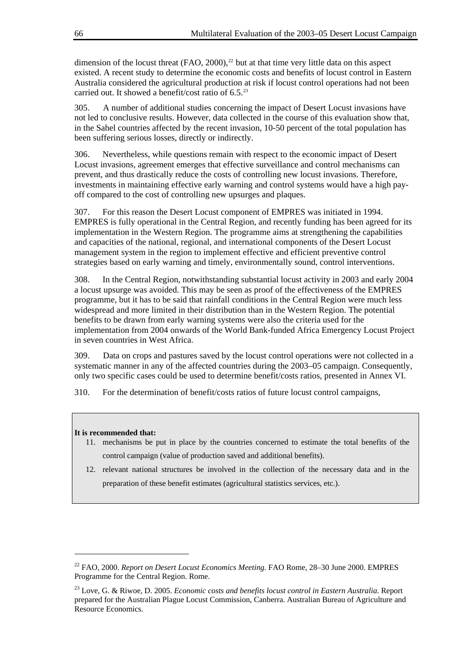dimension of the locust threat (FAO, 2000),<sup>[22](#page-69-0)</sup> but at that time very little data on this aspect existed. A recent study to determine the economic costs and benefits of locust control in Eastern Australia considered the agricultural production at risk if locust control operations had not been carried out. It showed a benefit/cost ratio of  $6.5^{23}$  $6.5^{23}$  $6.5^{23}$ 

305. A number of additional studies concerning the impact of Desert Locust invasions have not led to conclusive results. However, data collected in the course of this evaluation show that, in the Sahel countries affected by the recent invasion, 10-50 percent of the total population has been suffering serious losses, directly or indirectly.

306. Nevertheless, while questions remain with respect to the economic impact of Desert Locust invasions, agreement emerges that effective surveillance and control mechanisms can prevent, and thus drastically reduce the costs of controlling new locust invasions. Therefore, investments in maintaining effective early warning and control systems would have a high payoff compared to the cost of controlling new upsurges and plaques.

307. For this reason the Desert Locust component of EMPRES was initiated in 1994. EMPRES is fully operational in the Central Region, and recently funding has been agreed for its implementation in the Western Region. The programme aims at strengthening the capabilities and capacities of the national, regional, and international components of the Desert Locust management system in the region to implement effective and efficient preventive control strategies based on early warning and timely, environmentally sound, control interventions.

308. In the Central Region, notwithstanding substantial locust activity in 2003 and early 2004 a locust upsurge was avoided. This may be seen as proof of the effectiveness of the EMPRES programme, but it has to be said that rainfall conditions in the Central Region were much less widespread and more limited in their distribution than in the Western Region. The potential benefits to be drawn from early warning systems were also the criteria used for the implementation from 2004 onwards of the World Bank-funded Africa Emergency Locust Project in seven countries in West Africa.

309. Data on crops and pastures saved by the locust control operations were not collected in a systematic manner in any of the affected countries during the 2003–05 campaign. Consequently, only two specific cases could be used to determine benefit/costs ratios, presented in Annex VI.

310. For the determination of benefit/costs ratios of future locust control campaigns,

#### **It is recommended that:**

l

- 11. mechanisms be put in place by the countries concerned to estimate the total benefits of the control campaign (value of production saved and additional benefits).
- 12. relevant national structures be involved in the collection of the necessary data and in the preparation of these benefit estimates (agricultural statistics services, etc.).

<span id="page-69-0"></span><sup>22</sup> FAO, 2000. *Report on Desert Locust Economics Meeting.* FAO Rome, 28–30 June 2000. EMPRES Programme for the Central Region. Rome.

<span id="page-69-1"></span><sup>23</sup> Love, G. & Riwoe, D. 2005. *Economic costs and benefits locust control in Eastern Australia*. Report prepared for the Australian Plague Locust Commission, Canberra. Australian Bureau of Agriculture and Resource Economics.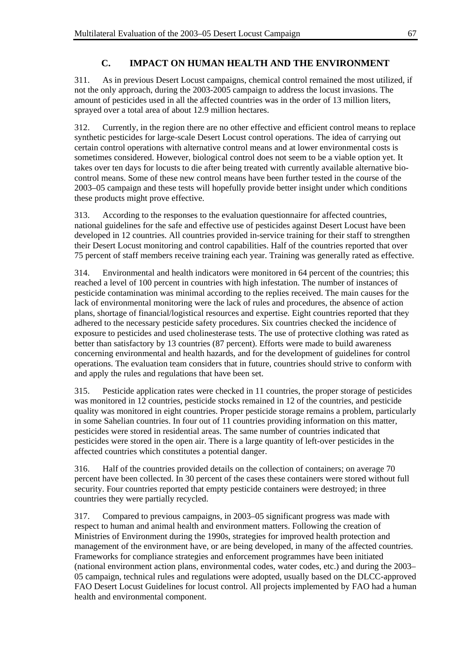## **C. IMPACT ON HUMAN HEALTH AND THE ENVIRONMENT**

311. As in previous Desert Locust campaigns, chemical control remained the most utilized, if not the only approach, during the 2003-2005 campaign to address the locust invasions. The amount of pesticides used in all the affected countries was in the order of 13 million liters, sprayed over a total area of about 12.9 million hectares.

312. Currently, in the region there are no other effective and efficient control means to replace synthetic pesticides for large-scale Desert Locust control operations. The idea of carrying out certain control operations with alternative control means and at lower environmental costs is sometimes considered. However, biological control does not seem to be a viable option yet. It takes over ten days for locusts to die after being treated with currently available alternative biocontrol means. Some of these new control means have been further tested in the course of the 2003–05 campaign and these tests will hopefully provide better insight under which conditions these products might prove effective.

313. According to the responses to the evaluation questionnaire for affected countries, national guidelines for the safe and effective use of pesticides against Desert Locust have been developed in 12 countries. All countries provided in-service training for their staff to strengthen their Desert Locust monitoring and control capabilities. Half of the countries reported that over 75 percent of staff members receive training each year. Training was generally rated as effective.

314. Environmental and health indicators were monitored in 64 percent of the countries; this reached a level of 100 percent in countries with high infestation. The number of instances of pesticide contamination was minimal according to the replies received. The main causes for the lack of environmental monitoring were the lack of rules and procedures, the absence of action plans, shortage of financial/logistical resources and expertise. Eight countries reported that they adhered to the necessary pesticide safety procedures. Six countries checked the incidence of exposure to pesticides and used cholinesterase tests. The use of protective clothing was rated as better than satisfactory by 13 countries (87 percent). Efforts were made to build awareness concerning environmental and health hazards, and for the development of guidelines for control operations. The evaluation team considers that in future, countries should strive to conform with and apply the rules and regulations that have been set.

315. Pesticide application rates were checked in 11 countries, the proper storage of pesticides was monitored in 12 countries, pesticide stocks remained in 12 of the countries, and pesticide quality was monitored in eight countries. Proper pesticide storage remains a problem, particularly in some Sahelian countries. In four out of 11 countries providing information on this matter, pesticides were stored in residential areas. The same number of countries indicated that pesticides were stored in the open air. There is a large quantity of left-over pesticides in the affected countries which constitutes a potential danger.

316. Half of the countries provided details on the collection of containers; on average 70 percent have been collected. In 30 percent of the cases these containers were stored without full security. Four countries reported that empty pesticide containers were destroyed; in three countries they were partially recycled.

317. Compared to previous campaigns, in 2003–05 significant progress was made with respect to human and animal health and environment matters. Following the creation of Ministries of Environment during the 1990s, strategies for improved health protection and management of the environment have, or are being developed, in many of the affected countries. Frameworks for compliance strategies and enforcement programmes have been initiated (national environment action plans, environmental codes, water codes, etc.) and during the 2003– 05 campaign, technical rules and regulations were adopted, usually based on the DLCC-approved FAO Desert Locust Guidelines for locust control. All projects implemented by FAO had a human health and environmental component.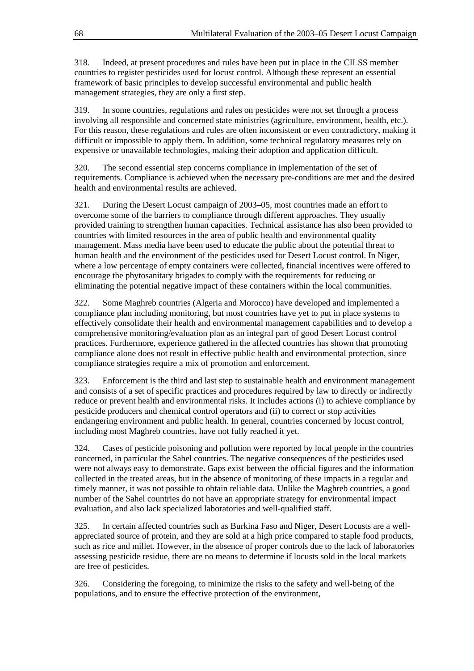318. Indeed, at present procedures and rules have been put in place in the CILSS member countries to register pesticides used for locust control. Although these represent an essential framework of basic principles to develop successful environmental and public health management strategies, they are only a first step.

319. In some countries, regulations and rules on pesticides were not set through a process involving all responsible and concerned state ministries (agriculture, environment, health, etc.). For this reason, these regulations and rules are often inconsistent or even contradictory, making it difficult or impossible to apply them. In addition, some technical regulatory measures rely on expensive or unavailable technologies, making their adoption and application difficult.

320. The second essential step concerns compliance in implementation of the set of requirements. Compliance is achieved when the necessary pre-conditions are met and the desired health and environmental results are achieved.

321. During the Desert Locust campaign of 2003–05, most countries made an effort to overcome some of the barriers to compliance through different approaches. They usually provided training to strengthen human capacities. Technical assistance has also been provided to countries with limited resources in the area of public health and environmental quality management. Mass media have been used to educate the public about the potential threat to human health and the environment of the pesticides used for Desert Locust control. In Niger, where a low percentage of empty containers were collected, financial incentives were offered to encourage the phytosanitary brigades to comply with the requirements for reducing or eliminating the potential negative impact of these containers within the local communities.

322. Some Maghreb countries (Algeria and Morocco) have developed and implemented a compliance plan including monitoring, but most countries have yet to put in place systems to effectively consolidate their health and environmental management capabilities and to develop a comprehensive monitoring/evaluation plan as an integral part of good Desert Locust control practices. Furthermore, experience gathered in the affected countries has shown that promoting compliance alone does not result in effective public health and environmental protection, since compliance strategies require a mix of promotion and enforcement.

323. Enforcement is the third and last step to sustainable health and environment management and consists of a set of specific practices and procedures required by law to directly or indirectly reduce or prevent health and environmental risks. It includes actions (i) to achieve compliance by pesticide producers and chemical control operators and (ii) to correct or stop activities endangering environment and public health. In general, countries concerned by locust control, including most Maghreb countries, have not fully reached it yet.

324. Cases of pesticide poisoning and pollution were reported by local people in the countries concerned, in particular the Sahel countries. The negative consequences of the pesticides used were not always easy to demonstrate. Gaps exist between the official figures and the information collected in the treated areas, but in the absence of monitoring of these impacts in a regular and timely manner, it was not possible to obtain reliable data. Unlike the Maghreb countries, a good number of the Sahel countries do not have an appropriate strategy for environmental impact evaluation, and also lack specialized laboratories and well-qualified staff.

325. In certain affected countries such as Burkina Faso and Niger, Desert Locusts are a wellappreciated source of protein, and they are sold at a high price compared to staple food products, such as rice and millet. However, in the absence of proper controls due to the lack of laboratories assessing pesticide residue, there are no means to determine if locusts sold in the local markets are free of pesticides.

326. Considering the foregoing, to minimize the risks to the safety and well-being of the populations, and to ensure the effective protection of the environment,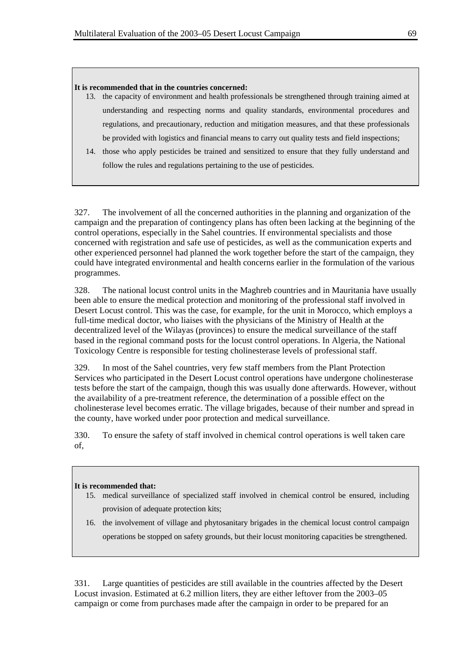#### **It is recommended that in the countries concerned:**

- 13. the capacity of environment and health professionals be strengthened through training aimed at understanding and respecting norms and quality standards, environmental procedures and regulations, and precautionary, reduction and mitigation measures, and that these professionals be provided with logistics and financial means to carry out quality tests and field inspections;
- 14. those who apply pesticides be trained and sensitized to ensure that they fully understand and follow the rules and regulations pertaining to the use of pesticides.

327. The involvement of all the concerned authorities in the planning and organization of the campaign and the preparation of contingency plans has often been lacking at the beginning of the control operations, especially in the Sahel countries. If environmental specialists and those concerned with registration and safe use of pesticides, as well as the communication experts and other experienced personnel had planned the work together before the start of the campaign, they could have integrated environmental and health concerns earlier in the formulation of the various programmes.

328. The national locust control units in the Maghreb countries and in Mauritania have usually been able to ensure the medical protection and monitoring of the professional staff involved in Desert Locust control. This was the case, for example, for the unit in Morocco, which employs a full-time medical doctor, who liaises with the physicians of the Ministry of Health at the decentralized level of the Wilayas (provinces) to ensure the medical surveillance of the staff based in the regional command posts for the locust control operations. In Algeria, the National Toxicology Centre is responsible for testing cholinesterase levels of professional staff.

329. In most of the Sahel countries, very few staff members from the Plant Protection Services who participated in the Desert Locust control operations have undergone cholinesterase tests before the start of the campaign, though this was usually done afterwards. However, without the availability of a pre-treatment reference, the determination of a possible effect on the cholinesterase level becomes erratic. The village brigades, because of their number and spread in the county, have worked under poor protection and medical surveillance.

330. To ensure the safety of staff involved in chemical control operations is well taken care of,

#### **It is recommended that:**

- 15. medical surveillance of specialized staff involved in chemical control be ensured, including provision of adequate protection kits;
- 16. the involvement of village and phytosanitary brigades in the chemical locust control campaign operations be stopped on safety grounds, but their locust monitoring capacities be strengthened.

331. Large quantities of pesticides are still available in the countries affected by the Desert Locust invasion. Estimated at 6.2 million liters, they are either leftover from the 2003–05 campaign or come from purchases made after the campaign in order to be prepared for an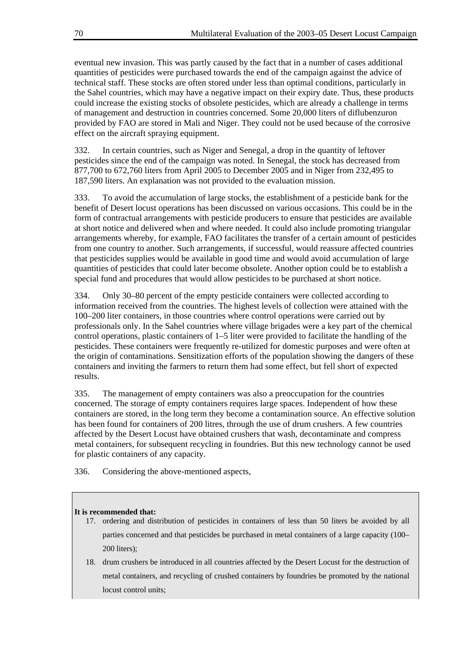eventual new invasion. This was partly caused by the fact that in a number of cases additional quantities of pesticides were purchased towards the end of the campaign against the advice of technical staff. These stocks are often stored under less than optimal conditions, particularly in the Sahel countries, which may have a negative impact on their expiry date. Thus, these products could increase the existing stocks of obsolete pesticides, which are already a challenge in terms of management and destruction in countries concerned. Some 20,000 liters of diflubenzuron provided by FAO are stored in Mali and Niger. They could not be used because of the corrosive effect on the aircraft spraying equipment.

332. In certain countries, such as Niger and Senegal, a drop in the quantity of leftover pesticides since the end of the campaign was noted. In Senegal, the stock has decreased from 877,700 to 672,760 liters from April 2005 to December 2005 and in Niger from 232,495 to 187,590 liters. An explanation was not provided to the evaluation mission.

333. To avoid the accumulation of large stocks, the establishment of a pesticide bank for the benefit of Desert locust operations has been discussed on various occasions. This could be in the form of contractual arrangements with pesticide producers to ensure that pesticides are available at short notice and delivered when and where needed. It could also include promoting triangular arrangements whereby, for example, FAO facilitates the transfer of a certain amount of pesticides from one country to another. Such arrangements, if successful, would reassure affected countries that pesticides supplies would be available in good time and would avoid accumulation of large quantities of pesticides that could later become obsolete. Another option could be to establish a special fund and procedures that would allow pesticides to be purchased at short notice.

334. Only 30–80 percent of the empty pesticide containers were collected according to information received from the countries. The highest levels of collection were attained with the 100–200 liter containers, in those countries where control operations were carried out by professionals only. In the Sahel countries where village brigades were a key part of the chemical control operations, plastic containers of 1–5 liter were provided to facilitate the handling of the pesticides. These containers were frequently re-utilized for domestic purposes and were often at the origin of contaminations. Sensitization efforts of the population showing the dangers of these containers and inviting the farmers to return them had some effect, but fell short of expected results.

335. The management of empty containers was also a preoccupation for the countries concerned. The storage of empty containers requires large spaces. Independent of how these containers are stored, in the long term they become a contamination source. An effective solution has been found for containers of 200 litres, through the use of drum crushers. A few countries affected by the Desert Locust have obtained crushers that wash, decontaminate and compress metal containers, for subsequent recycling in foundries. But this new technology cannot be used for plastic containers of any capacity.

336. Considering the above-mentioned aspects,

## **It is recommended that:**

- 17. ordering and distribution of pesticides in containers of less than 50 liters be avoided by all parties concerned and that pesticides be purchased in metal containers of a large capacity (100– 200 liters);
- 18. drum crushers be introduced in all countries affected by the Desert Locust for the destruction of metal containers, and recycling of crushed containers by foundries be promoted by the national locust control units;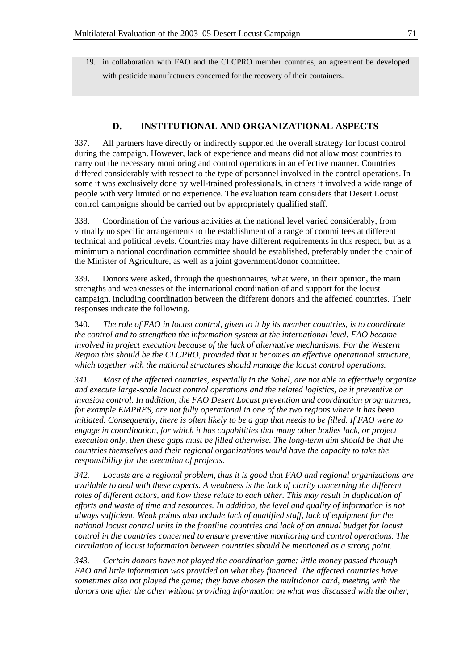19. in collaboration with FAO and the CLCPRO member countries, an agreement be developed with pesticide manufacturers concerned for the recovery of their containers.

## **D. INSTITUTIONAL AND ORGANIZATIONAL ASPECTS**

337. All partners have directly or indirectly supported the overall strategy for locust control during the campaign. However, lack of experience and means did not allow most countries to carry out the necessary monitoring and control operations in an effective manner. Countries differed considerably with respect to the type of personnel involved in the control operations. In some it was exclusively done by well-trained professionals, in others it involved a wide range of people with very limited or no experience. The evaluation team considers that Desert Locust control campaigns should be carried out by appropriately qualified staff.

338. Coordination of the various activities at the national level varied considerably, from virtually no specific arrangements to the establishment of a range of committees at different technical and political levels. Countries may have different requirements in this respect, but as a minimum a national coordination committee should be established, preferably under the chair of the Minister of Agriculture, as well as a joint government/donor committee.

339. Donors were asked, through the questionnaires, what were, in their opinion, the main strengths and weaknesses of the international coordination of and support for the locust campaign, including coordination between the different donors and the affected countries. Their responses indicate the following.

340. *The role of FAO in locust control, given to it by its member countries, is to coordinate the control and to strengthen the information system at the international level. FAO became involved in project execution because of the lack of alternative mechanisms. For the Western Region this should be the CLCPRO, provided that it becomes an effective operational structure, which together with the national structures should manage the locust control operations.* 

*341. Most of the affected countries, especially in the Sahel, are not able to effectively organize and execute large-scale locust control operations and the related logistics, be it preventive or invasion control. In addition, the FAO Desert Locust prevention and coordination programmes, for example EMPRES, are not fully operational in one of the two regions where it has been initiated. Consequently, there is often likely to be a gap that needs to be filled. If FAO were to engage in coordination, for which it has capabilities that many other bodies lack, or project execution only, then these gaps must be filled otherwise. The long-term aim should be that the countries themselves and their regional organizations would have the capacity to take the responsibility for the execution of projects.* 

*342. Locusts are a regional problem, thus it is good that FAO and regional organizations are available to deal with these aspects. A weakness is the lack of clarity concerning the different roles of different actors, and how these relate to each other. This may result in duplication of efforts and waste of time and resources. In addition, the level and quality of information is not always sufficient. Weak points also include lack of qualified staff, lack of equipment for the national locust control units in the frontline countries and lack of an annual budget for locust control in the countries concerned to ensure preventive monitoring and control operations. The circulation of locust information between countries should be mentioned as a strong point.* 

*343. Certain donors have not played the coordination game: little money passed through FAO and little information was provided on what they financed. The affected countries have sometimes also not played the game; they have chosen the multidonor card, meeting with the donors one after the other without providing information on what was discussed with the other,*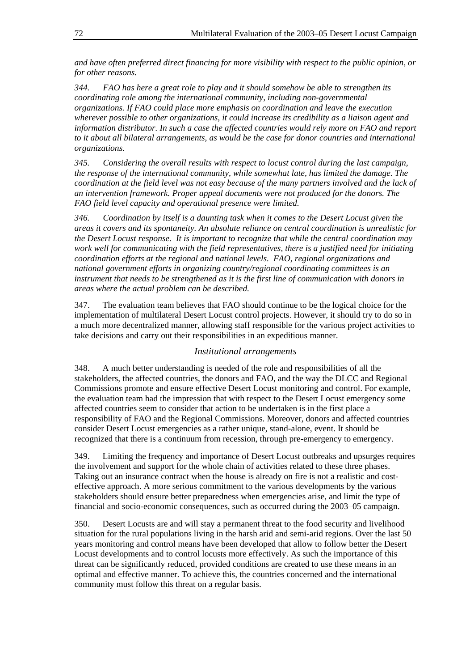*and have often preferred direct financing for more visibility with respect to the public opinion, or for other reasons.* 

*344. FAO has here a great role to play and it should somehow be able to strengthen its coordinating role among the international community, including non-governmental organizations. If FAO could place more emphasis on coordination and leave the execution wherever possible to other organizations, it could increase its credibility as a liaison agent and information distributor. In such a case the affected countries would rely more on FAO and report to it about all bilateral arrangements, as would be the case for donor countries and international organizations.* 

*345. Considering the overall results with respect to locust control during the last campaign, the response of the international community, while somewhat late, has limited the damage. The coordination at the field level was not easy because of the many partners involved and the lack of an intervention framework. Proper appeal documents were not produced for the donors. The FAO field level capacity and operational presence were limited.* 

*346. Coordination by itself is a daunting task when it comes to the Desert Locust given the areas it covers and its spontaneity. An absolute reliance on central coordination is unrealistic for the Desert Locust response. It is important to recognize that while the central coordination may work well for communicating with the field representatives, there is a justified need for initiating coordination efforts at the regional and national levels. FAO, regional organizations and national government efforts in organizing country/regional coordinating committees is an instrument that needs to be strengthened as it is the first line of communication with donors in areas where the actual problem can be described.* 

347. The evaluation team believes that FAO should continue to be the logical choice for the implementation of multilateral Desert Locust control projects. However, it should try to do so in a much more decentralized manner, allowing staff responsible for the various project activities to take decisions and carry out their responsibilities in an expeditious manner.

## *Institutional arrangements*

348. A much better understanding is needed of the role and responsibilities of all the stakeholders, the affected countries, the donors and FAO, and the way the DLCC and Regional Commissions promote and ensure effective Desert Locust monitoring and control. For example, the evaluation team had the impression that with respect to the Desert Locust emergency some affected countries seem to consider that action to be undertaken is in the first place a responsibility of FAO and the Regional Commissions. Moreover, donors and affected countries consider Desert Locust emergencies as a rather unique, stand-alone, event. It should be recognized that there is a continuum from recession, through pre-emergency to emergency.

349. Limiting the frequency and importance of Desert Locust outbreaks and upsurges requires the involvement and support for the whole chain of activities related to these three phases. Taking out an insurance contract when the house is already on fire is not a realistic and costeffective approach. A more serious commitment to the various developments by the various stakeholders should ensure better preparedness when emergencies arise, and limit the type of financial and socio-economic consequences, such as occurred during the 2003–05 campaign.

350. Desert Locusts are and will stay a permanent threat to the food security and livelihood situation for the rural populations living in the harsh arid and semi-arid regions. Over the last 50 years monitoring and control means have been developed that allow to follow better the Desert Locust developments and to control locusts more effectively. As such the importance of this threat can be significantly reduced, provided conditions are created to use these means in an optimal and effective manner. To achieve this, the countries concerned and the international community must follow this threat on a regular basis.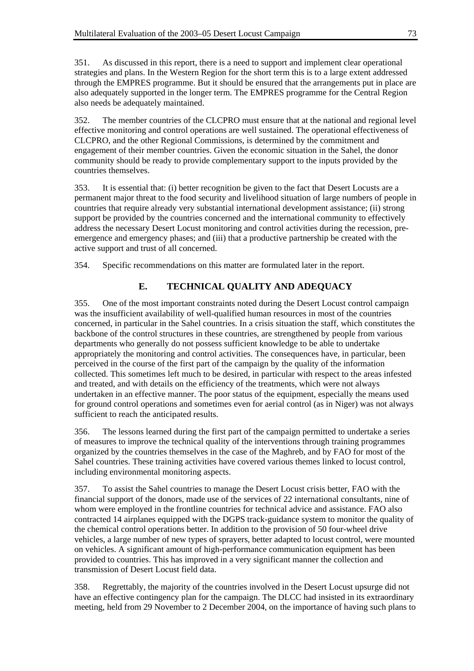351. As discussed in this report, there is a need to support and implement clear operational strategies and plans. In the Western Region for the short term this is to a large extent addressed through the EMPRES programme. But it should be ensured that the arrangements put in place are also adequately supported in the longer term. The EMPRES programme for the Central Region also needs be adequately maintained.

352. The member countries of the CLCPRO must ensure that at the national and regional level effective monitoring and control operations are well sustained. The operational effectiveness of CLCPRO, and the other Regional Commissions, is determined by the commitment and engagement of their member countries. Given the economic situation in the Sahel, the donor community should be ready to provide complementary support to the inputs provided by the countries themselves.

353. It is essential that: (i) better recognition be given to the fact that Desert Locusts are a permanent major threat to the food security and livelihood situation of large numbers of people in countries that require already very substantial international development assistance; (ii) strong support be provided by the countries concerned and the international community to effectively address the necessary Desert Locust monitoring and control activities during the recession, preemergence and emergency phases; and (iii) that a productive partnership be created with the active support and trust of all concerned.

354. Specific recommendations on this matter are formulated later in the report.

# **E. TECHNICAL QUALITY AND ADEQUACY**

355. One of the most important constraints noted during the Desert Locust control campaign was the insufficient availability of well-qualified human resources in most of the countries concerned, in particular in the Sahel countries. In a crisis situation the staff, which constitutes the backbone of the control structures in these countries, are strengthened by people from various departments who generally do not possess sufficient knowledge to be able to undertake appropriately the monitoring and control activities. The consequences have, in particular, been perceived in the course of the first part of the campaign by the quality of the information collected. This sometimes left much to be desired, in particular with respect to the areas infested and treated, and with details on the efficiency of the treatments, which were not always undertaken in an effective manner. The poor status of the equipment, especially the means used for ground control operations and sometimes even for aerial control (as in Niger) was not always sufficient to reach the anticipated results.

356. The lessons learned during the first part of the campaign permitted to undertake a series of measures to improve the technical quality of the interventions through training programmes organized by the countries themselves in the case of the Maghreb, and by FAO for most of the Sahel countries. These training activities have covered various themes linked to locust control, including environmental monitoring aspects.

357. To assist the Sahel countries to manage the Desert Locust crisis better, FAO with the financial support of the donors, made use of the services of 22 international consultants, nine of whom were employed in the frontline countries for technical advice and assistance. FAO also contracted 14 airplanes equipped with the DGPS track-guidance system to monitor the quality of the chemical control operations better. In addition to the provision of 50 four-wheel drive vehicles, a large number of new types of sprayers, better adapted to locust control, were mounted on vehicles. A significant amount of high-performance communication equipment has been provided to countries. This has improved in a very significant manner the collection and transmission of Desert Locust field data.

358. Regrettably, the majority of the countries involved in the Desert Locust upsurge did not have an effective contingency plan for the campaign. The DLCC had insisted in its extraordinary meeting, held from 29 November to 2 December 2004, on the importance of having such plans to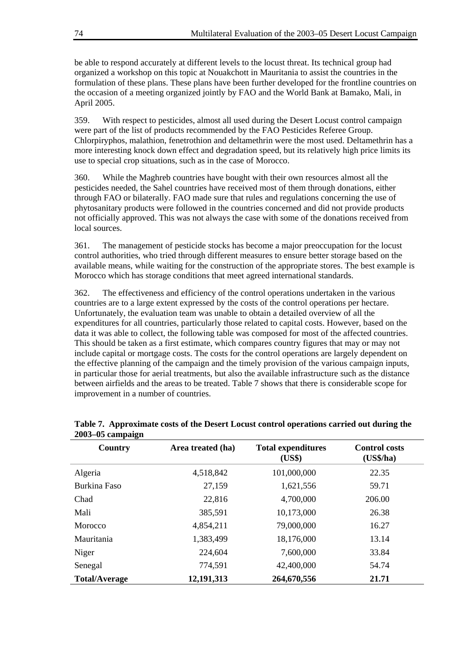be able to respond accurately at different levels to the locust threat. Its technical group had organized a workshop on this topic at Nouakchott in Mauritania to assist the countries in the formulation of these plans. These plans have been further developed for the frontline countries on the occasion of a meeting organized jointly by FAO and the World Bank at Bamako, Mali, in April 2005.

359. With respect to pesticides, almost all used during the Desert Locust control campaign were part of the list of products recommended by the FAO Pesticides Referee Group. Chlorpiryphos, malathion, fenetrothion and deltamethrin were the most used. Deltamethrin has a more interesting knock down effect and degradation speed, but its relatively high price limits its use to special crop situations, such as in the case of Morocco.

360. While the Maghreb countries have bought with their own resources almost all the pesticides needed, the Sahel countries have received most of them through donations, either through FAO or bilaterally. FAO made sure that rules and regulations concerning the use of phytosanitary products were followed in the countries concerned and did not provide products not officially approved. This was not always the case with some of the donations received from local sources.

361. The management of pesticide stocks has become a major preoccupation for the locust control authorities, who tried through different measures to ensure better storage based on the available means, while waiting for the construction of the appropriate stores. The best example is Morocco which has storage conditions that meet agreed international standards.

362. The effectiveness and efficiency of the control operations undertaken in the various countries are to a large extent expressed by the costs of the control operations per hectare. Unfortunately, the evaluation team was unable to obtain a detailed overview of all the expenditures for all countries, particularly those related to capital costs. However, based on the data it was able to collect, the following table was composed for most of the affected countries. This should be taken as a first estimate, which compares country figures that may or may not include capital or mortgage costs. The costs for the control operations are largely dependent on the effective planning of the campaign and the timely provision of the various campaign inputs, in particular those for aerial treatments, but also the available infrastructure such as the distance between airfields and the areas to be treated. Table 7 shows that there is considerable scope for improvement in a number of countries.

| . .<br>Country       | Area treated (ha) | <b>Total expenditures</b><br>(US\$) | <b>Control costs</b><br>(US\$/ha) |
|----------------------|-------------------|-------------------------------------|-----------------------------------|
| Algeria              | 4,518,842         | 101,000,000                         | 22.35                             |
| Burkina Faso         | 27,159            | 1,621,556                           | 59.71                             |
| Chad                 | 22,816            | 4,700,000                           | 206.00                            |
| Mali                 | 385,591           | 10,173,000                          | 26.38                             |
| Morocco              | 4,854,211         | 79,000,000                          | 16.27                             |
| Mauritania           | 1,383,499         | 18,176,000                          | 13.14                             |
| Niger                | 224,604           | 7,600,000                           | 33.84                             |
| Senegal              | 774,591           | 42,400,000                          | 54.74                             |
| <b>Total/Average</b> | 12,191,313        | 264,670,556                         | 21.71                             |

## **Table 7. Approximate costs of the Desert Locust control operations carried out during the 2003–05 campaign**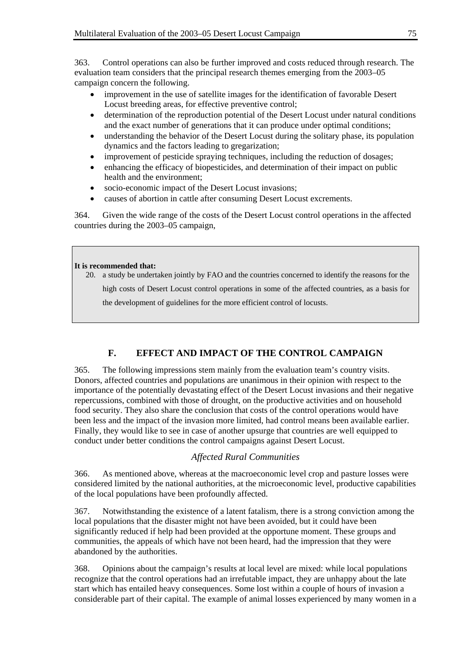363. Control operations can also be further improved and costs reduced through research. The evaluation team considers that the principal research themes emerging from the 2003–05 campaign concern the following.

- improvement in the use of satellite images for the identification of favorable Desert Locust breeding areas, for effective preventive control;
- determination of the reproduction potential of the Desert Locust under natural conditions and the exact number of generations that it can produce under optimal conditions;
- understanding the behavior of the Desert Locust during the solitary phase, its population dynamics and the factors leading to gregarization;
- improvement of pesticide spraying techniques, including the reduction of dosages;
- enhancing the efficacy of biopesticides, and determination of their impact on public health and the environment;
- socio-economic impact of the Desert Locust invasions;
- causes of abortion in cattle after consuming Desert Locust excrements.

364. Given the wide range of the costs of the Desert Locust control operations in the affected countries during the 2003–05 campaign,

## **It is recommended that:**

20. a study be undertaken jointly by FAO and the countries concerned to identify the reasons for the high costs of Desert Locust control operations in some of the affected countries, as a basis for the development of guidelines for the more efficient control of locusts.

# **F. EFFECT AND IMPACT OF THE CONTROL CAMPAIGN**

365. The following impressions stem mainly from the evaluation team's country visits. Donors, affected countries and populations are unanimous in their opinion with respect to the importance of the potentially devastating effect of the Desert Locust invasions and their negative repercussions, combined with those of drought, on the productive activities and on household food security. They also share the conclusion that costs of the control operations would have been less and the impact of the invasion more limited, had control means been available earlier. Finally, they would like to see in case of another upsurge that countries are well equipped to conduct under better conditions the control campaigns against Desert Locust.

## *Affected Rural Communities*

366. As mentioned above, whereas at the macroeconomic level crop and pasture losses were considered limited by the national authorities, at the microeconomic level, productive capabilities of the local populations have been profoundly affected.

367. Notwithstanding the existence of a latent fatalism, there is a strong conviction among the local populations that the disaster might not have been avoided, but it could have been significantly reduced if help had been provided at the opportune moment. These groups and communities, the appeals of which have not been heard, had the impression that they were abandoned by the authorities.

368. Opinions about the campaign's results at local level are mixed: while local populations recognize that the control operations had an irrefutable impact, they are unhappy about the late start which has entailed heavy consequences. Some lost within a couple of hours of invasion a considerable part of their capital. The example of animal losses experienced by many women in a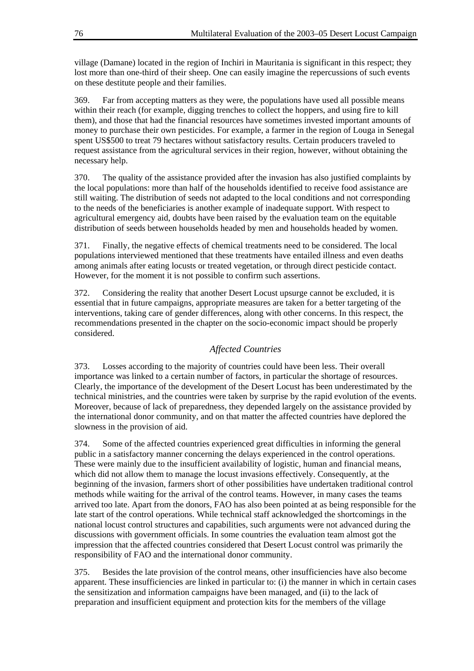village (Damane) located in the region of Inchiri in Mauritania is significant in this respect; they lost more than one-third of their sheep. One can easily imagine the repercussions of such events on these destitute people and their families.

369. Far from accepting matters as they were, the populations have used all possible means within their reach (for example, digging trenches to collect the hoppers, and using fire to kill them), and those that had the financial resources have sometimes invested important amounts of money to purchase their own pesticides. For example, a farmer in the region of Louga in Senegal spent US\$500 to treat 79 hectares without satisfactory results. Certain producers traveled to request assistance from the agricultural services in their region, however, without obtaining the necessary help.

370. The quality of the assistance provided after the invasion has also justified complaints by the local populations: more than half of the households identified to receive food assistance are still waiting. The distribution of seeds not adapted to the local conditions and not corresponding to the needs of the beneficiaries is another example of inadequate support. With respect to agricultural emergency aid, doubts have been raised by the evaluation team on the equitable distribution of seeds between households headed by men and households headed by women.

371. Finally, the negative effects of chemical treatments need to be considered. The local populations interviewed mentioned that these treatments have entailed illness and even deaths among animals after eating locusts or treated vegetation, or through direct pesticide contact. However, for the moment it is not possible to confirm such assertions.

372. Considering the reality that another Desert Locust upsurge cannot be excluded, it is essential that in future campaigns, appropriate measures are taken for a better targeting of the interventions, taking care of gender differences, along with other concerns. In this respect, the recommendations presented in the chapter on the socio-economic impact should be properly considered.

## *Affected Countries*

373. Losses according to the majority of countries could have been less. Their overall importance was linked to a certain number of factors, in particular the shortage of resources. Clearly, the importance of the development of the Desert Locust has been underestimated by the technical ministries, and the countries were taken by surprise by the rapid evolution of the events. Moreover, because of lack of preparedness, they depended largely on the assistance provided by the international donor community, and on that matter the affected countries have deplored the slowness in the provision of aid.

374. Some of the affected countries experienced great difficulties in informing the general public in a satisfactory manner concerning the delays experienced in the control operations. These were mainly due to the insufficient availability of logistic, human and financial means, which did not allow them to manage the locust invasions effectively. Consequently, at the beginning of the invasion, farmers short of other possibilities have undertaken traditional control methods while waiting for the arrival of the control teams. However, in many cases the teams arrived too late. Apart from the donors, FAO has also been pointed at as being responsible for the late start of the control operations. While technical staff acknowledged the shortcomings in the national locust control structures and capabilities, such arguments were not advanced during the discussions with government officials. In some countries the evaluation team almost got the impression that the affected countries considered that Desert Locust control was primarily the responsibility of FAO and the international donor community.

375. Besides the late provision of the control means, other insufficiencies have also become apparent. These insufficiencies are linked in particular to: (i) the manner in which in certain cases the sensitization and information campaigns have been managed, and (ii) to the lack of preparation and insufficient equipment and protection kits for the members of the village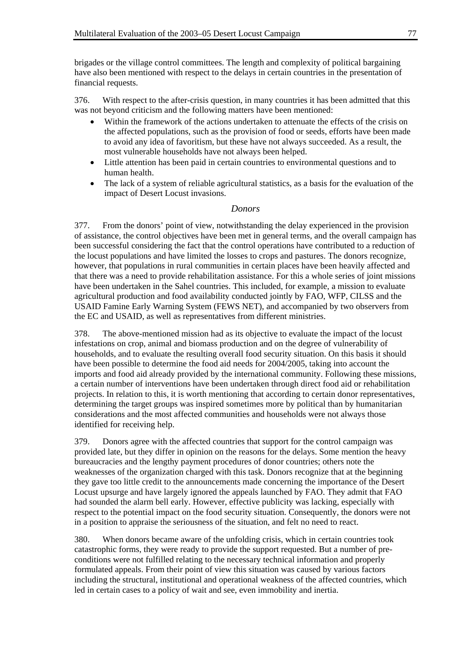brigades or the village control committees. The length and complexity of political bargaining have also been mentioned with respect to the delays in certain countries in the presentation of financial requests.

376. With respect to the after-crisis question, in many countries it has been admitted that this was not beyond criticism and the following matters have been mentioned:

- Within the framework of the actions undertaken to attenuate the effects of the crisis on the affected populations, such as the provision of food or seeds, efforts have been made to avoid any idea of favoritism, but these have not always succeeded. As a result, the most vulnerable households have not always been helped.
- Little attention has been paid in certain countries to environmental questions and to human health.
- The lack of a system of reliable agricultural statistics, as a basis for the evaluation of the impact of Desert Locust invasions.

## *Donors*

377. From the donors' point of view, notwithstanding the delay experienced in the provision of assistance, the control objectives have been met in general terms, and the overall campaign has been successful considering the fact that the control operations have contributed to a reduction of the locust populations and have limited the losses to crops and pastures. The donors recognize, however, that populations in rural communities in certain places have been heavily affected and that there was a need to provide rehabilitation assistance. For this a whole series of joint missions have been undertaken in the Sahel countries. This included, for example, a mission to evaluate agricultural production and food availability conducted jointly by FAO, WFP, CILSS and the USAID Famine Early Warning System (FEWS NET), and accompanied by two observers from the EC and USAID, as well as representatives from different ministries.

378. The above-mentioned mission had as its objective to evaluate the impact of the locust infestations on crop, animal and biomass production and on the degree of vulnerability of households, and to evaluate the resulting overall food security situation. On this basis it should have been possible to determine the food aid needs for 2004/2005, taking into account the imports and food aid already provided by the international community. Following these missions, a certain number of interventions have been undertaken through direct food aid or rehabilitation projects. In relation to this, it is worth mentioning that according to certain donor representatives, determining the target groups was inspired sometimes more by political than by humanitarian considerations and the most affected communities and households were not always those identified for receiving help.

379. Donors agree with the affected countries that support for the control campaign was provided late, but they differ in opinion on the reasons for the delays. Some mention the heavy bureaucracies and the lengthy payment procedures of donor countries; others note the weaknesses of the organization charged with this task. Donors recognize that at the beginning they gave too little credit to the announcements made concerning the importance of the Desert Locust upsurge and have largely ignored the appeals launched by FAO. They admit that FAO had sounded the alarm bell early. However, effective publicity was lacking, especially with respect to the potential impact on the food security situation. Consequently, the donors were not in a position to appraise the seriousness of the situation, and felt no need to react.

380. When donors became aware of the unfolding crisis, which in certain countries took catastrophic forms, they were ready to provide the support requested. But a number of preconditions were not fulfilled relating to the necessary technical information and properly formulated appeals. From their point of view this situation was caused by various factors including the structural, institutional and operational weakness of the affected countries, which led in certain cases to a policy of wait and see, even immobility and inertia.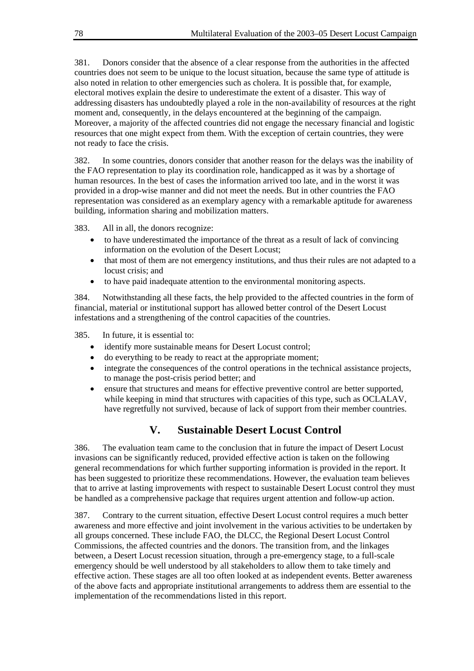381. Donors consider that the absence of a clear response from the authorities in the affected countries does not seem to be unique to the locust situation, because the same type of attitude is also noted in relation to other emergencies such as cholera. It is possible that, for example, electoral motives explain the desire to underestimate the extent of a disaster. This way of addressing disasters has undoubtedly played a role in the non-availability of resources at the right moment and, consequently, in the delays encountered at the beginning of the campaign. Moreover, a majority of the affected countries did not engage the necessary financial and logistic resources that one might expect from them. With the exception of certain countries, they were not ready to face the crisis.

382. In some countries, donors consider that another reason for the delays was the inability of the FAO representation to play its coordination role, handicapped as it was by a shortage of human resources. In the best of cases the information arrived too late, and in the worst it was provided in a drop-wise manner and did not meet the needs. But in other countries the FAO representation was considered as an exemplary agency with a remarkable aptitude for awareness building, information sharing and mobilization matters.

383. All in all, the donors recognize:

- to have underestimated the importance of the threat as a result of lack of convincing information on the evolution of the Desert Locust;
- that most of them are not emergency institutions, and thus their rules are not adapted to a locust crisis; and
- to have paid inadequate attention to the environmental monitoring aspects.

384. Notwithstanding all these facts, the help provided to the affected countries in the form of financial, material or institutional support has allowed better control of the Desert Locust infestations and a strengthening of the control capacities of the countries.

385. In future, it is essential to:

- identify more sustainable means for Desert Locust control;
- do everything to be ready to react at the appropriate moment;
- integrate the consequences of the control operations in the technical assistance projects, to manage the post-crisis period better; and
- ensure that structures and means for effective preventive control are better supported, while keeping in mind that structures with capacities of this type, such as OCLALAV, have regretfully not survived, because of lack of support from their member countries.

# **V. Sustainable Desert Locust Control**

386. The evaluation team came to the conclusion that in future the impact of Desert Locust invasions can be significantly reduced, provided effective action is taken on the following general recommendations for which further supporting information is provided in the report. It has been suggested to prioritize these recommendations. However, the evaluation team believes that to arrive at lasting improvements with respect to sustainable Desert Locust control they must be handled as a comprehensive package that requires urgent attention and follow-up action.

387. Contrary to the current situation, effective Desert Locust control requires a much better awareness and more effective and joint involvement in the various activities to be undertaken by all groups concerned. These include FAO, the DLCC, the Regional Desert Locust Control Commissions, the affected countries and the donors. The transition from, and the linkages between, a Desert Locust recession situation, through a pre-emergency stage, to a full-scale emergency should be well understood by all stakeholders to allow them to take timely and effective action. These stages are all too often looked at as independent events. Better awareness of the above facts and appropriate institutional arrangements to address them are essential to the implementation of the recommendations listed in this report.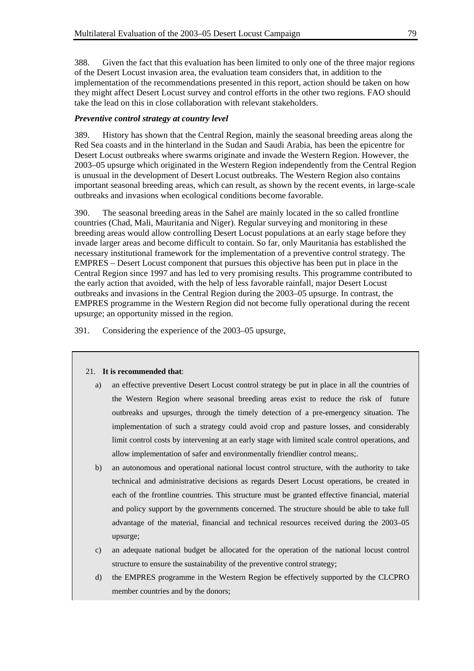388. Given the fact that this evaluation has been limited to only one of the three major regions of the Desert Locust invasion area, the evaluation team considers that, in addition to the implementation of the recommendations presented in this report, action should be taken on how they might affect Desert Locust survey and control efforts in the other two regions. FAO should take the lead on this in close collaboration with relevant stakeholders.

## *Preventive control strategy at country level*

389. History has shown that the Central Region, mainly the seasonal breeding areas along the Red Sea coasts and in the hinterland in the Sudan and Saudi Arabia, has been the epicentre for Desert Locust outbreaks where swarms originate and invade the Western Region. However, the 2003–05 upsurge which originated in the Western Region independently from the Central Region is unusual in the development of Desert Locust outbreaks. The Western Region also contains important seasonal breeding areas, which can result, as shown by the recent events, in large-scale outbreaks and invasions when ecological conditions become favorable.

390. The seasonal breeding areas in the Sahel are mainly located in the so called frontline countries (Chad, Mali, Mauritania and Niger). Regular surveying and monitoring in these breeding areas would allow controlling Desert Locust populations at an early stage before they invade larger areas and become difficult to contain. So far, only Mauritania has established the necessary institutional framework for the implementation of a preventive control strategy. The EMPRES – Desert Locust component that pursues this objective has been put in place in the Central Region since 1997 and has led to very promising results. This programme contributed to the early action that avoided, with the help of less favorable rainfall, major Desert Locust outbreaks and invasions in the Central Region during the 2003–05 upsurge. In contrast, the EMPRES programme in the Western Region did not become fully operational during the recent upsurge; an opportunity missed in the region.

391. Considering the experience of the 2003–05 upsurge,

#### 21. **It is recommended that**:

- a) an effective preventive Desert Locust control strategy be put in place in all the countries of the Western Region where seasonal breeding areas exist to reduce the risk of future outbreaks and upsurges, through the timely detection of a pre-emergency situation. The implementation of such a strategy could avoid crop and pasture losses, and considerably limit control costs by intervening at an early stage with limited scale control operations, and allow implementation of safer and environmentally friendlier control means;.
- b) an autonomous and operational national locust control structure, with the authority to take technical and administrative decisions as regards Desert Locust operations, be created in each of the frontline countries. This structure must be granted effective financial, material and policy support by the governments concerned. The structure should be able to take full advantage of the material, financial and technical resources received during the 2003–05 upsurge;
- c) an adequate national budget be allocated for the operation of the national locust control structure to ensure the sustainability of the preventive control strategy;
- d) the EMPRES programme in the Western Region be effectively supported by the CLCPRO member countries and by the donors;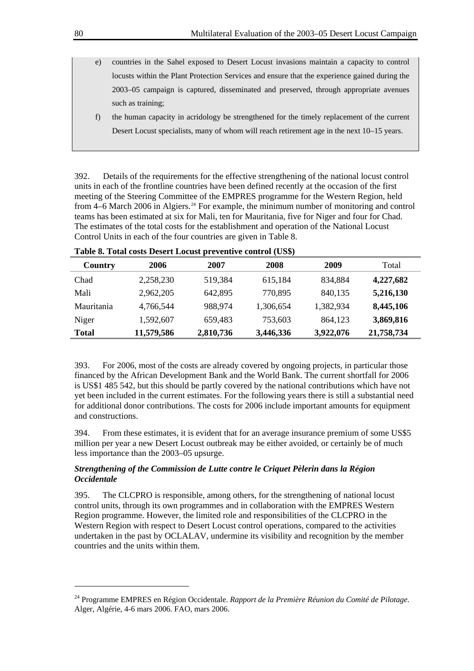- e) countries in the Sahel exposed to Desert Locust invasions maintain a capacity to control locusts within the Plant Protection Services and ensure that the experience gained during the 2003–05 campaign is captured, disseminated and preserved, through appropriate avenues such as training;
	- f) the human capacity in acridology be strengthened for the timely replacement of the current Desert Locust specialists, many of whom will reach retirement age in the next 10–15 years.

392. Details of the requirements for the effective strengthening of the national locust control units in each of the frontline countries have been defined recently at the occasion of the first meeting of the Steering Committee of the EMPRES programme for the Western Region, held from 4–6 March 2006 in Algiers.<sup>[24](#page-83-0)</sup> For example, the minimum number of monitoring and control teams has been estimated at six for Mali, ten for Mauritania, five for Niger and four for Chad. The estimates of the total costs for the establishment and operation of the National Locust Control Units in each of the four countries are given in Table 8.

| 2006       | 2007      | 2008      | 2009      | Total      |
|------------|-----------|-----------|-----------|------------|
| 2,258,230  | 519,384   | 615,184   | 834,884   | 4,227,682  |
| 2,962,205  | 642,895   | 770,895   | 840,135   | 5,216,130  |
| 4,766,544  | 988,974   | 1,306,654 | 1,382,934 | 8,445,106  |
| 1,592,607  | 659,483   | 753,603   | 864,123   | 3,869,816  |
| 11,579,586 | 2,810,736 | 3,446,336 | 3,922,076 | 21,758,734 |
|            |           |           |           |            |

**Table 8. Total costs Desert Locust preventive control (US\$)** 

393. For 2006, most of the costs are already covered by ongoing projects, in particular those financed by the African Development Bank and the World Bank. The current shortfall for 2006 is US\$1 485 542, but this should be partly covered by the national contributions which have not yet been included in the current estimates. For the following years there is still a substantial need for additional donor contributions. The costs for 2006 include important amounts for equipment and constructions.

394. From these estimates, it is evident that for an average insurance premium of some US\$5 million per year a new Desert Locust outbreak may be either avoided, or certainly be of much less importance than the 2003–05 upsurge.

## *Strengthening of the Commission de Lutte contre le Criquet Pèlerin dans la Région Occidentale*

395. The CLCPRO is responsible, among others, for the strengthening of national locust control units, through its own programmes and in collaboration with the EMPRES Western Region programme. However, the limited role and responsibilities of the CLCPRO in the Western Region with respect to Desert Locust control operations, compared to the activities undertaken in the past by OCLALAV, undermine its visibility and recognition by the member countries and the units within them.

l

<span id="page-83-0"></span><sup>24</sup> Programme EMPRES en Région Occidentale. *Rapport de la Première Réunion du Comité de Pilotage*. Alger, Algérie, 4-6 mars 2006. FAO, mars 2006.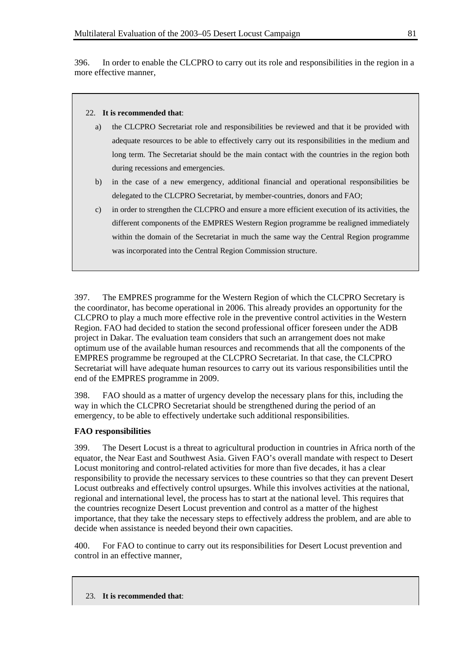396. In order to enable the CLCPRO to carry out its role and responsibilities in the region in a more effective manner,

### 22. **It is recommended that**:

- a) the CLCPRO Secretariat role and responsibilities be reviewed and that it be provided with adequate resources to be able to effectively carry out its responsibilities in the medium and long term. The Secretariat should be the main contact with the countries in the region both during recessions and emergencies.
- b) in the case of a new emergency, additional financial and operational responsibilities be delegated to the CLCPRO Secretariat, by member-countries, donors and FAO;
- c) in order to strengthen the CLCPRO and ensure a more efficient execution of its activities, the different components of the EMPRES Western Region programme be realigned immediately within the domain of the Secretariat in much the same way the Central Region programme was incorporated into the Central Region Commission structure.

397. The EMPRES programme for the Western Region of which the CLCPRO Secretary is the coordinator, has become operational in 2006. This already provides an opportunity for the CLCPRO to play a much more effective role in the preventive control activities in the Western Region. FAO had decided to station the second professional officer foreseen under the ADB project in Dakar. The evaluation team considers that such an arrangement does not make optimum use of the available human resources and recommends that all the components of the EMPRES programme be regrouped at the CLCPRO Secretariat. In that case, the CLCPRO Secretariat will have adequate human resources to carry out its various responsibilities until the end of the EMPRES programme in 2009.

398. FAO should as a matter of urgency develop the necessary plans for this, including the way in which the CLCPRO Secretariat should be strengthened during the period of an emergency, to be able to effectively undertake such additional responsibilities.

## **FAO responsibilities**

399. The Desert Locust is a threat to agricultural production in countries in Africa north of the equator, the Near East and Southwest Asia. Given FAO's overall mandate with respect to Desert Locust monitoring and control-related activities for more than five decades, it has a clear responsibility to provide the necessary services to these countries so that they can prevent Desert Locust outbreaks and effectively control upsurges. While this involves activities at the national, regional and international level, the process has to start at the national level. This requires that the countries recognize Desert Locust prevention and control as a matter of the highest importance, that they take the necessary steps to effectively address the problem, and are able to decide when assistance is needed beyond their own capacities.

400. For FAO to continue to carry out its responsibilities for Desert Locust prevention and control in an effective manner,

23. **It is recommended that**: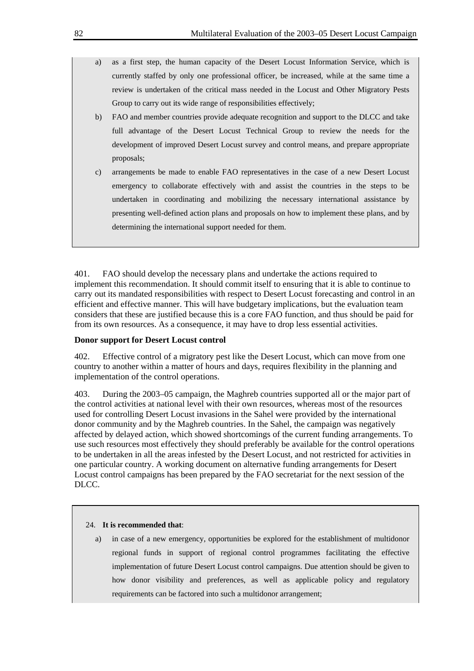- a) as a first step, the human capacity of the Desert Locust Information Service, which is currently staffed by only one professional officer, be increased, while at the same time a review is undertaken of the critical mass needed in the Locust and Other Migratory Pests Group to carry out its wide range of responsibilities effectively;
- b) FAO and member countries provide adequate recognition and support to the DLCC and take full advantage of the Desert Locust Technical Group to review the needs for the development of improved Desert Locust survey and control means, and prepare appropriate proposals;
- c) arrangements be made to enable FAO representatives in the case of a new Desert Locust emergency to collaborate effectively with and assist the countries in the steps to be undertaken in coordinating and mobilizing the necessary international assistance by presenting well-defined action plans and proposals on how to implement these plans, and by determining the international support needed for them.

401. FAO should develop the necessary plans and undertake the actions required to implement this recommendation. It should commit itself to ensuring that it is able to continue to carry out its mandated responsibilities with respect to Desert Locust forecasting and control in an efficient and effective manner. This will have budgetary implications, but the evaluation team considers that these are justified because this is a core FAO function, and thus should be paid for from its own resources. As a consequence, it may have to drop less essential activities.

## **Donor support for Desert Locust control**

402. Effective control of a migratory pest like the Desert Locust, which can move from one country to another within a matter of hours and days, requires flexibility in the planning and implementation of the control operations.

403. During the 2003–05 campaign, the Maghreb countries supported all or the major part of the control activities at national level with their own resources, whereas most of the resources used for controlling Desert Locust invasions in the Sahel were provided by the international donor community and by the Maghreb countries. In the Sahel, the campaign was negatively affected by delayed action, which showed shortcomings of the current funding arrangements. To use such resources most effectively they should preferably be available for the control operations to be undertaken in all the areas infested by the Desert Locust, and not restricted for activities in one particular country. A working document on alternative funding arrangements for Desert Locust control campaigns has been prepared by the FAO secretariat for the next session of the DLCC.

### 24. **It is recommended that**:

a) in case of a new emergency, opportunities be explored for the establishment of multidonor regional funds in support of regional control programmes facilitating the effective implementation of future Desert Locust control campaigns. Due attention should be given to how donor visibility and preferences, as well as applicable policy and regulatory requirements can be factored into such a multidonor arrangement;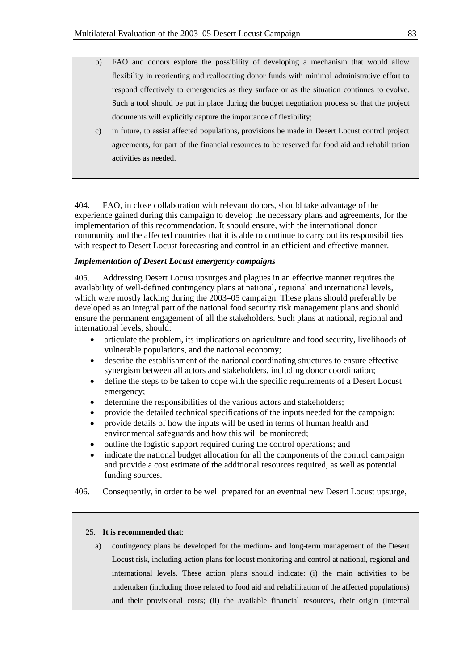- b) FAO and donors explore the possibility of developing a mechanism that would allow flexibility in reorienting and reallocating donor funds with minimal administrative effort to respond effectively to emergencies as they surface or as the situation continues to evolve. Such a tool should be put in place during the budget negotiation process so that the project documents will explicitly capture the importance of flexibility;
- c) in future, to assist affected populations, provisions be made in Desert Locust control project agreements, for part of the financial resources to be reserved for food aid and rehabilitation activities as needed.

404. FAO, in close collaboration with relevant donors, should take advantage of the experience gained during this campaign to develop the necessary plans and agreements, for the implementation of this recommendation. It should ensure, with the international donor community and the affected countries that it is able to continue to carry out its responsibilities with respect to Desert Locust forecasting and control in an efficient and effective manner.

### *Implementation of Desert Locust emergency campaigns*

405. Addressing Desert Locust upsurges and plagues in an effective manner requires the availability of well-defined contingency plans at national, regional and international levels, which were mostly lacking during the 2003–05 campaign. These plans should preferably be developed as an integral part of the national food security risk management plans and should ensure the permanent engagement of all the stakeholders. Such plans at national, regional and international levels, should:

- articulate the problem, its implications on agriculture and food security, livelihoods of vulnerable populations, and the national economy;
- describe the establishment of the national coordinating structures to ensure effective synergism between all actors and stakeholders, including donor coordination;
- define the steps to be taken to cope with the specific requirements of a Desert Locust emergency;
- determine the responsibilities of the various actors and stakeholders;
- provide the detailed technical specifications of the inputs needed for the campaign;
- provide details of how the inputs will be used in terms of human health and environmental safeguards and how this will be monitored;
- outline the logistic support required during the control operations; and
- indicate the national budget allocation for all the components of the control campaign and provide a cost estimate of the additional resources required, as well as potential funding sources.
- 406. Consequently, in order to be well prepared for an eventual new Desert Locust upsurge,

#### 25. **It is recommended that**:

a) contingency plans be developed for the medium- and long-term management of the Desert Locust risk, including action plans for locust monitoring and control at national, regional and international levels. These action plans should indicate: (i) the main activities to be undertaken (including those related to food aid and rehabilitation of the affected populations) and their provisional costs; (ii) the available financial resources, their origin (internal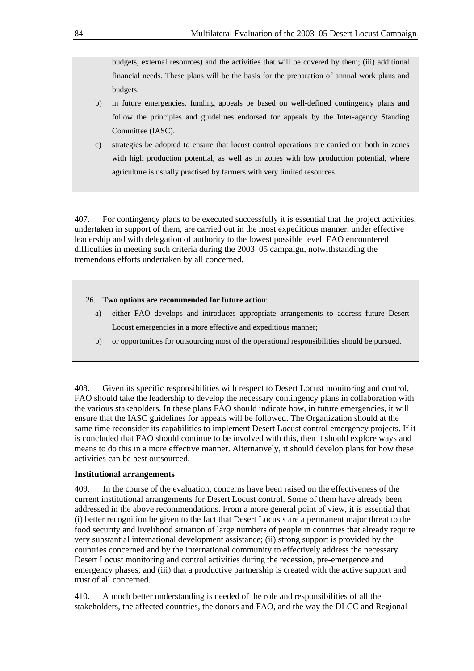budgets, external resources) and the activities that will be covered by them; (iii) additional financial needs. These plans will be the basis for the preparation of annual work plans and budgets;

- b) in future emergencies, funding appeals be based on well-defined contingency plans and follow the principles and guidelines endorsed for appeals by the Inter-agency Standing Committee (IASC).
- c) strategies be adopted to ensure that locust control operations are carried out both in zones with high production potential, as well as in zones with low production potential, where agriculture is usually practised by farmers with very limited resources.

407. For contingency plans to be executed successfully it is essential that the project activities, undertaken in support of them, are carried out in the most expeditious manner, under effective leadership and with delegation of authority to the lowest possible level. FAO encountered difficulties in meeting such criteria during the 2003–05 campaign, notwithstanding the tremendous efforts undertaken by all concerned.

## 26. **Two options are recommended for future action**:

- a) either FAO develops and introduces appropriate arrangements to address future Desert Locust emergencies in a more effective and expeditious manner;
- b) or opportunities for outsourcing most of the operational responsibilities should be pursued.

408. Given its specific responsibilities with respect to Desert Locust monitoring and control, FAO should take the leadership to develop the necessary contingency plans in collaboration with the various stakeholders. In these plans FAO should indicate how, in future emergencies, it will ensure that the IASC guidelines for appeals will be followed. The Organization should at the same time reconsider its capabilities to implement Desert Locust control emergency projects. If it is concluded that FAO should continue to be involved with this, then it should explore ways and means to do this in a more effective manner. Alternatively, it should develop plans for how these activities can be best outsourced.

## **Institutional arrangements**

409. In the course of the evaluation, concerns have been raised on the effectiveness of the current institutional arrangements for Desert Locust control. Some of them have already been addressed in the above recommendations. From a more general point of view, it is essential that (i) better recognition be given to the fact that Desert Locusts are a permanent major threat to the food security and livelihood situation of large numbers of people in countries that already require very substantial international development assistance; (ii) strong support is provided by the countries concerned and by the international community to effectively address the necessary Desert Locust monitoring and control activities during the recession, pre-emergence and emergency phases; and (iii) that a productive partnership is created with the active support and trust of all concerned.

410. A much better understanding is needed of the role and responsibilities of all the stakeholders, the affected countries, the donors and FAO, and the way the DLCC and Regional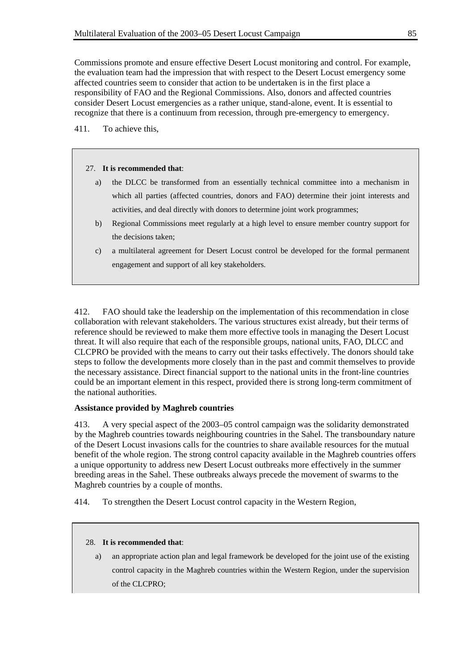Commissions promote and ensure effective Desert Locust monitoring and control. For example, the evaluation team had the impression that with respect to the Desert Locust emergency some affected countries seem to consider that action to be undertaken is in the first place a responsibility of FAO and the Regional Commissions. Also, donors and affected countries consider Desert Locust emergencies as a rather unique, stand-alone, event. It is essential to recognize that there is a continuum from recession, through pre-emergency to emergency.

411. To achieve this,

#### 27. **It is recommended that**:

- a) the DLCC be transformed from an essentially technical committee into a mechanism in which all parties (affected countries, donors and FAO) determine their joint interests and activities, and deal directly with donors to determine joint work programmes;
- b) Regional Commissions meet regularly at a high level to ensure member country support for the decisions taken;
- c) a multilateral agreement for Desert Locust control be developed for the formal permanent engagement and support of all key stakeholders.

412. FAO should take the leadership on the implementation of this recommendation in close collaboration with relevant stakeholders. The various structures exist already, but their terms of reference should be reviewed to make them more effective tools in managing the Desert Locust threat. It will also require that each of the responsible groups, national units, FAO, DLCC and CLCPRO be provided with the means to carry out their tasks effectively. The donors should take steps to follow the developments more closely than in the past and commit themselves to provide the necessary assistance. Direct financial support to the national units in the front-line countries could be an important element in this respect, provided there is strong long-term commitment of the national authorities.

## **Assistance provided by Maghreb countries**

413. A very special aspect of the 2003–05 control campaign was the solidarity demonstrated by the Maghreb countries towards neighbouring countries in the Sahel. The transboundary nature of the Desert Locust invasions calls for the countries to share available resources for the mutual benefit of the whole region. The strong control capacity available in the Maghreb countries offers a unique opportunity to address new Desert Locust outbreaks more effectively in the summer breeding areas in the Sahel. These outbreaks always precede the movement of swarms to the Maghreb countries by a couple of months.

414. To strengthen the Desert Locust control capacity in the Western Region,

### 28. **It is recommended that**:

a) an appropriate action plan and legal framework be developed for the joint use of the existing control capacity in the Maghreb countries within the Western Region, under the supervision of the CLCPRO;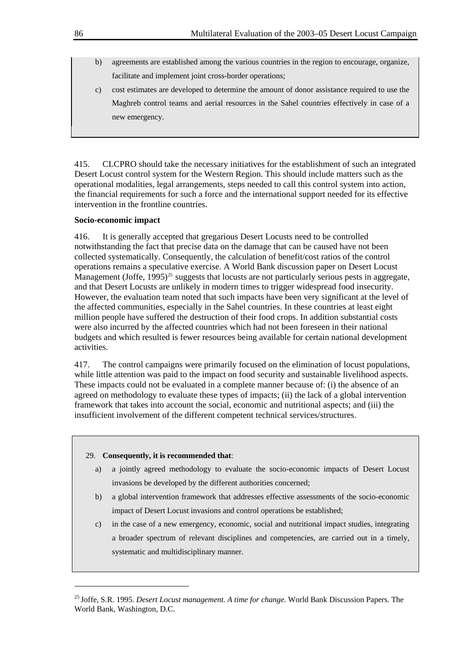- b) agreements are established among the various countries in the region to encourage, organize, facilitate and implement joint cross-border operations;
- c) cost estimates are developed to determine the amount of donor assistance required to use the Maghreb control teams and aerial resources in the Sahel countries effectively in case of a new emergency.

415. CLCPRO should take the necessary initiatives for the establishment of such an integrated Desert Locust control system for the Western Region. This should include matters such as the operational modalities, legal arrangements, steps needed to call this control system into action, the financial requirements for such a force and the international support needed for its effective intervention in the frontline countries.

## **Socio-economic impact**

416. It is generally accepted that gregarious Desert Locusts need to be controlled notwithstanding the fact that precise data on the damage that can be caused have not been collected systematically. Consequently, the calculation of benefit/cost ratios of the control operations remains a speculative exercise. A World Bank discussion paper on Desert Locust Management (Joffe,  $1995)^{25}$  $1995)^{25}$  $1995)^{25}$  suggests that locusts are not particularly serious pests in aggregate, and that Desert Locusts are unlikely in modern times to trigger widespread food insecurity. However, the evaluation team noted that such impacts have been very significant at the level of the affected communities, especially in the Sahel countries. In these countries at least eight million people have suffered the destruction of their food crops. In addition substantial costs were also incurred by the affected countries which had not been foreseen in their national budgets and which resulted is fewer resources being available for certain national development activities.

417. The control campaigns were primarily focused on the elimination of locust populations, while little attention was paid to the impact on food security and sustainable livelihood aspects. These impacts could not be evaluated in a complete manner because of: (i) the absence of an agreed on methodology to evaluate these types of impacts; (ii) the lack of a global intervention framework that takes into account the social, economic and nutritional aspects; and (iii) the insufficient involvement of the different competent technical services/structures.

### 29. **Consequently, it is recommended that**:

l

- a) a jointly agreed methodology to evaluate the socio-economic impacts of Desert Locust invasions be developed by the different authorities concerned;
- b) a global intervention framework that addresses effective assessments of the socio-economic impact of Desert Locust invasions and control operations be established;
- c) in the case of a new emergency, economic, social and nutritional impact studies, integrating a broader spectrum of relevant disciplines and competencies, are carried out in a timely, systematic and multidisciplinary manner.

<span id="page-89-0"></span><sup>25</sup> Joffe, S.R. 1995. *Desert Locust management. A time for change.* World Bank Discussion Papers. The World Bank, Washington, D.C.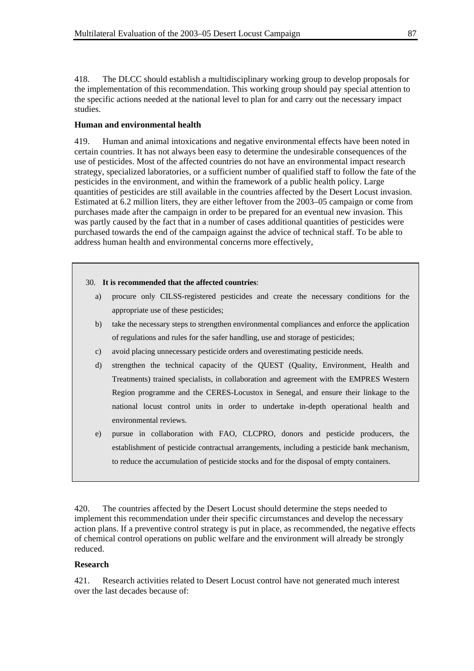418. The DLCC should establish a multidisciplinary working group to develop proposals for the implementation of this recommendation. This working group should pay special attention to the specific actions needed at the national level to plan for and carry out the necessary impact studies.

## **Human and environmental health**

419. Human and animal intoxications and negative environmental effects have been noted in certain countries. It has not always been easy to determine the undesirable consequences of the use of pesticides. Most of the affected countries do not have an environmental impact research strategy, specialized laboratories, or a sufficient number of qualified staff to follow the fate of the pesticides in the environment, and within the framework of a public health policy. Large quantities of pesticides are still available in the countries affected by the Desert Locust invasion. Estimated at 6.2 million liters, they are either leftover from the 2003–05 campaign or come from purchases made after the campaign in order to be prepared for an eventual new invasion. This was partly caused by the fact that in a number of cases additional quantities of pesticides were purchased towards the end of the campaign against the advice of technical staff. To be able to address human health and environmental concerns more effectively,

#### 30. **It is recommended that the affected countries**:

- a) procure only CILSS-registered pesticides and create the necessary conditions for the appropriate use of these pesticides;
- b) take the necessary steps to strengthen environmental compliances and enforce the application of regulations and rules for the safer handling, use and storage of pesticides;
- c) avoid placing unnecessary pesticide orders and overestimating pesticide needs.
- d) strengthen the technical capacity of the QUEST (Quality, Environment, Health and Treatments) trained specialists, in collaboration and agreement with the EMPRES Western Region programme and the CERES-Locustox in Senegal, and ensure their linkage to the national locust control units in order to undertake in-depth operational health and environmental reviews.
- e) pursue in collaboration with FAO, CLCPRO, donors and pesticide producers, the establishment of pesticide contractual arrangements, including a pesticide bank mechanism, to reduce the accumulation of pesticide stocks and for the disposal of empty containers.

420. The countries affected by the Desert Locust should determine the steps needed to implement this recommendation under their specific circumstances and develop the necessary action plans. If a preventive control strategy is put in place, as recommended, the negative effects of chemical control operations on public welfare and the environment will already be strongly reduced.

### **Research**

421. Research activities related to Desert Locust control have not generated much interest over the last decades because of: